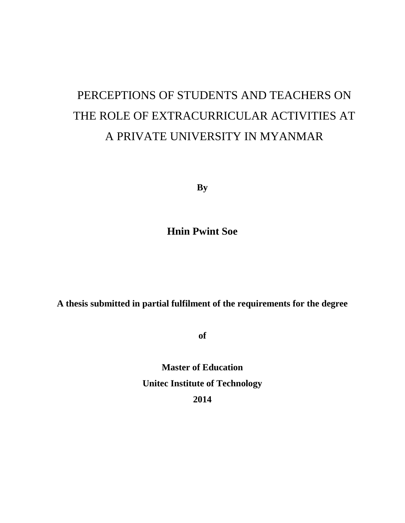# PERCEPTIONS OF STUDENTS AND TEACHERS ON THE ROLE OF EXTRACURRICULAR ACTIVITIES AT A PRIVATE UNIVERSITY IN MYANMAR

**By**

**Hnin Pwint Soe**

**A thesis submitted in partial fulfilment of the requirements for the degree**

**of**

**Master of Education Unitec Institute of Technology 2014**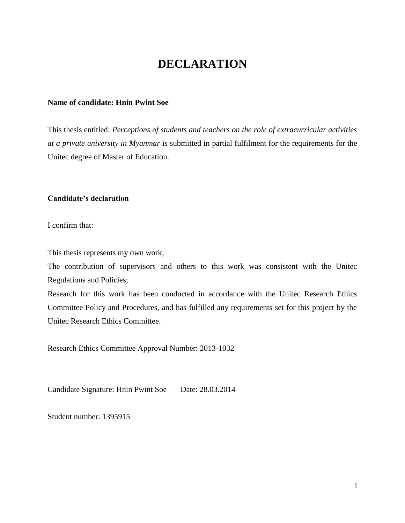# **DECLARATION**

#### <span id="page-1-0"></span>**Name of candidate: Hnin Pwint Soe**

This thesis entitled: *Perceptions of students and teachers on the role of extracurricular activities at a private university in Myanmar* is submitted in partial fulfilment for the requirements for the Unitec degree of Master of Education.

#### **Candidate's declaration**

I confirm that:

This thesis represents my own work;

The contribution of supervisors and others to this work was consistent with the Unitec Regulations and Policies;

Research for this work has been conducted in accordance with the Unitec Research Ethics Committee Policy and Procedures, and has fulfilled any requirements set for this project by the Unitec Research Ethics Committee.

Research Ethics Committee Approval Number: 2013-1032

Candidate Signature: Hnin Pwint Soe Date: 28.03.2014

Student number: 1395915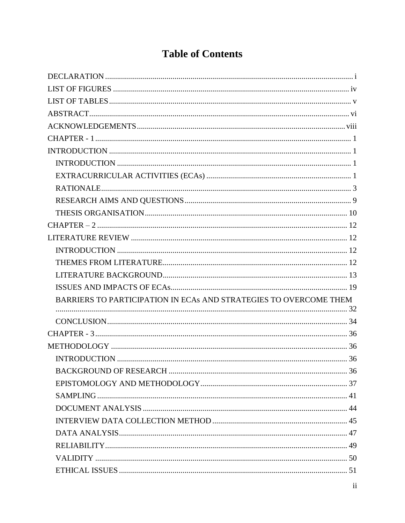# **Table of Contents**

| BARRIERS TO PARTICIPATION IN ECAS AND STRATEGIES TO OVERCOME THEM |  |
|-------------------------------------------------------------------|--|
|                                                                   |  |
|                                                                   |  |
|                                                                   |  |
|                                                                   |  |
|                                                                   |  |
|                                                                   |  |
|                                                                   |  |
|                                                                   |  |
|                                                                   |  |
|                                                                   |  |
|                                                                   |  |
|                                                                   |  |
|                                                                   |  |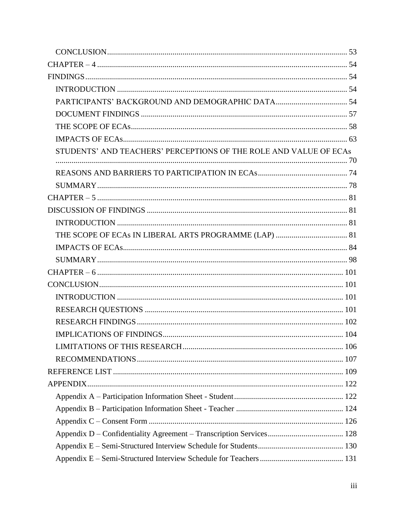| STUDENTS' AND TEACHERS' PERCEPTIONS OF THE ROLE AND VALUE OF ECAS |  |
|-------------------------------------------------------------------|--|
|                                                                   |  |
|                                                                   |  |
|                                                                   |  |
|                                                                   |  |
|                                                                   |  |
|                                                                   |  |
|                                                                   |  |
|                                                                   |  |
|                                                                   |  |
|                                                                   |  |
|                                                                   |  |
|                                                                   |  |
|                                                                   |  |
|                                                                   |  |
|                                                                   |  |
|                                                                   |  |
|                                                                   |  |
|                                                                   |  |
|                                                                   |  |
|                                                                   |  |
|                                                                   |  |
|                                                                   |  |
|                                                                   |  |
|                                                                   |  |
|                                                                   |  |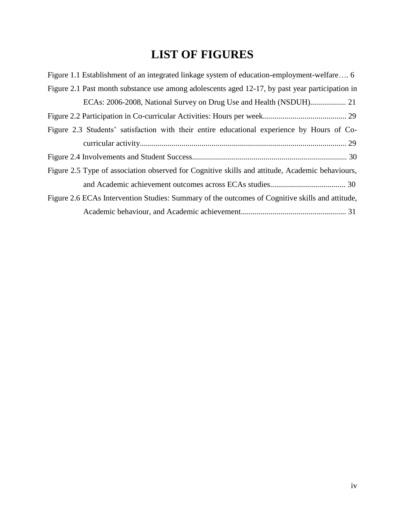# **LIST OF FIGURES**

<span id="page-4-0"></span>

| Figure 1.1 Establishment of an integrated linkage system of education-employment-welfare 6      |
|-------------------------------------------------------------------------------------------------|
| Figure 2.1 Past month substance use among adolescents aged 12-17, by past year participation in |
|                                                                                                 |
|                                                                                                 |
| Figure 2.3 Students' satisfaction with their entire educational experience by Hours of Co-      |
|                                                                                                 |
|                                                                                                 |
| Figure 2.5 Type of association observed for Cognitive skills and attitude, Academic behaviours, |
|                                                                                                 |
| Figure 2.6 ECAs Intervention Studies: Summary of the outcomes of Cognitive skills and attitude, |
|                                                                                                 |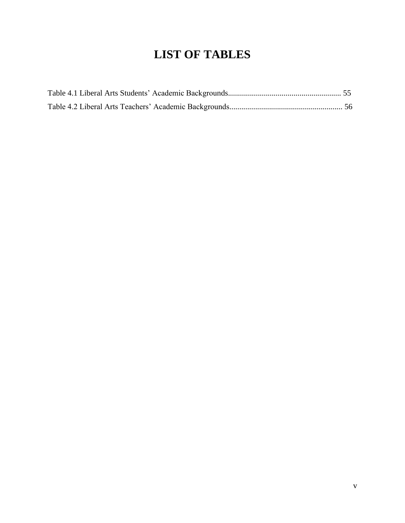# **LIST OF TABLES**

<span id="page-5-0"></span>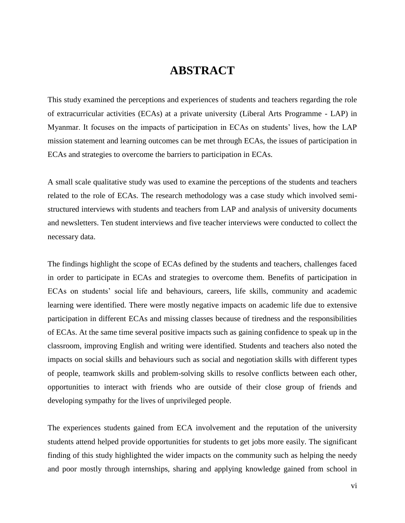# **ABSTRACT**

<span id="page-6-0"></span>This study examined the perceptions and experiences of students and teachers regarding the role of extracurricular activities (ECAs) at a private university (Liberal Arts Programme - LAP) in Myanmar. It focuses on the impacts of participation in ECAs on students' lives, how the LAP mission statement and learning outcomes can be met through ECAs, the issues of participation in ECAs and strategies to overcome the barriers to participation in ECAs.

A small scale qualitative study was used to examine the perceptions of the students and teachers related to the role of ECAs. The research methodology was a case study which involved semistructured interviews with students and teachers from LAP and analysis of university documents and newsletters. Ten student interviews and five teacher interviews were conducted to collect the necessary data.

The findings highlight the scope of ECAs defined by the students and teachers, challenges faced in order to participate in ECAs and strategies to overcome them. Benefits of participation in ECAs on students' social life and behaviours, careers, life skills, community and academic learning were identified. There were mostly negative impacts on academic life due to extensive participation in different ECAs and missing classes because of tiredness and the responsibilities of ECAs. At the same time several positive impacts such as gaining confidence to speak up in the classroom, improving English and writing were identified. Students and teachers also noted the impacts on social skills and behaviours such as social and negotiation skills with different types of people, teamwork skills and problem-solving skills to resolve conflicts between each other, opportunities to interact with friends who are outside of their close group of friends and developing sympathy for the lives of unprivileged people.

The experiences students gained from ECA involvement and the reputation of the university students attend helped provide opportunities for students to get jobs more easily. The significant finding of this study highlighted the wider impacts on the community such as helping the needy and poor mostly through internships, sharing and applying knowledge gained from school in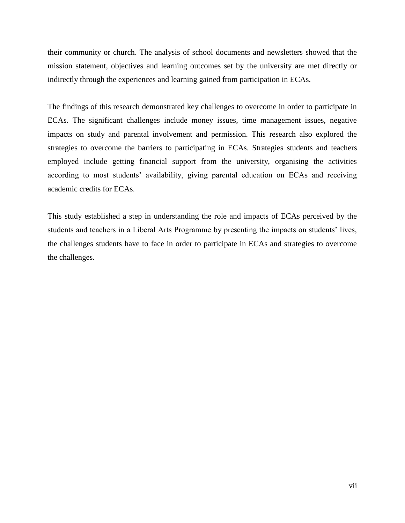their community or church. The analysis of school documents and newsletters showed that the mission statement, objectives and learning outcomes set by the university are met directly or indirectly through the experiences and learning gained from participation in ECAs.

The findings of this research demonstrated key challenges to overcome in order to participate in ECAs. The significant challenges include money issues, time management issues, negative impacts on study and parental involvement and permission. This research also explored the strategies to overcome the barriers to participating in ECAs. Strategies students and teachers employed include getting financial support from the university, organising the activities according to most students' availability, giving parental education on ECAs and receiving academic credits for ECAs.

This study established a step in understanding the role and impacts of ECAs perceived by the students and teachers in a Liberal Arts Programme by presenting the impacts on students' lives, the challenges students have to face in order to participate in ECAs and strategies to overcome the challenges.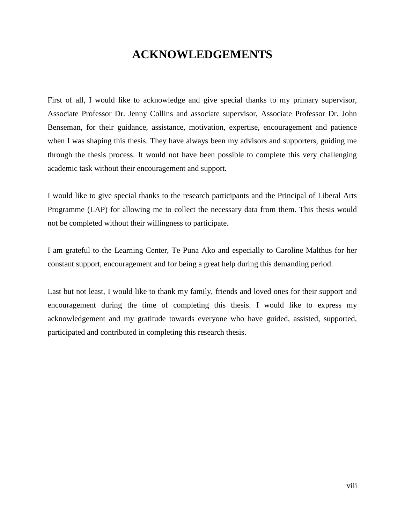# **ACKNOWLEDGEMENTS**

<span id="page-8-0"></span>First of all, I would like to acknowledge and give special thanks to my primary supervisor, Associate Professor Dr. Jenny Collins and associate supervisor, Associate Professor Dr. John Benseman, for their guidance, assistance, motivation, expertise, encouragement and patience when I was shaping this thesis. They have always been my advisors and supporters, guiding me through the thesis process. It would not have been possible to complete this very challenging academic task without their encouragement and support.

I would like to give special thanks to the research participants and the Principal of Liberal Arts Programme (LAP) for allowing me to collect the necessary data from them. This thesis would not be completed without their willingness to participate.

I am grateful to the Learning Center, Te Puna Ako and especially to Caroline Malthus for her constant support, encouragement and for being a great help during this demanding period.

Last but not least, I would like to thank my family, friends and loved ones for their support and encouragement during the time of completing this thesis. I would like to express my acknowledgement and my gratitude towards everyone who have guided, assisted, supported, participated and contributed in completing this research thesis.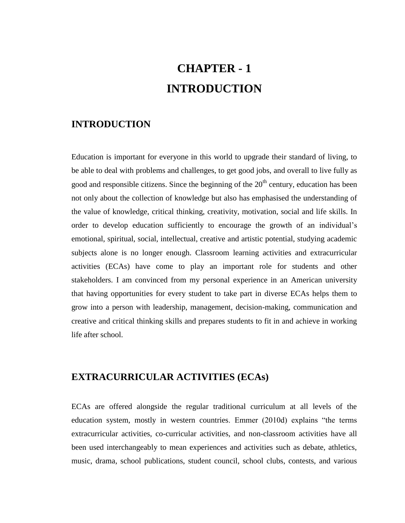# **CHAPTER - 1 INTRODUCTION**

### <span id="page-9-2"></span><span id="page-9-1"></span><span id="page-9-0"></span>**INTRODUCTION**

Education is important for everyone in this world to upgrade their standard of living, to be able to deal with problems and challenges, to get good jobs, and overall to live fully as good and responsible citizens. Since the beginning of the  $20<sup>th</sup>$  century, education has been not only about the collection of knowledge but also has emphasised the understanding of the value of knowledge, critical thinking, creativity, motivation, social and life skills. In order to develop education sufficiently to encourage the growth of an individual's emotional, spiritual, social, intellectual, creative and artistic potential, studying academic subjects alone is no longer enough. Classroom learning activities and extracurricular activities (ECAs) have come to play an important role for students and other stakeholders. I am convinced from my personal experience in an American university that having opportunities for every student to take part in diverse ECAs helps them to grow into a person with leadership, management, decision-making, communication and creative and critical thinking skills and prepares students to fit in and achieve in working life after school.

## <span id="page-9-3"></span>**EXTRACURRICULAR ACTIVITIES (ECAs)**

ECAs are offered alongside the regular traditional curriculum at all levels of the education system, mostly in western countries. Emmer (2010d) explains "the terms extracurricular activities, co-curricular activities, and non-classroom activities have all been used interchangeably to mean experiences and activities such as debate, athletics, music, drama, school publications, student council, school clubs, contests, and various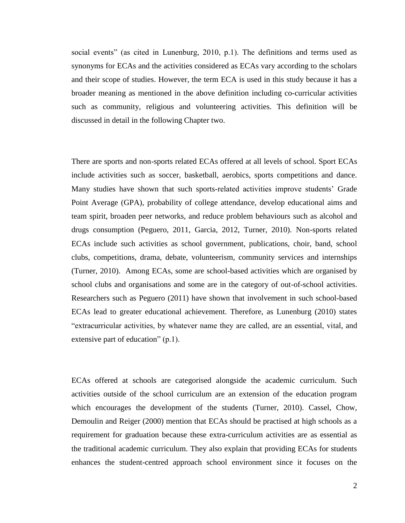social events" (as cited in Lunenburg, 2010, p.1). The definitions and terms used as synonyms for ECAs and the activities considered as ECAs vary according to the scholars and their scope of studies. However, the term ECA is used in this study because it has a broader meaning as mentioned in the above definition including co-curricular activities such as community, religious and volunteering activities. This definition will be discussed in detail in the following Chapter two.

There are sports and non-sports related ECAs offered at all levels of school. Sport ECAs include activities such as soccer, basketball, aerobics, sports competitions and dance. Many studies have shown that such sports-related activities improve students' Grade Point Average (GPA), probability of college attendance, develop educational aims and team spirit, broaden peer networks, and reduce problem behaviours such as alcohol and drugs consumption (Peguero, 2011, Garcia, 2012, Turner, 2010). Non-sports related ECAs include such activities as school government, publications, choir, band, school clubs, competitions, drama, debate, volunteerism, community services and internships (Turner, 2010). Among ECAs, some are school-based activities which are organised by school clubs and organisations and some are in the category of out-of-school activities. Researchers such as Peguero (2011) have shown that involvement in such school-based ECAs lead to greater educational achievement. Therefore, as Lunenburg (2010) states "extracurricular activities, by whatever name they are called, are an essential, vital, and extensive part of education" (p.1).

ECAs offered at schools are categorised alongside the academic curriculum. Such activities outside of the school curriculum are an extension of the education program which encourages the development of the students (Turner, 2010). Cassel, Chow, Demoulin and Reiger (2000) mention that ECAs should be practised at high schools as a requirement for graduation because these extra-curriculum activities are as essential as the traditional academic curriculum. They also explain that providing ECAs for students enhances the student-centred approach school environment since it focuses on the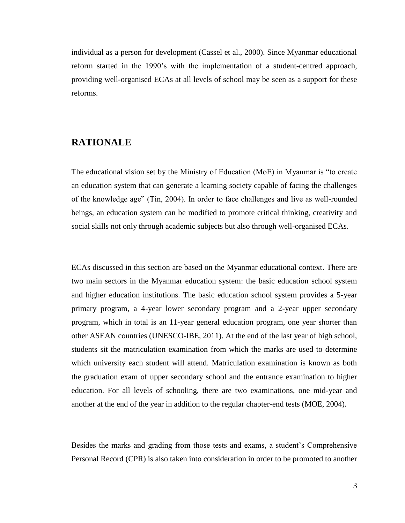individual as a person for development (Cassel et al., 2000). Since Myanmar educational reform started in the 1990's with the implementation of a student-centred approach, providing well-organised ECAs at all levels of school may be seen as a support for these reforms.

## <span id="page-11-0"></span>**RATIONALE**

The educational vision set by the Ministry of Education (MoE) in Myanmar is "to create an education system that can generate a learning society capable of facing the challenges of the knowledge age" (Tin, 2004). In order to face challenges and live as well-rounded beings, an education system can be modified to promote critical thinking, creativity and social skills not only through academic subjects but also through well-organised ECAs.

ECAs discussed in this section are based on the Myanmar educational context. There are two main sectors in the Myanmar education system: the basic education school system and higher education institutions. The basic education school system provides a 5-year primary program, a 4-year lower secondary program and a 2-year upper secondary program, which in total is an 11-year general education program, one year shorter than other ASEAN countries (UNESCO-IBE, 2011). At the end of the last year of high school, students sit the matriculation examination from which the marks are used to determine which university each student will attend. Matriculation examination is known as both the graduation exam of upper secondary school and the entrance examination to higher education. For all levels of schooling, there are two examinations, one mid-year and another at the end of the year in addition to the regular chapter-end tests (MOE, 2004).

Besides the marks and grading from those tests and exams, a student's Comprehensive Personal Record (CPR) is also taken into consideration in order to be promoted to another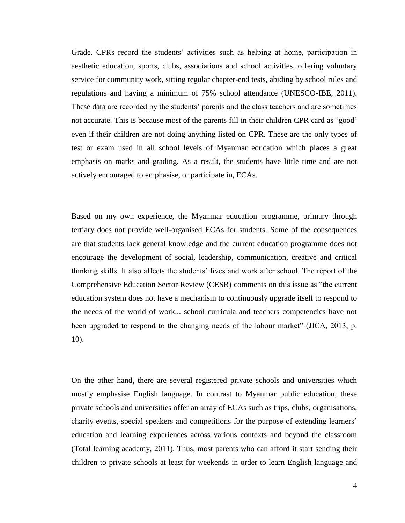Grade. CPRs record the students' activities such as helping at home, participation in aesthetic education, sports, clubs, associations and school activities, offering voluntary service for community work, sitting regular chapter-end tests, abiding by school rules and regulations and having a minimum of 75% school attendance (UNESCO-IBE, 2011). These data are recorded by the students' parents and the class teachers and are sometimes not accurate. This is because most of the parents fill in their children CPR card as 'good' even if their children are not doing anything listed on CPR. These are the only types of test or exam used in all school levels of Myanmar education which places a great emphasis on marks and grading. As a result, the students have little time and are not actively encouraged to emphasise, or participate in, ECAs.

Based on my own experience, the Myanmar education programme, primary through tertiary does not provide well-organised ECAs for students. Some of the consequences are that students lack general knowledge and the current education programme does not encourage the development of social, leadership, communication, creative and critical thinking skills. It also affects the students' lives and work after school. The report of the Comprehensive Education Sector Review (CESR) comments on this issue as "the current education system does not have a mechanism to continuously upgrade itself to respond to the needs of the world of work... school curricula and teachers competencies have not been upgraded to respond to the changing needs of the labour market" (JICA, 2013, p. 10).

On the other hand, there are several registered private schools and universities which mostly emphasise English language. In contrast to Myanmar public education, these private schools and universities offer an array of ECAs such as trips, clubs, organisations, charity events, special speakers and competitions for the purpose of extending learners' education and learning experiences across various contexts and beyond the classroom (Total learning academy, 2011). Thus, most parents who can afford it start sending their children to private schools at least for weekends in order to learn English language and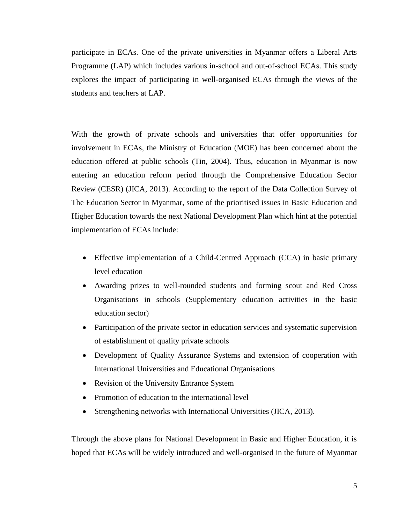participate in ECAs. One of the private universities in Myanmar offers a Liberal Arts Programme (LAP) which includes various in-school and out-of-school ECAs. This study explores the impact of participating in well-organised ECAs through the views of the students and teachers at LAP.

With the growth of private schools and universities that offer opportunities for involvement in ECAs, the Ministry of Education (MOE) has been concerned about the education offered at public schools (Tin, 2004). Thus, education in Myanmar is now entering an education reform period through the Comprehensive Education Sector Review (CESR) (JICA, 2013). According to the report of the Data Collection Survey of The Education Sector in Myanmar, some of the prioritised issues in Basic Education and Higher Education towards the next National Development Plan which hint at the potential implementation of ECAs include:

- Effective implementation of a Child-Centred Approach (CCA) in basic primary level education
- Awarding prizes to well-rounded students and forming scout and Red Cross Organisations in schools (Supplementary education activities in the basic education sector)
- Participation of the private sector in education services and systematic supervision of establishment of quality private schools
- Development of Quality Assurance Systems and extension of cooperation with International Universities and Educational Organisations
- Revision of the University Entrance System
- Promotion of education to the international level
- Strengthening networks with International Universities (JICA, 2013).

Through the above plans for National Development in Basic and Higher Education, it is hoped that ECAs will be widely introduced and well-organised in the future of Myanmar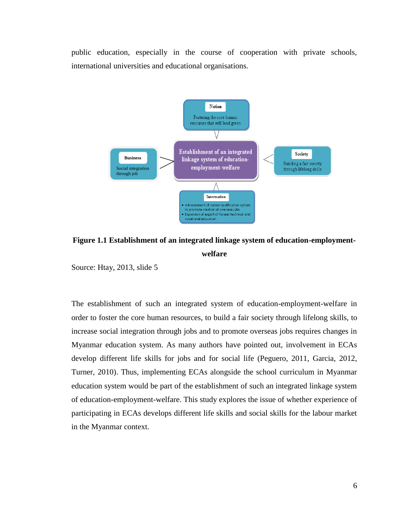public education, especially in the course of cooperation with private schools, international universities and educational organisations.



**Figure 1.1 Establishment of an integrated linkage system of education-employmentwelfare**

Source: Htay, 2013, slide 5

The establishment of such an integrated system of education-employment-welfare in order to foster the core human resources, to build a fair society through lifelong skills, to increase social integration through jobs and to promote overseas jobs requires changes in Myanmar education system. As many authors have pointed out, involvement in ECAs develop different life skills for jobs and for social life (Peguero, 2011, Garcia, 2012, Turner, 2010). Thus, implementing ECAs alongside the school curriculum in Myanmar education system would be part of the establishment of such an integrated linkage system of education-employment-welfare. This study explores the issue of whether experience of participating in ECAs develops different life skills and social skills for the labour market in the Myanmar context.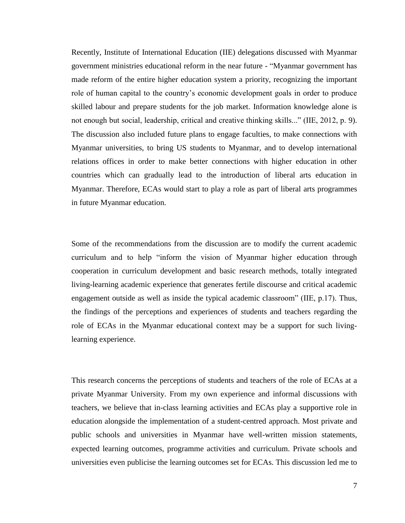Recently, Institute of International Education (IIE) delegations discussed with Myanmar government ministries educational reform in the near future - "Myanmar government has made reform of the entire higher education system a priority, recognizing the important role of human capital to the country's economic development goals in order to produce skilled labour and prepare students for the job market. Information knowledge alone is not enough but social, leadership, critical and creative thinking skills..." (IIE, 2012, p. 9). The discussion also included future plans to engage faculties, to make connections with Myanmar universities, to bring US students to Myanmar, and to develop international relations offices in order to make better connections with higher education in other countries which can gradually lead to the introduction of liberal arts education in Myanmar. Therefore, ECAs would start to play a role as part of liberal arts programmes in future Myanmar education.

Some of the recommendations from the discussion are to modify the current academic curriculum and to help "inform the vision of Myanmar higher education through cooperation in curriculum development and basic research methods, totally integrated living-learning academic experience that generates fertile discourse and critical academic engagement outside as well as inside the typical academic classroom" (IIE, p.17). Thus, the findings of the perceptions and experiences of students and teachers regarding the role of ECAs in the Myanmar educational context may be a support for such livinglearning experience.

This research concerns the perceptions of students and teachers of the role of ECAs at a private Myanmar University. From my own experience and informal discussions with teachers, we believe that in-class learning activities and ECAs play a supportive role in education alongside the implementation of a student-centred approach. Most private and public schools and universities in Myanmar have well-written mission statements, expected learning outcomes, programme activities and curriculum. Private schools and universities even publicise the learning outcomes set for ECAs. This discussion led me to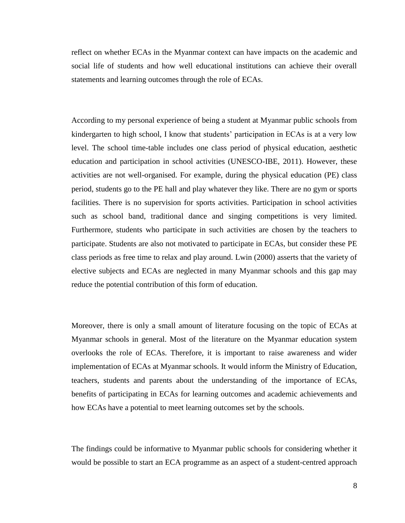reflect on whether ECAs in the Myanmar context can have impacts on the academic and social life of students and how well educational institutions can achieve their overall statements and learning outcomes through the role of ECAs.

According to my personal experience of being a student at Myanmar public schools from kindergarten to high school, I know that students' participation in ECAs is at a very low level. The school time-table includes one class period of physical education, aesthetic education and participation in school activities (UNESCO-IBE, 2011). However, these activities are not well-organised. For example, during the physical education (PE) class period, students go to the PE hall and play whatever they like. There are no gym or sports facilities. There is no supervision for sports activities. Participation in school activities such as school band, traditional dance and singing competitions is very limited. Furthermore, students who participate in such activities are chosen by the teachers to participate. Students are also not motivated to participate in ECAs, but consider these PE class periods as free time to relax and play around. Lwin (2000) asserts that the variety of elective subjects and ECAs are neglected in many Myanmar schools and this gap may reduce the potential contribution of this form of education.

Moreover, there is only a small amount of literature focusing on the topic of ECAs at Myanmar schools in general. Most of the literature on the Myanmar education system overlooks the role of ECAs. Therefore, it is important to raise awareness and wider implementation of ECAs at Myanmar schools. It would inform the Ministry of Education, teachers, students and parents about the understanding of the importance of ECAs, benefits of participating in ECAs for learning outcomes and academic achievements and how ECAs have a potential to meet learning outcomes set by the schools.

The findings could be informative to Myanmar public schools for considering whether it would be possible to start an ECA programme as an aspect of a student-centred approach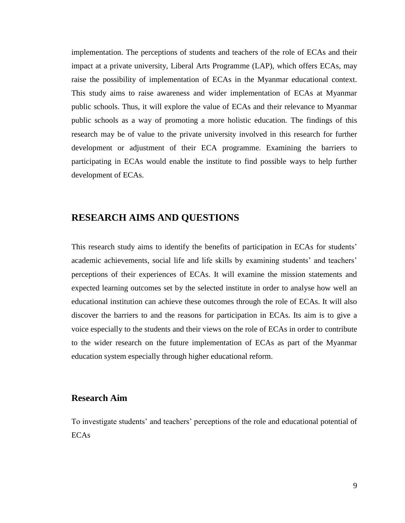implementation. The perceptions of students and teachers of the role of ECAs and their impact at a private university, Liberal Arts Programme (LAP), which offers ECAs, may raise the possibility of implementation of ECAs in the Myanmar educational context. This study aims to raise awareness and wider implementation of ECAs at Myanmar public schools. Thus, it will explore the value of ECAs and their relevance to Myanmar public schools as a way of promoting a more holistic education. The findings of this research may be of value to the private university involved in this research for further development or adjustment of their ECA programme. Examining the barriers to participating in ECAs would enable the institute to find possible ways to help further development of ECAs.

### <span id="page-17-0"></span>**RESEARCH AIMS AND QUESTIONS**

This research study aims to identify the benefits of participation in ECAs for students' academic achievements, social life and life skills by examining students' and teachers' perceptions of their experiences of ECAs. It will examine the mission statements and expected learning outcomes set by the selected institute in order to analyse how well an educational institution can achieve these outcomes through the role of ECAs. It will also discover the barriers to and the reasons for participation in ECAs. Its aim is to give a voice especially to the students and their views on the role of ECAs in order to contribute to the wider research on the future implementation of ECAs as part of the Myanmar education system especially through higher educational reform.

#### **Research Aim**

To investigate students' and teachers' perceptions of the role and educational potential of ECAs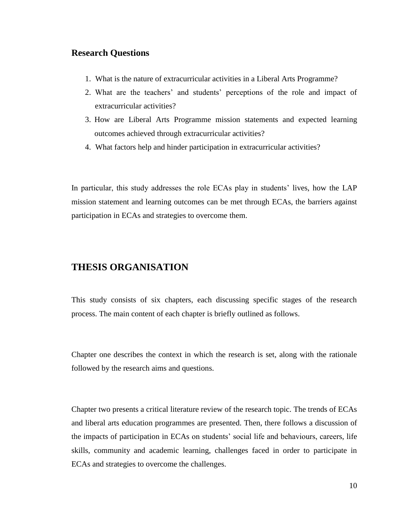#### **Research Questions**

- 1. What is the nature of extracurricular activities in a Liberal Arts Programme?
- 2. What are the teachers' and students' perceptions of the role and impact of extracurricular activities?
- 3. How are Liberal Arts Programme mission statements and expected learning outcomes achieved through extracurricular activities?
- 4. What factors help and hinder participation in extracurricular activities?

In particular, this study addresses the role ECAs play in students' lives, how the LAP mission statement and learning outcomes can be met through ECAs, the barriers against participation in ECAs and strategies to overcome them.

### <span id="page-18-0"></span>**THESIS ORGANISATION**

This study consists of six chapters, each discussing specific stages of the research process. The main content of each chapter is briefly outlined as follows.

Chapter one describes the context in which the research is set, along with the rationale followed by the research aims and questions.

Chapter two presents a critical literature review of the research topic. The trends of ECAs and liberal arts education programmes are presented. Then, there follows a discussion of the impacts of participation in ECAs on students' social life and behaviours, careers, life skills, community and academic learning, challenges faced in order to participate in ECAs and strategies to overcome the challenges.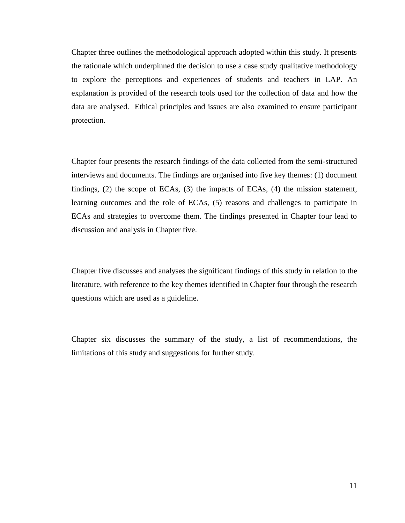Chapter three outlines the methodological approach adopted within this study. It presents the rationale which underpinned the decision to use a case study qualitative methodology to explore the perceptions and experiences of students and teachers in LAP. An explanation is provided of the research tools used for the collection of data and how the data are analysed. Ethical principles and issues are also examined to ensure participant protection.

Chapter four presents the research findings of the data collected from the semi-structured interviews and documents. The findings are organised into five key themes: (1) document findings, (2) the scope of ECAs, (3) the impacts of ECAs, (4) the mission statement, learning outcomes and the role of ECAs, (5) reasons and challenges to participate in ECAs and strategies to overcome them. The findings presented in Chapter four lead to discussion and analysis in Chapter five.

Chapter five discusses and analyses the significant findings of this study in relation to the literature, with reference to the key themes identified in Chapter four through the research questions which are used as a guideline.

Chapter six discusses the summary of the study, a list of recommendations, the limitations of this study and suggestions for further study.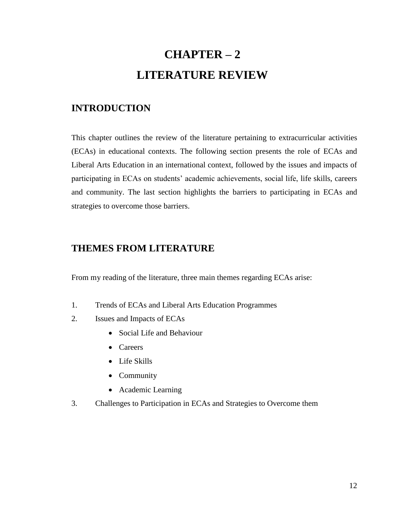# **CHAPTER – 2 LITERATURE REVIEW**

## <span id="page-20-2"></span><span id="page-20-1"></span><span id="page-20-0"></span>**INTRODUCTION**

This chapter outlines the review of the literature pertaining to extracurricular activities (ECAs) in educational contexts. The following section presents the role of ECAs and Liberal Arts Education in an international context, followed by the issues and impacts of participating in ECAs on students' academic achievements, social life, life skills, careers and community. The last section highlights the barriers to participating in ECAs and strategies to overcome those barriers.

## <span id="page-20-3"></span>**THEMES FROM LITERATURE**

From my reading of the literature, three main themes regarding ECAs arise:

- 1. Trends of ECAs and Liberal Arts Education Programmes
- 2. Issues and Impacts of ECAs
	- Social Life and Behaviour
	- Careers
	- Life Skills
	- Community
	- Academic Learning
- 3. Challenges to Participation in ECAs and Strategies to Overcome them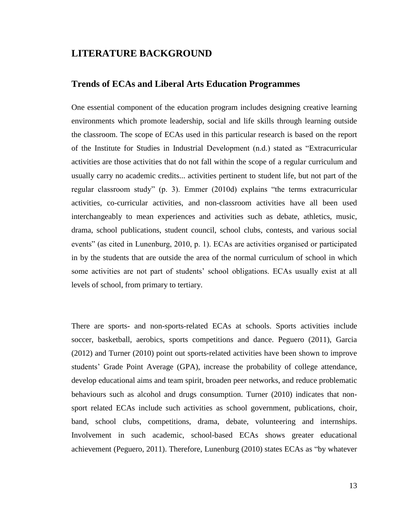### <span id="page-21-0"></span>**LITERATURE BACKGROUND**

### **Trends of ECAs and Liberal Arts Education Programmes**

One essential component of the education program includes designing creative learning environments which promote leadership, social and life skills through learning outside the classroom. The scope of ECAs used in this particular research is based on the report of the Institute for Studies in Industrial Development (n.d.) stated as "Extracurricular activities are those activities that do not fall within the scope of a regular curriculum and usually carry no academic credits... activities pertinent to student life, but not part of the regular classroom study" (p. 3). Emmer (2010d) explains "the terms extracurricular activities, co-curricular activities, and non-classroom activities have all been used interchangeably to mean experiences and activities such as debate, athletics, music, drama, school publications, student council, school clubs, contests, and various social events" (as cited in Lunenburg, 2010, p. 1). ECAs are activities organised or participated in by the students that are outside the area of the normal curriculum of school in which some activities are not part of students' school obligations. ECAs usually exist at all levels of school, from primary to tertiary.

There are sports- and non-sports-related ECAs at schools. Sports activities include soccer, basketball, aerobics, sports competitions and dance. Peguero (2011), Garcia (2012) and Turner (2010) point out sports-related activities have been shown to improve students' Grade Point Average (GPA), increase the probability of college attendance, develop educational aims and team spirit, broaden peer networks, and reduce problematic behaviours such as alcohol and drugs consumption. Turner (2010) indicates that nonsport related ECAs include such activities as school government, publications, choir, band, school clubs, competitions, drama, debate, volunteering and internships. Involvement in such academic, school-based ECAs shows greater educational achievement (Peguero, 2011). Therefore, Lunenburg (2010) states ECAs as "by whatever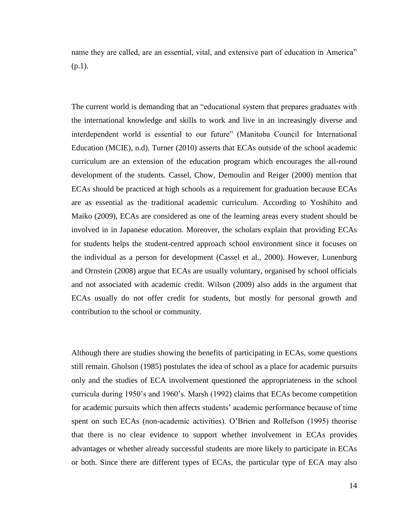name they are called, are an essential, vital, and extensive part of education in America"  $(p.1)$ .

The current world is demanding that an "educational system that prepares graduates with the international knowledge and skills to work and live in an increasingly diverse and interdependent world is essential to our future" (Manitoba Council for International Education (MCIE), n.d). Turner (2010) asserts that ECAs outside of the school academic curriculum are an extension of the education program which encourages the all-round development of the students. Cassel, Chow, Demoulin and Reiger (2000) mention that ECAs should be practiced at high schools as a requirement for graduation because ECAs are as essential as the traditional academic curriculum. According to Yoshihito and Maiko (2009), ECAs are considered as one of the learning areas every student should be involved in in Japanese education. Moreover, the scholars explain that providing ECAs for students helps the student-centred approach school environment since it focuses on the individual as a person for development (Cassel et al., 2000). However, Lunenburg and Ornstein (2008) argue that ECAs are usually voluntary, organised by school officials and not associated with academic credit. Wilson (2009) also adds in the argument that ECAs usually do not offer credit for students, but mostly for personal growth and contribution to the school or community.

Although there are studies showing the benefits of participating in ECAs, some questions still remain. Gholson (1985) postulates the idea of school as a place for academic pursuits only and the studies of ECA involvement questioned the appropriateness in the school curricula during 1950's and 1960's. Marsh (1992) claims that ECAs become competition for academic pursuits which then affects students' academic performance because of time spent on such ECAs (non-academic activities). O'Brien and Rollefson (1995) theorise that there is no clear evidence to support whether involvement in ECAs provides advantages or whether already successful students are more likely to participate in ECAs or both. Since there are different types of ECAs, the particular type of ECA may also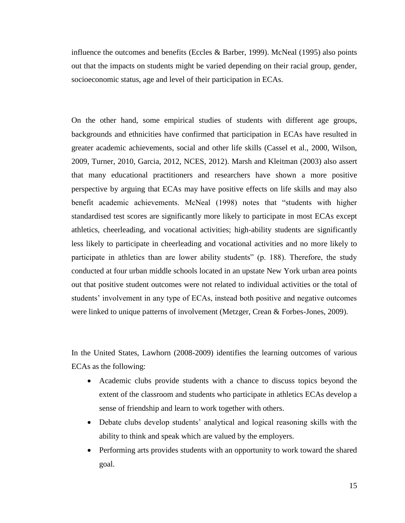influence the outcomes and benefits (Eccles & Barber, 1999). McNeal (1995) also points out that the impacts on students might be varied depending on their racial group, gender, socioeconomic status, age and level of their participation in ECAs.

On the other hand, some empirical studies of students with different age groups, backgrounds and ethnicities have confirmed that participation in ECAs have resulted in greater academic achievements, social and other life skills (Cassel et al., 2000, Wilson, 2009, Turner, 2010, Garcia, 2012, NCES, 2012). Marsh and Kleitman (2003) also assert that many educational practitioners and researchers have shown a more positive perspective by arguing that ECAs may have positive effects on life skills and may also benefit academic achievements. McNeal (1998) notes that "students with higher standardised test scores are significantly more likely to participate in most ECAs except athletics, cheerleading, and vocational activities; high-ability students are significantly less likely to participate in cheerleading and vocational activities and no more likely to participate in athletics than are lower ability students" (p. 188). Therefore, the study conducted at four urban middle schools located in an upstate New York urban area points out that positive student outcomes were not related to individual activities or the total of students' involvement in any type of ECAs, instead both positive and negative outcomes were linked to unique patterns of involvement (Metzger, Crean & Forbes-Jones, 2009).

In the United States, Lawhorn (2008-2009) identifies the learning outcomes of various ECAs as the following:

- Academic clubs provide students with a chance to discuss topics beyond the extent of the classroom and students who participate in athletics ECAs develop a sense of friendship and learn to work together with others.
- Debate clubs develop students' analytical and logical reasoning skills with the ability to think and speak which are valued by the employers.
- Performing arts provides students with an opportunity to work toward the shared goal.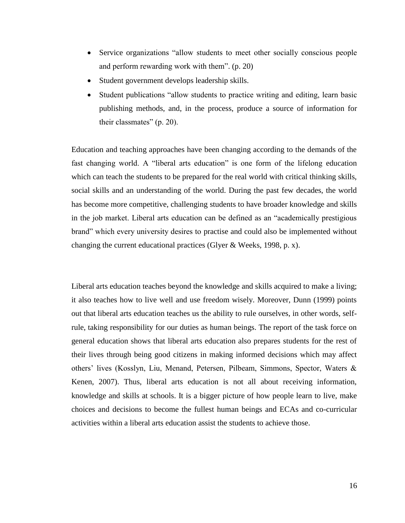- Service organizations "allow students to meet other socially conscious people and perform rewarding work with them". (p. 20)
- Student government develops leadership skills.
- Student publications "allow students to practice writing and editing, learn basic publishing methods, and, in the process, produce a source of information for their classmates" (p. 20).

Education and teaching approaches have been changing according to the demands of the fast changing world. A "liberal arts education" is one form of the lifelong education which can teach the students to be prepared for the real world with critical thinking skills, social skills and an understanding of the world. During the past few decades, the world has become more competitive, challenging students to have broader knowledge and skills in the job market. Liberal arts education can be defined as an "academically prestigious brand" which every university desires to practise and could also be implemented without changing the current educational practices (Glyer & Weeks, 1998, p. x).

Liberal arts education teaches beyond the knowledge and skills acquired to make a living; it also teaches how to live well and use freedom wisely. Moreover, Dunn (1999) points out that liberal arts education teaches us the ability to rule ourselves, in other words, selfrule, taking responsibility for our duties as human beings. The report of the task force on general education shows that liberal arts education also prepares students for the rest of their lives through being good citizens in making informed decisions which may affect others' lives (Kosslyn, Liu, Menand, Petersen, Pilbeam, Simmons, Spector, Waters & Kenen, 2007). Thus, liberal arts education is not all about receiving information, knowledge and skills at schools. It is a bigger picture of how people learn to live, make choices and decisions to become the fullest human beings and ECAs and co-curricular activities within a liberal arts education assist the students to achieve those.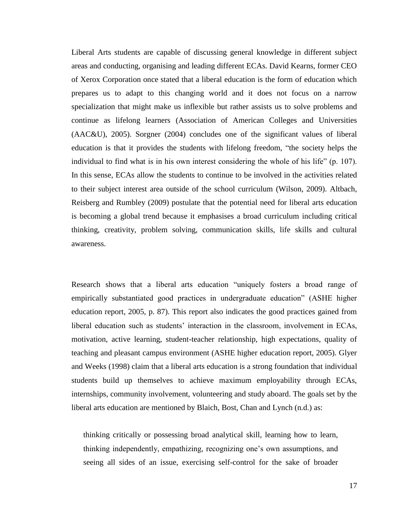Liberal Arts students are capable of discussing general knowledge in different subject areas and conducting, organising and leading different ECAs. David Kearns, former CEO of Xerox Corporation once stated that a liberal education is the form of education which prepares us to adapt to this changing world and it does not focus on a narrow specialization that might make us inflexible but rather assists us to solve problems and continue as lifelong learners (Association of American Colleges and Universities (AAC&U), 2005). Sorgner (2004) concludes one of the significant values of liberal education is that it provides the students with lifelong freedom, "the society helps the individual to find what is in his own interest considering the whole of his life" (p. 107). In this sense, ECAs allow the students to continue to be involved in the activities related to their subject interest area outside of the school curriculum (Wilson, 2009). Altbach, Reisberg and Rumbley (2009) postulate that the potential need for liberal arts education is becoming a global trend because it emphasises a broad curriculum including critical thinking, creativity, problem solving, communication skills, life skills and cultural awareness.

Research shows that a liberal arts education "uniquely fosters a broad range of empirically substantiated good practices in undergraduate education" (ASHE higher education report, 2005, p. 87). This report also indicates the good practices gained from liberal education such as students' interaction in the classroom, involvement in ECAs, motivation, active learning, student-teacher relationship, high expectations, quality of teaching and pleasant campus environment (ASHE higher education report, 2005). Glyer and Weeks (1998) claim that a liberal arts education is a strong foundation that individual students build up themselves to achieve maximum employability through ECAs, internships, community involvement, volunteering and study aboard. The goals set by the liberal arts education are mentioned by Blaich, Bost, Chan and Lynch (n.d.) as:

thinking critically or possessing broad analytical skill, learning how to learn, thinking independently, empathizing, recognizing one's own assumptions, and seeing all sides of an issue, exercising self-control for the sake of broader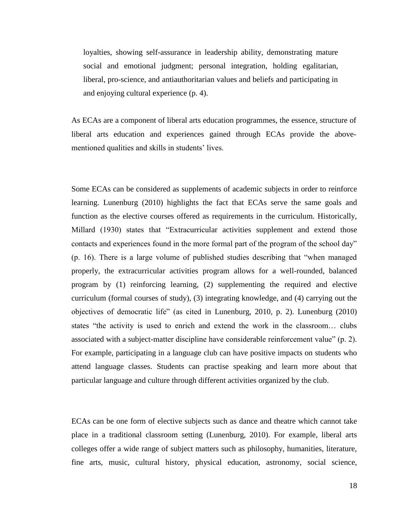loyalties, showing self-assurance in leadership ability, demonstrating mature social and emotional judgment; personal integration, holding egalitarian, liberal, pro-science, and antiauthoritarian values and beliefs and participating in and enjoying cultural experience (p. 4).

As ECAs are a component of liberal arts education programmes, the essence, structure of liberal arts education and experiences gained through ECAs provide the abovementioned qualities and skills in students' lives.

Some ECAs can be considered as supplements of academic subjects in order to reinforce learning. Lunenburg (2010) highlights the fact that ECAs serve the same goals and function as the elective courses offered as requirements in the curriculum. Historically, Millard (1930) states that "Extracurricular activities supplement and extend those contacts and experiences found in the more formal part of the program of the school day" (p. 16). There is a large volume of published studies describing that "when managed properly, the extracurricular activities program allows for a well-rounded, balanced program by (1) reinforcing learning, (2) supplementing the required and elective curriculum (formal courses of study), (3) integrating knowledge, and (4) carrying out the objectives of democratic life" (as cited in Lunenburg, 2010, p. 2). Lunenburg (2010) states "the activity is used to enrich and extend the work in the classroom… clubs associated with a subject-matter discipline have considerable reinforcement value" (p. 2). For example, participating in a language club can have positive impacts on students who attend language classes. Students can practise speaking and learn more about that particular language and culture through different activities organized by the club.

ECAs can be one form of elective subjects such as dance and theatre which cannot take place in a traditional classroom setting (Lunenburg, 2010). For example, liberal arts colleges offer a wide range of subject matters such as philosophy, humanities, literature, fine arts, music, cultural history, physical education, astronomy, social science,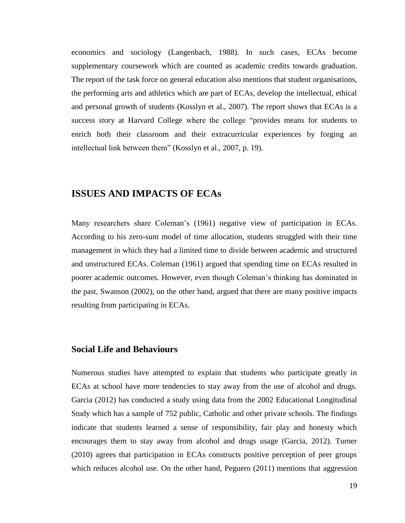economics and sociology (Langenbach, 1988). In such cases, ECAs become supplementary coursework which are counted as academic credits towards graduation. The report of the task force on general education also mentions that student organisations, the performing arts and athletics which are part of ECAs, develop the intellectual, ethical and personal growth of students (Kosslyn et al., 2007). The report shows that ECAs is a success story at Harvard College where the college "provides means for students to enrich both their classroom and their extracurricular experiences by forging an intellectual link between them" (Kosslyn et al., 2007, p. 19).

### <span id="page-27-0"></span>**ISSUES AND IMPACTS OF ECAs**

Many researchers share Coleman's (1961) negative view of participation in ECAs. According to his zero-sum model of time allocation, students struggled with their time management in which they had a limited time to divide between academic and structured and unstructured ECAs. Coleman (1961) argued that spending time on ECAs resulted in poorer academic outcomes. However, even though Coleman's thinking has dominated in the past, Swanson (2002), on the other hand, argued that there are many positive impacts resulting from participating in ECAs.

#### **Social Life and Behaviours**

Numerous studies have attempted to explain that students who participate greatly in ECAs at school have more tendencies to stay away from the use of alcohol and drugs. Garcia (2012) has conducted a study using data from the 2002 Educational Longitudinal Study which has a sample of 752 public, Catholic and other private schools. The findings indicate that students learned a sense of responsibility, fair play and honesty which encourages them to stay away from alcohol and drugs usage (Garcia, 2012). Turner (2010) agrees that participation in ECAs constructs positive perception of peer groups which reduces alcohol use. On the other hand, Peguero (2011) mentions that aggression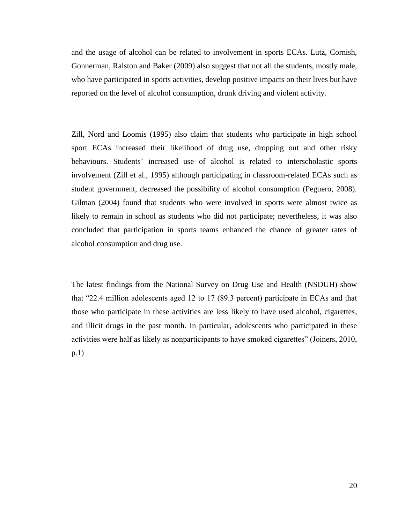and the usage of alcohol can be related to involvement in sports ECAs. Lutz, Cornish, Gonnerman, Ralston and Baker (2009) also suggest that not all the students, mostly male, who have participated in sports activities, develop positive impacts on their lives but have reported on the level of alcohol consumption, drunk driving and violent activity.

Zill, Nord and Loomis (1995) also claim that students who participate in high school sport ECAs increased their likelihood of drug use, dropping out and other risky behaviours. Students' increased use of alcohol is related to interscholastic sports involvement (Zill et al., 1995) although participating in classroom-related ECAs such as student government, decreased the possibility of alcohol consumption (Peguero, 2008). Gilman (2004) found that students who were involved in sports were almost twice as likely to remain in school as students who did not participate; nevertheless, it was also concluded that participation in sports teams enhanced the chance of greater rates of alcohol consumption and drug use.

The latest findings from the National Survey on Drug Use and Health (NSDUH) show that "22.4 million adolescents aged 12 to 17 (89.3 percent) participate in ECAs and that those who participate in these activities are less likely to have used alcohol, cigarettes, and illicit drugs in the past month. In particular, adolescents who participated in these activities were half as likely as nonparticipants to have smoked cigarettes" (Joiners, 2010, p.1)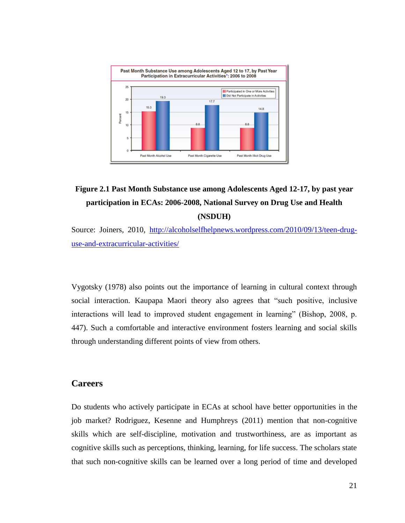

# **Figure 2.1 Past Month Substance use among Adolescents Aged 12-17, by past year participation in ECAs: 2006-2008, National Survey on Drug Use and Health (NSDUH)**

Source: Joiners, 2010, [http://alcoholselfhelpnews.wordpress.com/2010/09/13/teen-drug](http://alcoholselfhelpnews.wordpress.com/2010/09/13/teen-drug-use-and-extracurricular-activities/)[use-and-extracurricular-activities/](http://alcoholselfhelpnews.wordpress.com/2010/09/13/teen-drug-use-and-extracurricular-activities/)

Vygotsky (1978) also points out the importance of learning in cultural context through social interaction. Kaupapa Maori theory also agrees that "such positive, inclusive interactions will lead to improved student engagement in learning" (Bishop, 2008, p. 447). Such a comfortable and interactive environment fosters learning and social skills through understanding different points of view from others.

#### **Careers**

Do students who actively participate in ECAs at school have better opportunities in the job market? Rodriguez, Kesenne and Humphreys (2011) mention that non-cognitive skills which are self-discipline, motivation and trustworthiness, are as important as cognitive skills such as perceptions, thinking, learning, for life success. The scholars state that such non-cognitive skills can be learned over a long period of time and developed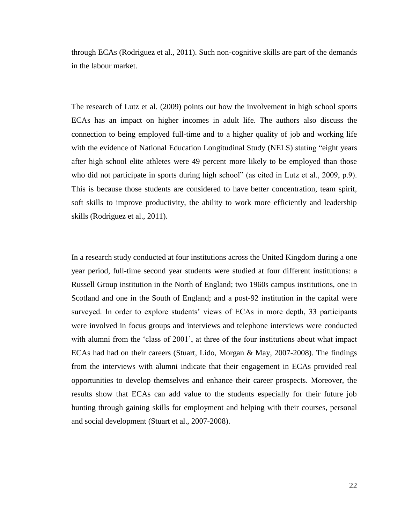through ECAs (Rodriguez et al., 2011). Such non-cognitive skills are part of the demands in the labour market.

The research of Lutz et al. (2009) points out how the involvement in high school sports ECAs has an impact on higher incomes in adult life. The authors also discuss the connection to being employed full-time and to a higher quality of job and working life with the evidence of National Education Longitudinal Study (NELS) stating "eight years after high school elite athletes were 49 percent more likely to be employed than those who did not participate in sports during high school" (as cited in Lutz et al., 2009, p.9). This is because those students are considered to have better concentration, team spirit, soft skills to improve productivity, the ability to work more efficiently and leadership skills (Rodriguez et al., 2011).

In a research study conducted at four institutions across the United Kingdom during a one year period, full-time second year students were studied at four different institutions: a Russell Group institution in the North of England; two 1960s campus institutions, one in Scotland and one in the South of England; and a post-92 institution in the capital were surveyed. In order to explore students' views of ECAs in more depth, 33 participants were involved in focus groups and interviews and telephone interviews were conducted with alumni from the 'class of 2001', at three of the four institutions about what impact ECAs had had on their careers (Stuart, Lido, Morgan & May, 2007-2008). The findings from the interviews with alumni indicate that their engagement in ECAs provided real opportunities to develop themselves and enhance their career prospects. Moreover, the results show that ECAs can add value to the students especially for their future job hunting through gaining skills for employment and helping with their courses, personal and social development (Stuart et al., 2007-2008).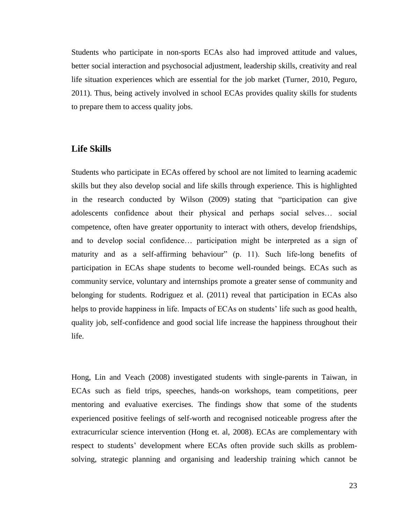Students who participate in non-sports ECAs also had improved attitude and values, better social interaction and psychosocial adjustment, leadership skills, creativity and real life situation experiences which are essential for the job market (Turner, 2010, Peguro, 2011). Thus, being actively involved in school ECAs provides quality skills for students to prepare them to access quality jobs.

#### **Life Skills**

Students who participate in ECAs offered by school are not limited to learning academic skills but they also develop social and life skills through experience. This is highlighted in the research conducted by Wilson (2009) stating that "participation can give adolescents confidence about their physical and perhaps social selves… social competence, often have greater opportunity to interact with others, develop friendships, and to develop social confidence… participation might be interpreted as a sign of maturity and as a self-affirming behaviour" (p. 11). Such life-long benefits of participation in ECAs shape students to become well-rounded beings. ECAs such as community service, voluntary and internships promote a greater sense of community and belonging for students. Rodriguez et al. (2011) reveal that participation in ECAs also helps to provide happiness in life. Impacts of ECAs on students' life such as good health, quality job, self-confidence and good social life increase the happiness throughout their life.

Hong, Lin and Veach (2008) investigated students with single-parents in Taiwan, in ECAs such as field trips, speeches, hands-on workshops, team competitions, peer mentoring and evaluative exercises. The findings show that some of the students experienced positive feelings of self-worth and recognised noticeable progress after the extracurricular science intervention (Hong et. al, 2008). ECAs are complementary with respect to students' development where ECAs often provide such skills as problemsolving, strategic planning and organising and leadership training which cannot be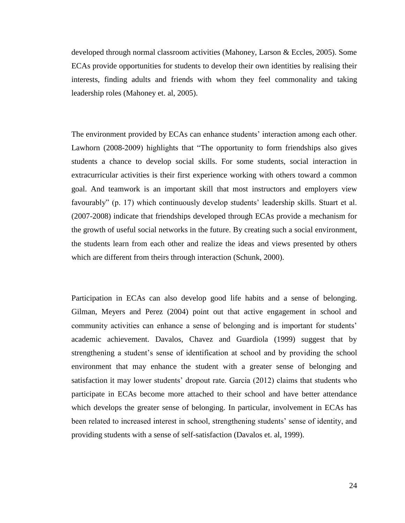developed through normal classroom activities (Mahoney, Larson & Eccles, 2005). Some ECAs provide opportunities for students to develop their own identities by realising their interests, finding adults and friends with whom they feel commonality and taking leadership roles (Mahoney et. al, 2005).

The environment provided by ECAs can enhance students' interaction among each other. Lawhorn (2008-2009) highlights that "The opportunity to form friendships also gives students a chance to develop social skills. For some students, social interaction in extracurricular activities is their first experience working with others toward a common goal. And teamwork is an important skill that most instructors and employers view favourably" (p. 17) which continuously develop students' leadership skills. Stuart et al. (2007-2008) indicate that friendships developed through ECAs provide a mechanism for the growth of useful social networks in the future. By creating such a social environment, the students learn from each other and realize the ideas and views presented by others which are different from theirs through interaction (Schunk, 2000).

Participation in ECAs can also develop good life habits and a sense of belonging. Gilman, Meyers and Perez (2004) point out that active engagement in school and community activities can enhance a sense of belonging and is important for students' academic achievement. Davalos, Chavez and Guardiola (1999) suggest that by strengthening a student's sense of identification at school and by providing the school environment that may enhance the student with a greater sense of belonging and satisfaction it may lower students' dropout rate. Garcia (2012) claims that students who participate in ECAs become more attached to their school and have better attendance which develops the greater sense of belonging. In particular, involvement in ECAs has been related to increased interest in school, strengthening students' sense of identity, and providing students with a sense of self-satisfaction (Davalos et. al, 1999).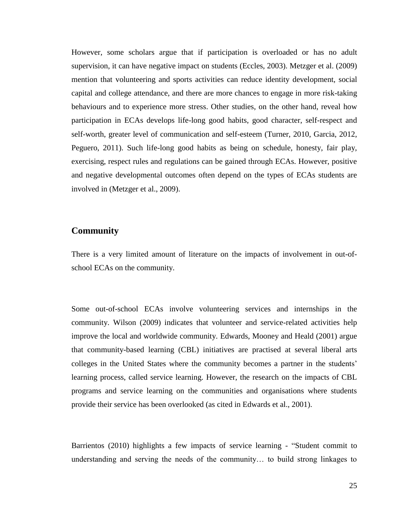However, some scholars argue that if participation is overloaded or has no adult supervision, it can have negative impact on students (Eccles, 2003). Metzger et al. (2009) mention that volunteering and sports activities can reduce identity development, social capital and college attendance, and there are more chances to engage in more risk-taking behaviours and to experience more stress. Other studies, on the other hand, reveal how participation in ECAs develops life-long good habits, good character, self-respect and self-worth, greater level of communication and self-esteem (Turner, 2010, Garcia, 2012, Peguero, 2011). Such life-long good habits as being on schedule, honesty, fair play, exercising, respect rules and regulations can be gained through ECAs. However, positive and negative developmental outcomes often depend on the types of ECAs students are involved in (Metzger et al., 2009).

#### **Community**

There is a very limited amount of literature on the impacts of involvement in out-ofschool ECAs on the community.

Some out-of-school ECAs involve volunteering services and internships in the community. Wilson (2009) indicates that volunteer and service-related activities help improve the local and worldwide community. Edwards, Mooney and Heald (2001) argue that community-based learning (CBL) initiatives are practised at several liberal arts colleges in the United States where the community becomes a partner in the students' learning process, called service learning. However, the research on the impacts of CBL programs and service learning on the communities and organisations where students provide their service has been overlooked (as cited in Edwards et al., 2001).

Barrientos (2010) highlights a few impacts of service learning - "Student commit to understanding and serving the needs of the community… to build strong linkages to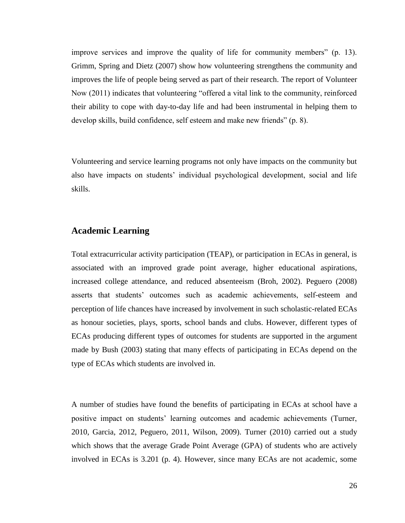improve services and improve the quality of life for community members" (p. 13). Grimm, Spring and Dietz (2007) show how volunteering strengthens the community and improves the life of people being served as part of their research. The report of Volunteer Now (2011) indicates that volunteering "offered a vital link to the community, reinforced their ability to cope with day-to-day life and had been instrumental in helping them to develop skills, build confidence, self esteem and make new friends" (p. 8).

Volunteering and service learning programs not only have impacts on the community but also have impacts on students' individual psychological development, social and life skills.

#### **Academic Learning**

Total extracurricular activity participation (TEAP), or participation in ECAs in general, is associated with an improved grade point average, higher educational aspirations, increased college attendance, and reduced absenteeism (Broh, 2002). Peguero (2008) asserts that students' outcomes such as academic achievements, self-esteem and perception of life chances have increased by involvement in such scholastic-related ECAs as honour societies, plays, sports, school bands and clubs. However, different types of ECAs producing different types of outcomes for students are supported in the argument made by Bush (2003) stating that many effects of participating in ECAs depend on the type of ECAs which students are involved in.

A number of studies have found the benefits of participating in ECAs at school have a positive impact on students' learning outcomes and academic achievements (Turner, 2010, Garcia, 2012, Peguero, 2011, Wilson, 2009). Turner (2010) carried out a study which shows that the average Grade Point Average (GPA) of students who are actively involved in ECAs is 3.201 (p. 4). However, since many ECAs are not academic, some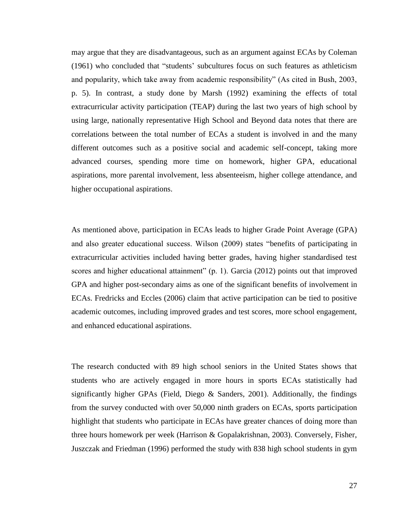may argue that they are disadvantageous, such as an argument against ECAs by Coleman (1961) who concluded that "students' subcultures focus on such features as athleticism and popularity, which take away from academic responsibility" (As cited in Bush, 2003, p. 5). In contrast, a study done by Marsh (1992) examining the effects of total extracurricular activity participation (TEAP) during the last two years of high school by using large, nationally representative High School and Beyond data notes that there are correlations between the total number of ECAs a student is involved in and the many different outcomes such as a positive social and academic self-concept, taking more advanced courses, spending more time on homework, higher GPA, educational aspirations, more parental involvement, less absenteeism, higher college attendance, and higher occupational aspirations.

As mentioned above, participation in ECAs leads to higher Grade Point Average (GPA) and also greater educational success. Wilson (2009) states "benefits of participating in extracurricular activities included having better grades, having higher standardised test scores and higher educational attainment" (p. 1). Garcia (2012) points out that improved GPA and higher post-secondary aims as one of the significant benefits of involvement in ECAs. Fredricks and Eccles (2006) claim that active participation can be tied to positive academic outcomes, including improved grades and test scores, more school engagement, and enhanced educational aspirations.

The research conducted with 89 high school seniors in the United States shows that students who are actively engaged in more hours in sports ECAs statistically had significantly higher GPAs (Field, Diego  $\&$  Sanders, 2001). Additionally, the findings from the survey conducted with over 50,000 ninth graders on ECAs, sports participation highlight that students who participate in ECAs have greater chances of doing more than three hours homework per week (Harrison & Gopalakrishnan, 2003). Conversely, Fisher, Juszczak and Friedman (1996) performed the study with 838 high school students in gym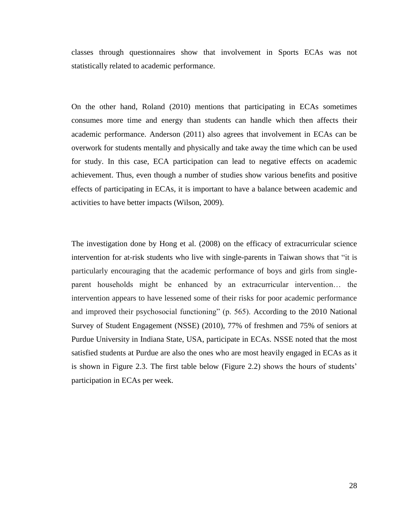classes through questionnaires show that involvement in Sports ECAs was not statistically related to academic performance.

On the other hand, Roland (2010) mentions that participating in ECAs sometimes consumes more time and energy than students can handle which then affects their academic performance. Anderson (2011) also agrees that involvement in ECAs can be overwork for students mentally and physically and take away the time which can be used for study. In this case, ECA participation can lead to negative effects on academic achievement. Thus, even though a number of studies show various benefits and positive effects of participating in ECAs, it is important to have a balance between academic and activities to have better impacts (Wilson, 2009).

The investigation done by Hong et al. (2008) on the efficacy of extracurricular science intervention for at-risk students who live with single-parents in Taiwan shows that "it is particularly encouraging that the academic performance of boys and girls from singleparent households might be enhanced by an extracurricular intervention… the intervention appears to have lessened some of their risks for poor academic performance and improved their psychosocial functioning" (p. 565). According to the 2010 National Survey of Student Engagement (NSSE) (2010), 77% of freshmen and 75% of seniors at Purdue University in Indiana State, USA, participate in ECAs. NSSE noted that the most satisfied students at Purdue are also the ones who are most heavily engaged in ECAs as it is shown in Figure 2.3. The first table below (Figure 2.2) shows the hours of students' participation in ECAs per week.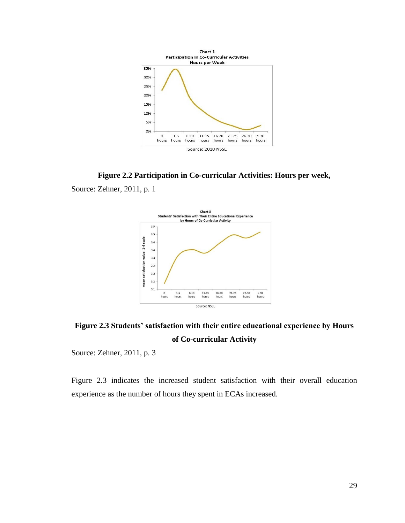

**Figure 2.2 Participation in Co-curricular Activities: Hours per week,**

Source: Zehner, 2011, p. 1



**Figure 2.3 Students' satisfaction with their entire educational experience by Hours of Co-curricular Activity**

Source: Zehner, 2011, p. 3

Figure 2.3 indicates the increased student satisfaction with their overall education experience as the number of hours they spent in ECAs increased.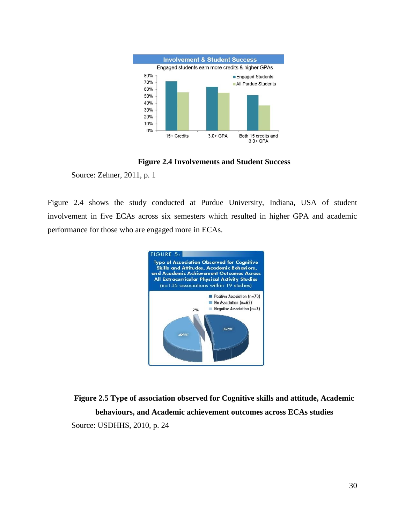

#### **Figure 2.4 Involvements and Student Success**

Source: Zehner, 2011, p. 1

Figure 2.4 shows the study conducted at Purdue University, Indiana, USA of student involvement in five ECAs across six semesters which resulted in higher GPA and academic performance for those who are engaged more in ECAs.



**Figure 2.5 Type of association observed for Cognitive skills and attitude, Academic behaviours, and Academic achievement outcomes across ECAs studies** Source: USDHHS, 2010, p. 24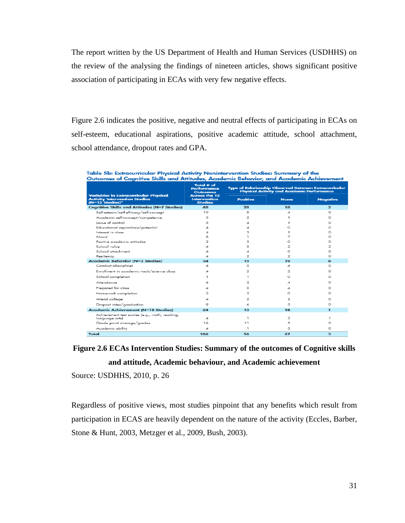The report written by the US Department of Health and Human Services (USDHHS) on the review of the analysing the findings of nineteen articles, shows significant positive association of participating in ECAs with very few negative effects.

Figure 2.6 indicates the positive, negative and neutral effects of participating in ECAs on self-esteem, educational aspirations, positive academic attitude, school attachment, school attendance, dropout rates and GPA.

Table 5b: Extracurricular Physical Activity Nonintervention Studies: Summary of the<br>Outcomes of Cognitive Skills and Attitudes, Academic Behavior, and Academic Achievement

|                                                                                                                                    | Total # of<br>Performance<br><b>Outcomes</b><br><b>Across the 12</b><br>Intervention<br><b>Studies</b> | <b>Type of Relationship Observed Between Extracurricular</b><br><b>Physical Activity and Academic Performance</b> |             |                 |
|------------------------------------------------------------------------------------------------------------------------------------|--------------------------------------------------------------------------------------------------------|-------------------------------------------------------------------------------------------------------------------|-------------|-----------------|
| <b>Variables in Extracurricular Physical</b><br><b>Activity Intervention Studies</b><br>$(N=12$ Studies) <sup><math>z</math></sup> |                                                                                                        | <b>Positive</b>                                                                                                   | <b>None</b> | <b>Negative</b> |
| <b>Cognitive Skills and Attitudes (N=7 Studies)</b>                                                                                | 48                                                                                                     | 28                                                                                                                | 18          | $\overline{2}$  |
| Self-esteem/self-efficacy/self-concept                                                                                             | 19                                                                                                     | 5                                                                                                                 | 4           | $\circ$         |
| Academic self-concept/competence                                                                                                   | з                                                                                                      | 2                                                                                                                 | п           | $\circ$         |
| Locus of control                                                                                                                   | 5                                                                                                      | 4                                                                                                                 | ٦           | $\circ$         |
| Educational aspirations/potential                                                                                                  |                                                                                                        | 4                                                                                                                 | o           | $\circ$         |
| Interest in class                                                                                                                  |                                                                                                        | з                                                                                                                 |             | $\circ$         |
| Mood                                                                                                                               | я                                                                                                      |                                                                                                                   | 7           | $\circ$         |
| Positive academic attitudes                                                                                                        | з                                                                                                      | з                                                                                                                 | $\circ$     | $\circ$         |
| School value                                                                                                                       |                                                                                                        | o                                                                                                                 | 2           | 2               |
| School attachment                                                                                                                  | ⊿                                                                                                      | 4                                                                                                                 | o           | O               |
| Resiliency                                                                                                                         | ⊿                                                                                                      | 2                                                                                                                 | っ           | $\Omega$        |
| <b>Academic Behavior (N=3 Studies)</b>                                                                                             | 34                                                                                                     | 15                                                                                                                | 19          | $\bullet$       |
| Conduct (discipline)                                                                                                               | ⊿                                                                                                      | O                                                                                                                 | ⊿           | $\circ$         |
| Enrollment in academic track/science class                                                                                         |                                                                                                        | 2                                                                                                                 | 2           | $\circ$         |
| School completion                                                                                                                  |                                                                                                        | т                                                                                                                 | o           | $\circ$         |
| Attendance                                                                                                                         |                                                                                                        | 2                                                                                                                 | ⊿           | $\Omega$        |
| Prepared for class                                                                                                                 |                                                                                                        | o                                                                                                                 | ⊿           | $\circ$         |
| Homework completion                                                                                                                | 2                                                                                                      | 2                                                                                                                 | o           | $\circ$         |
| Attend college                                                                                                                     | ⊿                                                                                                      | 2                                                                                                                 | 2           | $\circ$         |
| Dropout rates/graduation                                                                                                           | ۰                                                                                                      | 6                                                                                                                 | з           | $\circ$         |
| Academic Achievement (N=10 Studies)                                                                                                | 24                                                                                                     | 13                                                                                                                | 10          | $\mathbf{I}$    |
| Achievement test scores (e.g., math, reading,<br>lanquaqe arts)                                                                    | ⊿                                                                                                      | 1                                                                                                                 | 2           | ٦               |
| Grade point average/grades                                                                                                         | 16                                                                                                     | 11                                                                                                                | 5           | $\circ$         |
| Academic ability                                                                                                                   | 4                                                                                                      | п.                                                                                                                | з           | $\circ$         |
| Total                                                                                                                              | 106                                                                                                    | 56                                                                                                                | 47          | з               |

## **Figure 2.6 ECAs Intervention Studies: Summary of the outcomes of Cognitive skills and attitude, Academic behaviour, and Academic achievement**

Source: USDHHS, 2010, p. 26

Regardless of positive views, most studies pinpoint that any benefits which result from participation in ECAS are heavily dependent on the nature of the activity (Eccles, Barber, Stone & Hunt, 2003, Metzger et al., 2009, Bush, 2003).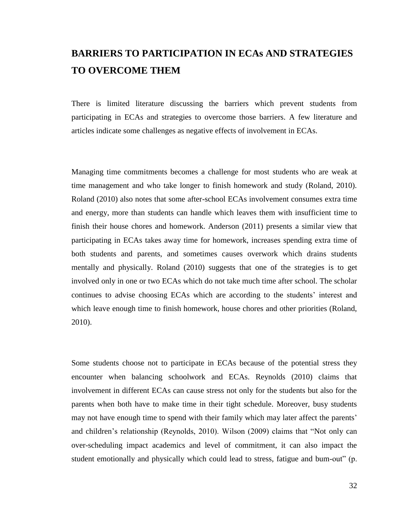## **BARRIERS TO PARTICIPATION IN ECAs AND STRATEGIES TO OVERCOME THEM**

There is limited literature discussing the barriers which prevent students from participating in ECAs and strategies to overcome those barriers. A few literature and articles indicate some challenges as negative effects of involvement in ECAs.

Managing time commitments becomes a challenge for most students who are weak at time management and who take longer to finish homework and study (Roland, 2010). Roland (2010) also notes that some after-school ECAs involvement consumes extra time and energy, more than students can handle which leaves them with insufficient time to finish their house chores and homework. Anderson (2011) presents a similar view that participating in ECAs takes away time for homework, increases spending extra time of both students and parents, and sometimes causes overwork which drains students mentally and physically. Roland (2010) suggests that one of the strategies is to get involved only in one or two ECAs which do not take much time after school. The scholar continues to advise choosing ECAs which are according to the students' interest and which leave enough time to finish homework, house chores and other priorities (Roland, 2010).

Some students choose not to participate in ECAs because of the potential stress they encounter when balancing schoolwork and ECAs. Reynolds (2010) claims that involvement in different ECAs can cause stress not only for the students but also for the parents when both have to make time in their tight schedule. Moreover, busy students may not have enough time to spend with their family which may later affect the parents' and children's relationship (Reynolds, 2010). Wilson (2009) claims that "Not only can over-scheduling impact academics and level of commitment, it can also impact the student emotionally and physically which could lead to stress, fatigue and bum-out" (p.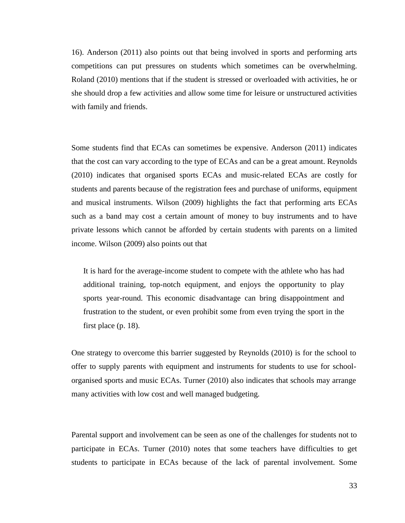16). Anderson (2011) also points out that being involved in sports and performing arts competitions can put pressures on students which sometimes can be overwhelming. Roland (2010) mentions that if the student is stressed or overloaded with activities, he or she should drop a few activities and allow some time for leisure or unstructured activities with family and friends.

Some students find that ECAs can sometimes be expensive. Anderson (2011) indicates that the cost can vary according to the type of ECAs and can be a great amount. Reynolds (2010) indicates that organised sports ECAs and music-related ECAs are costly for students and parents because of the registration fees and purchase of uniforms, equipment and musical instruments. Wilson (2009) highlights the fact that performing arts ECAs such as a band may cost a certain amount of money to buy instruments and to have private lessons which cannot be afforded by certain students with parents on a limited income. Wilson (2009) also points out that

It is hard for the average-income student to compete with the athlete who has had additional training, top-notch equipment, and enjoys the opportunity to play sports year-round. This economic disadvantage can bring disappointment and frustration to the student, or even prohibit some from even trying the sport in the first place (p. 18).

One strategy to overcome this barrier suggested by Reynolds (2010) is for the school to offer to supply parents with equipment and instruments for students to use for schoolorganised sports and music ECAs. Turner (2010) also indicates that schools may arrange many activities with low cost and well managed budgeting.

Parental support and involvement can be seen as one of the challenges for students not to participate in ECAs. Turner (2010) notes that some teachers have difficulties to get students to participate in ECAs because of the lack of parental involvement. Some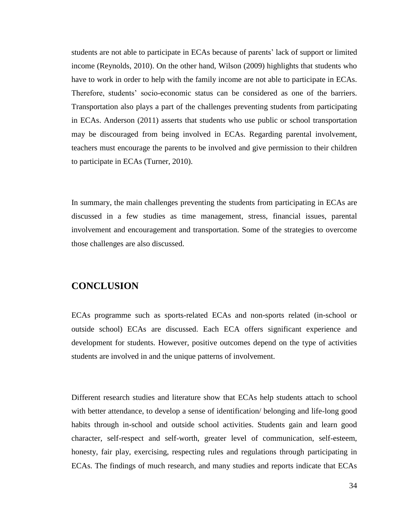students are not able to participate in ECAs because of parents' lack of support or limited income (Reynolds, 2010). On the other hand, Wilson (2009) highlights that students who have to work in order to help with the family income are not able to participate in ECAs. Therefore, students' socio-economic status can be considered as one of the barriers. Transportation also plays a part of the challenges preventing students from participating in ECAs. Anderson (2011) asserts that students who use public or school transportation may be discouraged from being involved in ECAs. Regarding parental involvement, teachers must encourage the parents to be involved and give permission to their children to participate in ECAs (Turner, 2010).

In summary, the main challenges preventing the students from participating in ECAs are discussed in a few studies as time management, stress, financial issues, parental involvement and encouragement and transportation. Some of the strategies to overcome those challenges are also discussed.

### **CONCLUSION**

ECAs programme such as sports-related ECAs and non-sports related (in-school or outside school) ECAs are discussed. Each ECA offers significant experience and development for students. However, positive outcomes depend on the type of activities students are involved in and the unique patterns of involvement.

Different research studies and literature show that ECAs help students attach to school with better attendance, to develop a sense of identification/ belonging and life-long good habits through in-school and outside school activities. Students gain and learn good character, self-respect and self-worth, greater level of communication, self-esteem, honesty, fair play, exercising, respecting rules and regulations through participating in ECAs. The findings of much research, and many studies and reports indicate that ECAs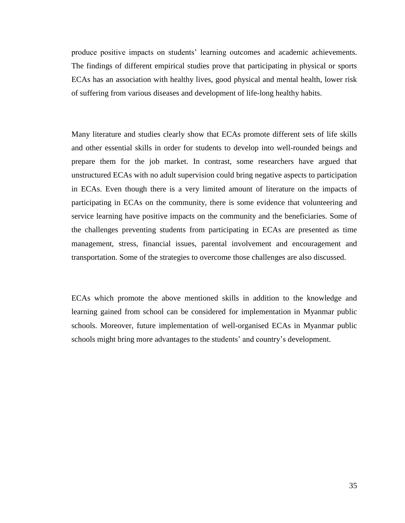produce positive impacts on students' learning outcomes and academic achievements. The findings of different empirical studies prove that participating in physical or sports ECAs has an association with healthy lives, good physical and mental health, lower risk of suffering from various diseases and development of life-long healthy habits.

Many literature and studies clearly show that ECAs promote different sets of life skills and other essential skills in order for students to develop into well-rounded beings and prepare them for the job market. In contrast, some researchers have argued that unstructured ECAs with no adult supervision could bring negative aspects to participation in ECAs. Even though there is a very limited amount of literature on the impacts of participating in ECAs on the community, there is some evidence that volunteering and service learning have positive impacts on the community and the beneficiaries. Some of the challenges preventing students from participating in ECAs are presented as time management, stress, financial issues, parental involvement and encouragement and transportation. Some of the strategies to overcome those challenges are also discussed.

ECAs which promote the above mentioned skills in addition to the knowledge and learning gained from school can be considered for implementation in Myanmar public schools. Moreover, future implementation of well-organised ECAs in Myanmar public schools might bring more advantages to the students' and country's development.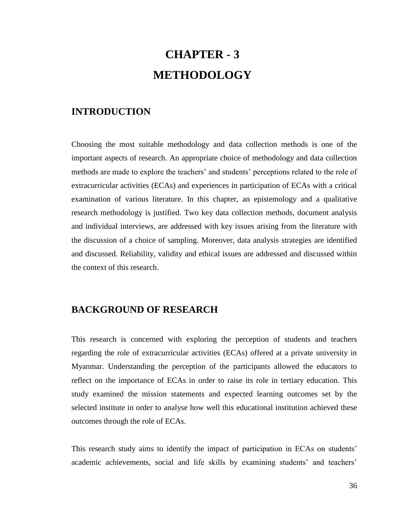# **CHAPTER - 3 METHODOLOGY**

### **INTRODUCTION**

Choosing the most suitable methodology and data collection methods is one of the important aspects of research. An appropriate choice of methodology and data collection methods are made to explore the teachers' and students' perceptions related to the role of extracurricular activities (ECAs) and experiences in participation of ECAs with a critical examination of various literature. In this chapter, an epistemology and a qualitative research methodology is justified. Two key data collection methods, document analysis and individual interviews, are addressed with key issues arising from the literature with the discussion of a choice of sampling. Moreover, data analysis strategies are identified and discussed. Reliability, validity and ethical issues are addressed and discussed within the context of this research.

### **BACKGROUND OF RESEARCH**

This research is concerned with exploring the perception of students and teachers regarding the role of extracurricular activities (ECAs) offered at a private university in Myanmar. Understanding the perception of the participants allowed the educators to reflect on the importance of ECAs in order to raise its role in tertiary education. This study examined the mission statements and expected learning outcomes set by the selected institute in order to analyse how well this educational institution achieved these outcomes through the role of ECAs.

This research study aims to identify the impact of participation in ECAs on students' academic achievements, social and life skills by examining students' and teachers'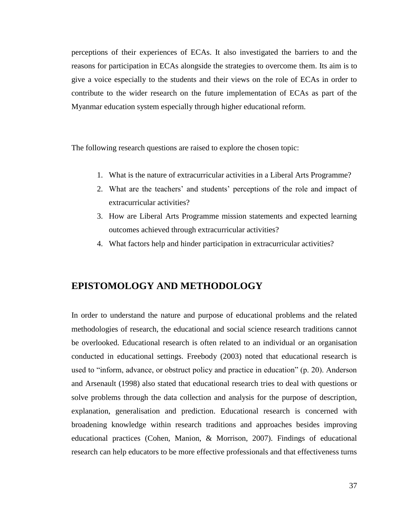perceptions of their experiences of ECAs. It also investigated the barriers to and the reasons for participation in ECAs alongside the strategies to overcome them. Its aim is to give a voice especially to the students and their views on the role of ECAs in order to contribute to the wider research on the future implementation of ECAs as part of the Myanmar education system especially through higher educational reform.

The following research questions are raised to explore the chosen topic:

- 1. What is the nature of extracurricular activities in a Liberal Arts Programme?
- 2. What are the teachers' and students' perceptions of the role and impact of extracurricular activities?
- 3. How are Liberal Arts Programme mission statements and expected learning outcomes achieved through extracurricular activities?
- 4. What factors help and hinder participation in extracurricular activities?

### **EPISTOMOLOGY AND METHODOLOGY**

In order to understand the nature and purpose of educational problems and the related methodologies of research, the educational and social science research traditions cannot be overlooked. Educational research is often related to an individual or an organisation conducted in educational settings. Freebody (2003) noted that educational research is used to "inform, advance, or obstruct policy and practice in education" (p. 20). Anderson and Arsenault (1998) also stated that educational research tries to deal with questions or solve problems through the data collection and analysis for the purpose of description, explanation, generalisation and prediction. Educational research is concerned with broadening knowledge within research traditions and approaches besides improving educational practices (Cohen, Manion, & Morrison, 2007). Findings of educational research can help educators to be more effective professionals and that effectiveness turns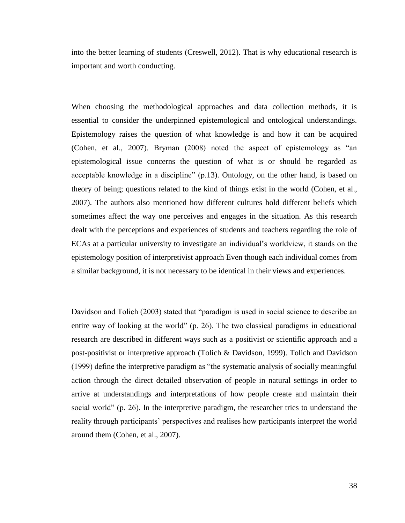into the better learning of students (Creswell, 2012). That is why educational research is important and worth conducting.

When choosing the methodological approaches and data collection methods, it is essential to consider the underpinned epistemological and ontological understandings. Epistemology raises the question of what knowledge is and how it can be acquired (Cohen, et al., 2007). Bryman (2008) noted the aspect of epistemology as "an epistemological issue concerns the question of what is or should be regarded as acceptable knowledge in a discipline" (p.13). Ontology, on the other hand, is based on theory of being; questions related to the kind of things exist in the world (Cohen, et al., 2007). The authors also mentioned how different cultures hold different beliefs which sometimes affect the way one perceives and engages in the situation. As this research dealt with the perceptions and experiences of students and teachers regarding the role of ECAs at a particular university to investigate an individual's worldview, it stands on the epistemology position of interpretivist approach Even though each individual comes from a similar background, it is not necessary to be identical in their views and experiences.

Davidson and Tolich (2003) stated that "paradigm is used in social science to describe an entire way of looking at the world" (p. 26). The two classical paradigms in educational research are described in different ways such as a positivist or scientific approach and a post-positivist or interpretive approach (Tolich & Davidson, 1999). Tolich and Davidson (1999) define the interpretive paradigm as "the systematic analysis of socially meaningful action through the direct detailed observation of people in natural settings in order to arrive at understandings and interpretations of how people create and maintain their social world" (p. 26). In the interpretive paradigm, the researcher tries to understand the reality through participants' perspectives and realises how participants interpret the world around them (Cohen, et al., 2007).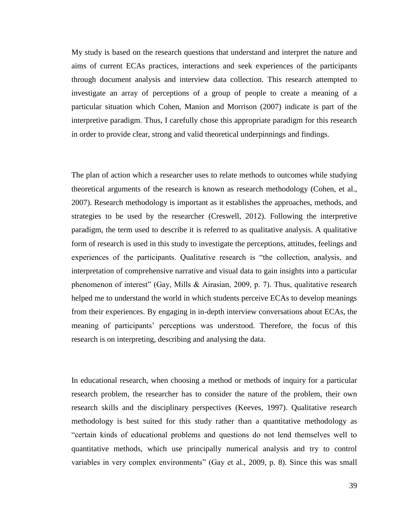My study is based on the research questions that understand and interpret the nature and aims of current ECAs practices, interactions and seek experiences of the participants through document analysis and interview data collection. This research attempted to investigate an array of perceptions of a group of people to create a meaning of a particular situation which Cohen, Manion and Morrison (2007) indicate is part of the interpretive paradigm. Thus, I carefully chose this appropriate paradigm for this research in order to provide clear, strong and valid theoretical underpinnings and findings.

The plan of action which a researcher uses to relate methods to outcomes while studying theoretical arguments of the research is known as research methodology (Cohen, et al., 2007). Research methodology is important as it establishes the approaches, methods, and strategies to be used by the researcher (Creswell, 2012). Following the interpretive paradigm, the term used to describe it is referred to as qualitative analysis. A qualitative form of research is used in this study to investigate the perceptions, attitudes, feelings and experiences of the participants. Qualitative research is "the collection, analysis, and interpretation of comprehensive narrative and visual data to gain insights into a particular phenomenon of interest" (Gay, Mills & Airasian, 2009, p. 7). Thus, qualitative research helped me to understand the world in which students perceive ECAs to develop meanings from their experiences. By engaging in in-depth interview conversations about ECAs, the meaning of participants' perceptions was understood. Therefore, the focus of this research is on interpreting, describing and analysing the data.

In educational research, when choosing a method or methods of inquiry for a particular research problem, the researcher has to consider the nature of the problem, their own research skills and the disciplinary perspectives (Keeves, 1997). Qualitative research methodology is best suited for this study rather than a quantitative methodology as "certain kinds of educational problems and questions do not lend themselves well to quantitative methods, which use principally numerical analysis and try to control variables in very complex environments" (Gay et al., 2009, p. 8). Since this was small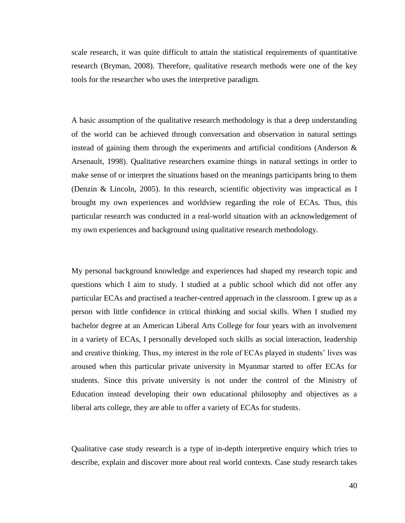scale research, it was quite difficult to attain the statistical requirements of quantitative research (Bryman, 2008). Therefore, qualitative research methods were one of the key tools for the researcher who uses the interpretive paradigm.

A basic assumption of the qualitative research methodology is that a deep understanding of the world can be achieved through conversation and observation in natural settings instead of gaining them through the experiments and artificial conditions (Anderson  $\&$ Arsenault, 1998). Qualitative researchers examine things in natural settings in order to make sense of or interpret the situations based on the meanings participants bring to them (Denzin & Lincoln, 2005). In this research, scientific objectivity was impractical as I brought my own experiences and worldview regarding the role of ECAs. Thus, this particular research was conducted in a real-world situation with an acknowledgement of my own experiences and background using qualitative research methodology.

My personal background knowledge and experiences had shaped my research topic and questions which I aim to study. I studied at a public school which did not offer any particular ECAs and practised a teacher-centred approach in the classroom. I grew up as a person with little confidence in critical thinking and social skills. When I studied my bachelor degree at an American Liberal Arts College for four years with an involvement in a variety of ECAs, I personally developed such skills as social interaction, leadership and creative thinking. Thus, my interest in the role of ECAs played in students' lives was aroused when this particular private university in Myanmar started to offer ECAs for students. Since this private university is not under the control of the Ministry of Education instead developing their own educational philosophy and objectives as a liberal arts college, they are able to offer a variety of ECAs for students.

Qualitative case study research is a type of in-depth interpretive enquiry which tries to describe, explain and discover more about real world contexts. Case study research takes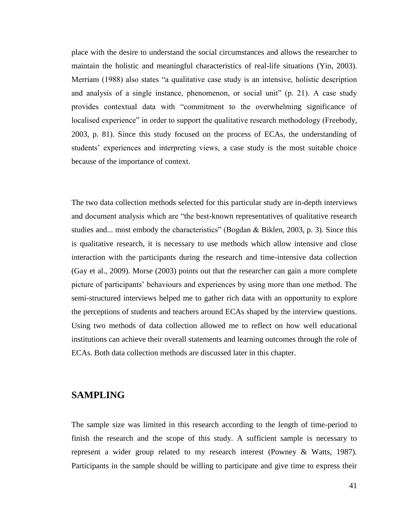place with the desire to understand the social circumstances and allows the researcher to maintain the holistic and meaningful characteristics of real-life situations (Yin, 2003). Merriam (1988) also states "a qualitative case study is an intensive, holistic description and analysis of a single instance, phenomenon, or social unit" (p. 21). A case study provides contextual data with "commitment to the overwhelming significance of localised experience" in order to support the qualitative research methodology (Freebody, 2003, p. 81). Since this study focused on the process of ECAs, the understanding of students' experiences and interpreting views, a case study is the most suitable choice because of the importance of context.

The two data collection methods selected for this particular study are in-depth interviews and document analysis which are "the best-known representatives of qualitative research studies and... most embody the characteristics" (Bogdan & Biklen, 2003, p. 3). Since this is qualitative research, it is necessary to use methods which allow intensive and close interaction with the participants during the research and time-intensive data collection (Gay et al., 2009). Morse (2003) points out that the researcher can gain a more complete picture of participants' behaviours and experiences by using more than one method. The semi-structured interviews helped me to gather rich data with an opportunity to explore the perceptions of students and teachers around ECAs shaped by the interview questions. Using two methods of data collection allowed me to reflect on how well educational institutions can achieve their overall statements and learning outcomes through the role of ECAs. Both data collection methods are discussed later in this chapter.

### **SAMPLING**

The sample size was limited in this research according to the length of time-period to finish the research and the scope of this study. A sufficient sample is necessary to represent a wider group related to my research interest (Powney & Watts, 1987). Participants in the sample should be willing to participate and give time to express their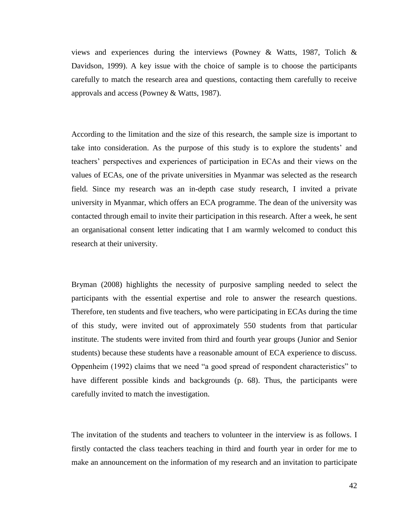views and experiences during the interviews (Powney & Watts, 1987, Tolich  $\&$ Davidson, 1999). A key issue with the choice of sample is to choose the participants carefully to match the research area and questions, contacting them carefully to receive approvals and access (Powney & Watts, 1987).

According to the limitation and the size of this research, the sample size is important to take into consideration. As the purpose of this study is to explore the students' and teachers' perspectives and experiences of participation in ECAs and their views on the values of ECAs, one of the private universities in Myanmar was selected as the research field. Since my research was an in-depth case study research, I invited a private university in Myanmar, which offers an ECA programme. The dean of the university was contacted through email to invite their participation in this research. After a week, he sent an organisational consent letter indicating that I am warmly welcomed to conduct this research at their university.

Bryman (2008) highlights the necessity of purposive sampling needed to select the participants with the essential expertise and role to answer the research questions. Therefore, ten students and five teachers, who were participating in ECAs during the time of this study, were invited out of approximately 550 students from that particular institute. The students were invited from third and fourth year groups (Junior and Senior students) because these students have a reasonable amount of ECA experience to discuss. Oppenheim (1992) claims that we need "a good spread of respondent characteristics" to have different possible kinds and backgrounds (p. 68). Thus, the participants were carefully invited to match the investigation.

The invitation of the students and teachers to volunteer in the interview is as follows. I firstly contacted the class teachers teaching in third and fourth year in order for me to make an announcement on the information of my research and an invitation to participate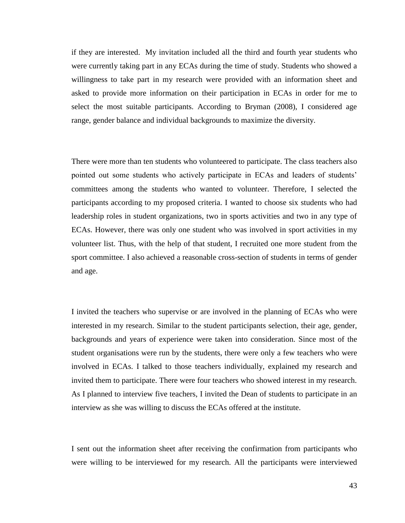if they are interested. My invitation included all the third and fourth year students who were currently taking part in any ECAs during the time of study. Students who showed a willingness to take part in my research were provided with an information sheet and asked to provide more information on their participation in ECAs in order for me to select the most suitable participants. According to Bryman (2008), I considered age range, gender balance and individual backgrounds to maximize the diversity.

There were more than ten students who volunteered to participate. The class teachers also pointed out some students who actively participate in ECAs and leaders of students' committees among the students who wanted to volunteer. Therefore, I selected the participants according to my proposed criteria. I wanted to choose six students who had leadership roles in student organizations, two in sports activities and two in any type of ECAs. However, there was only one student who was involved in sport activities in my volunteer list. Thus, with the help of that student, I recruited one more student from the sport committee. I also achieved a reasonable cross-section of students in terms of gender and age.

I invited the teachers who supervise or are involved in the planning of ECAs who were interested in my research. Similar to the student participants selection, their age, gender, backgrounds and years of experience were taken into consideration. Since most of the student organisations were run by the students, there were only a few teachers who were involved in ECAs. I talked to those teachers individually, explained my research and invited them to participate. There were four teachers who showed interest in my research. As I planned to interview five teachers, I invited the Dean of students to participate in an interview as she was willing to discuss the ECAs offered at the institute.

I sent out the information sheet after receiving the confirmation from participants who were willing to be interviewed for my research. All the participants were interviewed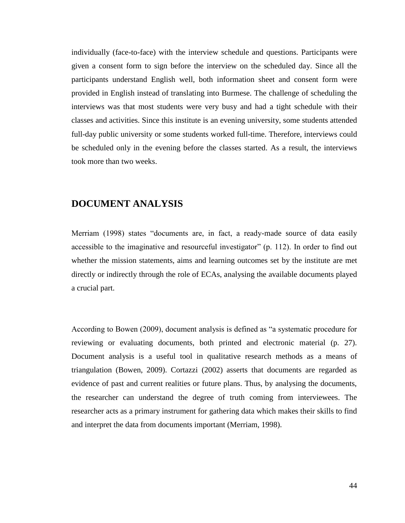individually (face-to-face) with the interview schedule and questions. Participants were given a consent form to sign before the interview on the scheduled day. Since all the participants understand English well, both information sheet and consent form were provided in English instead of translating into Burmese. The challenge of scheduling the interviews was that most students were very busy and had a tight schedule with their classes and activities. Since this institute is an evening university, some students attended full-day public university or some students worked full-time. Therefore, interviews could be scheduled only in the evening before the classes started. As a result, the interviews took more than two weeks.

### **DOCUMENT ANALYSIS**

Merriam (1998) states "documents are, in fact, a ready-made source of data easily accessible to the imaginative and resourceful investigator" (p. 112). In order to find out whether the mission statements, aims and learning outcomes set by the institute are met directly or indirectly through the role of ECAs, analysing the available documents played a crucial part.

According to Bowen (2009), document analysis is defined as "a systematic procedure for reviewing or evaluating documents, both printed and electronic material (p. 27). Document analysis is a useful tool in qualitative research methods as a means of triangulation (Bowen, 2009). Cortazzi (2002) asserts that documents are regarded as evidence of past and current realities or future plans. Thus, by analysing the documents, the researcher can understand the degree of truth coming from interviewees. The researcher acts as a primary instrument for gathering data which makes their skills to find and interpret the data from documents important (Merriam, 1998).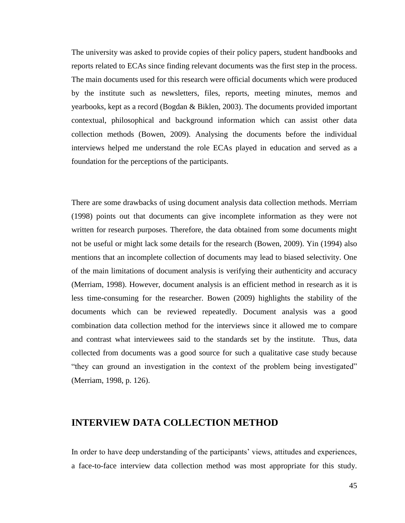The university was asked to provide copies of their policy papers, student handbooks and reports related to ECAs since finding relevant documents was the first step in the process. The main documents used for this research were official documents which were produced by the institute such as newsletters, files, reports, meeting minutes, memos and yearbooks, kept as a record (Bogdan & Biklen, 2003). The documents provided important contextual, philosophical and background information which can assist other data collection methods (Bowen, 2009). Analysing the documents before the individual interviews helped me understand the role ECAs played in education and served as a foundation for the perceptions of the participants.

There are some drawbacks of using document analysis data collection methods. Merriam (1998) points out that documents can give incomplete information as they were not written for research purposes. Therefore, the data obtained from some documents might not be useful or might lack some details for the research (Bowen, 2009). Yin (1994) also mentions that an incomplete collection of documents may lead to biased selectivity. One of the main limitations of document analysis is verifying their authenticity and accuracy (Merriam, 1998). However, document analysis is an efficient method in research as it is less time-consuming for the researcher. Bowen (2009) highlights the stability of the documents which can be reviewed repeatedly. Document analysis was a good combination data collection method for the interviews since it allowed me to compare and contrast what interviewees said to the standards set by the institute. Thus, data collected from documents was a good source for such a qualitative case study because "they can ground an investigation in the context of the problem being investigated" (Merriam, 1998, p. 126).

### **INTERVIEW DATA COLLECTION METHOD**

In order to have deep understanding of the participants' views, attitudes and experiences, a face-to-face interview data collection method was most appropriate for this study.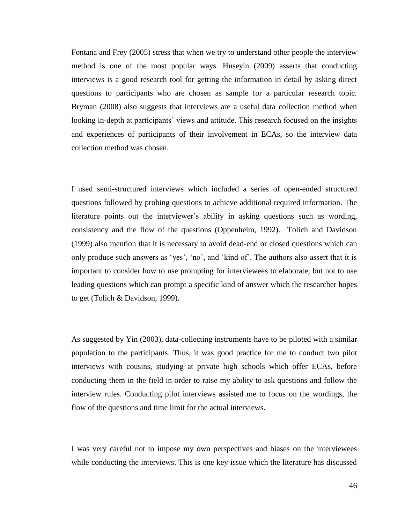Fontana and Frey (2005) stress that when we try to understand other people the interview method is one of the most popular ways. Huseyin (2009) asserts that conducting interviews is a good research tool for getting the information in detail by asking direct questions to participants who are chosen as sample for a particular research topic. Bryman (2008) also suggests that interviews are a useful data collection method when looking in-depth at participants' views and attitude. This research focused on the insights and experiences of participants of their involvement in ECAs, so the interview data collection method was chosen.

I used semi-structured interviews which included a series of open-ended structured questions followed by probing questions to achieve additional required information. The literature points out the interviewer's ability in asking questions such as wording, consistency and the flow of the questions (Oppenheim, 1992). Tolich and Davidson (1999) also mention that it is necessary to avoid dead-end or closed questions which can only produce such answers as 'yes', 'no', and 'kind of'. The authors also assert that it is important to consider how to use prompting for interviewees to elaborate, but not to use leading questions which can prompt a specific kind of answer which the researcher hopes to get (Tolich & Davidson, 1999).

As suggested by Yin (2003), data-collecting instruments have to be piloted with a similar population to the participants. Thus, it was good practice for me to conduct two pilot interviews with cousins, studying at private high schools which offer ECAs, before conducting them in the field in order to raise my ability to ask questions and follow the interview rules. Conducting pilot interviews assisted me to focus on the wordings, the flow of the questions and time limit for the actual interviews.

I was very careful not to impose my own perspectives and biases on the interviewees while conducting the interviews. This is one key issue which the literature has discussed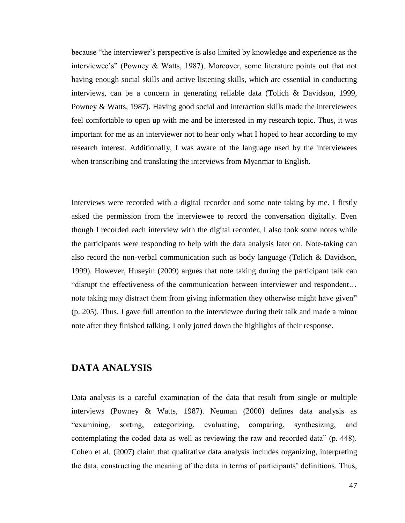because "the interviewer's perspective is also limited by knowledge and experience as the interviewee's" (Powney & Watts, 1987). Moreover, some literature points out that not having enough social skills and active listening skills, which are essential in conducting interviews, can be a concern in generating reliable data (Tolich & Davidson, 1999, Powney & Watts, 1987). Having good social and interaction skills made the interviewees feel comfortable to open up with me and be interested in my research topic. Thus, it was important for me as an interviewer not to hear only what I hoped to hear according to my research interest. Additionally, I was aware of the language used by the interviewees when transcribing and translating the interviews from Myanmar to English.

Interviews were recorded with a digital recorder and some note taking by me. I firstly asked the permission from the interviewee to record the conversation digitally. Even though I recorded each interview with the digital recorder, I also took some notes while the participants were responding to help with the data analysis later on. Note-taking can also record the non-verbal communication such as body language (Tolich & Davidson, 1999). However, Huseyin (2009) argues that note taking during the participant talk can "disrupt the effectiveness of the communication between interviewer and respondent… note taking may distract them from giving information they otherwise might have given" (p. 205). Thus, I gave full attention to the interviewee during their talk and made a minor note after they finished talking. I only jotted down the highlights of their response.

### **DATA ANALYSIS**

Data analysis is a careful examination of the data that result from single or multiple interviews (Powney & Watts, 1987). Neuman (2000) defines data analysis as "examining, sorting, categorizing, evaluating, comparing, synthesizing, and contemplating the coded data as well as reviewing the raw and recorded data" (p. 448). Cohen et al. (2007) claim that qualitative data analysis includes organizing, interpreting the data, constructing the meaning of the data in terms of participants' definitions. Thus,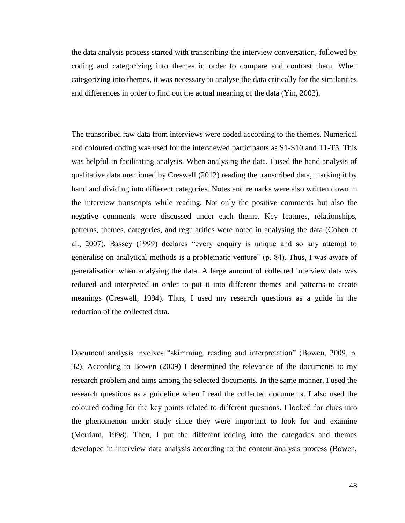the data analysis process started with transcribing the interview conversation, followed by coding and categorizing into themes in order to compare and contrast them. When categorizing into themes, it was necessary to analyse the data critically for the similarities and differences in order to find out the actual meaning of the data (Yin, 2003).

The transcribed raw data from interviews were coded according to the themes. Numerical and coloured coding was used for the interviewed participants as S1-S10 and T1-T5. This was helpful in facilitating analysis. When analysing the data, I used the hand analysis of qualitative data mentioned by Creswell (2012) reading the transcribed data, marking it by hand and dividing into different categories. Notes and remarks were also written down in the interview transcripts while reading. Not only the positive comments but also the negative comments were discussed under each theme. Key features, relationships, patterns, themes, categories, and regularities were noted in analysing the data (Cohen et al., 2007). Bassey (1999) declares "every enquiry is unique and so any attempt to generalise on analytical methods is a problematic venture" (p. 84). Thus, I was aware of generalisation when analysing the data. A large amount of collected interview data was reduced and interpreted in order to put it into different themes and patterns to create meanings (Creswell, 1994). Thus, I used my research questions as a guide in the reduction of the collected data.

Document analysis involves "skimming, reading and interpretation" (Bowen, 2009, p. 32). According to Bowen (2009) I determined the relevance of the documents to my research problem and aims among the selected documents. In the same manner, I used the research questions as a guideline when I read the collected documents. I also used the coloured coding for the key points related to different questions. I looked for clues into the phenomenon under study since they were important to look for and examine (Merriam, 1998). Then, I put the different coding into the categories and themes developed in interview data analysis according to the content analysis process (Bowen,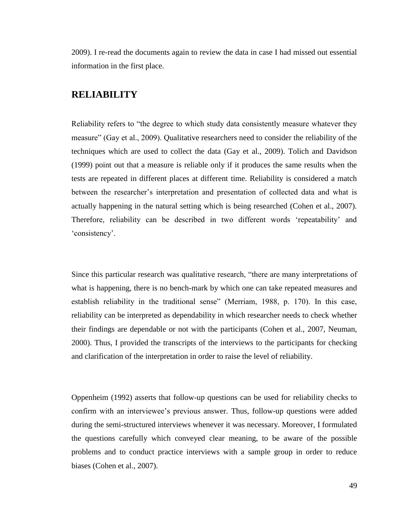2009). I re-read the documents again to review the data in case I had missed out essential information in the first place.

### **RELIABILITY**

Reliability refers to "the degree to which study data consistently measure whatever they measure" (Gay et al., 2009). Qualitative researchers need to consider the reliability of the techniques which are used to collect the data (Gay et al., 2009). Tolich and Davidson (1999) point out that a measure is reliable only if it produces the same results when the tests are repeated in different places at different time. Reliability is considered a match between the researcher's interpretation and presentation of collected data and what is actually happening in the natural setting which is being researched (Cohen et al., 2007). Therefore, reliability can be described in two different words 'repeatability' and 'consistency'.

Since this particular research was qualitative research, "there are many interpretations of what is happening, there is no bench-mark by which one can take repeated measures and establish reliability in the traditional sense" (Merriam, 1988, p. 170). In this case, reliability can be interpreted as dependability in which researcher needs to check whether their findings are dependable or not with the participants (Cohen et al., 2007, Neuman, 2000). Thus, I provided the transcripts of the interviews to the participants for checking and clarification of the interpretation in order to raise the level of reliability.

Oppenheim (1992) asserts that follow-up questions can be used for reliability checks to confirm with an interviewee's previous answer. Thus, follow-up questions were added during the semi-structured interviews whenever it was necessary. Moreover, I formulated the questions carefully which conveyed clear meaning, to be aware of the possible problems and to conduct practice interviews with a sample group in order to reduce biases (Cohen et al., 2007).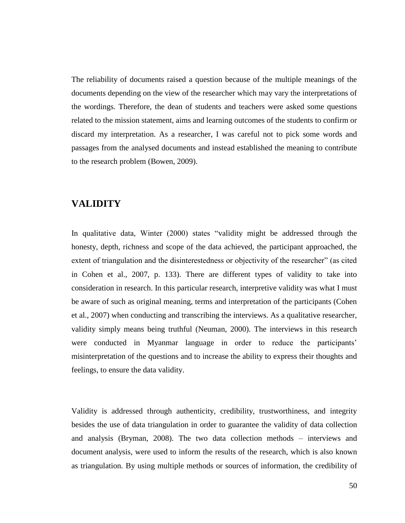The reliability of documents raised a question because of the multiple meanings of the documents depending on the view of the researcher which may vary the interpretations of the wordings. Therefore, the dean of students and teachers were asked some questions related to the mission statement, aims and learning outcomes of the students to confirm or discard my interpretation. As a researcher, I was careful not to pick some words and passages from the analysed documents and instead established the meaning to contribute to the research problem (Bowen, 2009).

### **VALIDITY**

In qualitative data, Winter (2000) states "validity might be addressed through the honesty, depth, richness and scope of the data achieved, the participant approached, the extent of triangulation and the disinterestedness or objectivity of the researcher" (as cited in Cohen et al., 2007, p. 133). There are different types of validity to take into consideration in research. In this particular research, interpretive validity was what I must be aware of such as original meaning, terms and interpretation of the participants (Cohen et al., 2007) when conducting and transcribing the interviews. As a qualitative researcher, validity simply means being truthful (Neuman, 2000). The interviews in this research were conducted in Myanmar language in order to reduce the participants' misinterpretation of the questions and to increase the ability to express their thoughts and feelings, to ensure the data validity.

Validity is addressed through authenticity, credibility, trustworthiness, and integrity besides the use of data triangulation in order to guarantee the validity of data collection and analysis (Bryman, 2008). The two data collection methods – interviews and document analysis, were used to inform the results of the research, which is also known as triangulation. By using multiple methods or sources of information, the credibility of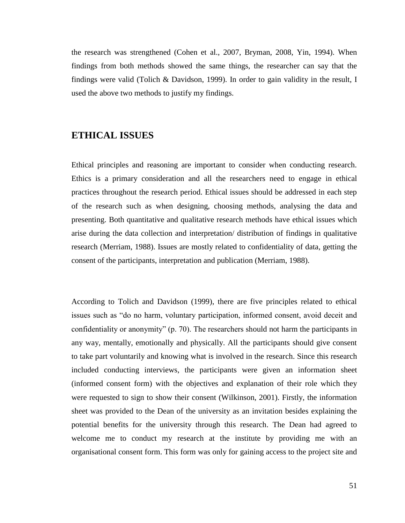the research was strengthened (Cohen et al., 2007, Bryman, 2008, Yin, 1994). When findings from both methods showed the same things, the researcher can say that the findings were valid (Tolich & Davidson, 1999). In order to gain validity in the result, I used the above two methods to justify my findings.

### **ETHICAL ISSUES**

Ethical principles and reasoning are important to consider when conducting research. Ethics is a primary consideration and all the researchers need to engage in ethical practices throughout the research period. Ethical issues should be addressed in each step of the research such as when designing, choosing methods, analysing the data and presenting. Both quantitative and qualitative research methods have ethical issues which arise during the data collection and interpretation/ distribution of findings in qualitative research (Merriam, 1988). Issues are mostly related to confidentiality of data, getting the consent of the participants, interpretation and publication (Merriam, 1988).

According to Tolich and Davidson (1999), there are five principles related to ethical issues such as "do no harm, voluntary participation, informed consent, avoid deceit and confidentiality or anonymity" (p. 70). The researchers should not harm the participants in any way, mentally, emotionally and physically. All the participants should give consent to take part voluntarily and knowing what is involved in the research. Since this research included conducting interviews, the participants were given an information sheet (informed consent form) with the objectives and explanation of their role which they were requested to sign to show their consent (Wilkinson, 2001). Firstly, the information sheet was provided to the Dean of the university as an invitation besides explaining the potential benefits for the university through this research. The Dean had agreed to welcome me to conduct my research at the institute by providing me with an organisational consent form. This form was only for gaining access to the project site and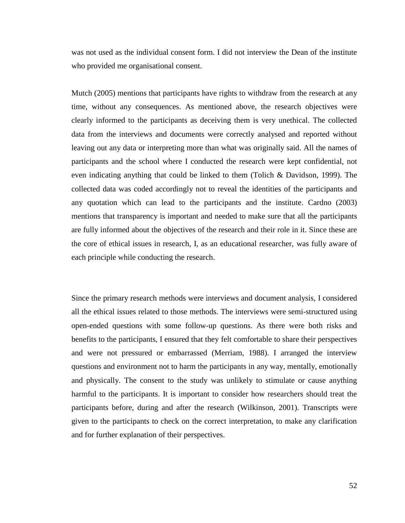was not used as the individual consent form. I did not interview the Dean of the institute who provided me organisational consent.

Mutch (2005) mentions that participants have rights to withdraw from the research at any time, without any consequences. As mentioned above, the research objectives were clearly informed to the participants as deceiving them is very unethical. The collected data from the interviews and documents were correctly analysed and reported without leaving out any data or interpreting more than what was originally said. All the names of participants and the school where I conducted the research were kept confidential, not even indicating anything that could be linked to them (Tolich & Davidson, 1999). The collected data was coded accordingly not to reveal the identities of the participants and any quotation which can lead to the participants and the institute. Cardno (2003) mentions that transparency is important and needed to make sure that all the participants are fully informed about the objectives of the research and their role in it. Since these are the core of ethical issues in research, I, as an educational researcher, was fully aware of each principle while conducting the research.

Since the primary research methods were interviews and document analysis, I considered all the ethical issues related to those methods. The interviews were semi-structured using open-ended questions with some follow-up questions. As there were both risks and benefits to the participants, I ensured that they felt comfortable to share their perspectives and were not pressured or embarrassed (Merriam, 1988). I arranged the interview questions and environment not to harm the participants in any way, mentally, emotionally and physically. The consent to the study was unlikely to stimulate or cause anything harmful to the participants. It is important to consider how researchers should treat the participants before, during and after the research (Wilkinson, 2001). Transcripts were given to the participants to check on the correct interpretation, to make any clarification and for further explanation of their perspectives.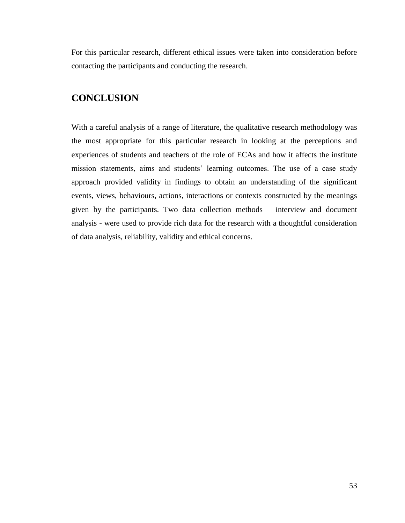For this particular research, different ethical issues were taken into consideration before contacting the participants and conducting the research.

## **CONCLUSION**

With a careful analysis of a range of literature, the qualitative research methodology was the most appropriate for this particular research in looking at the perceptions and experiences of students and teachers of the role of ECAs and how it affects the institute mission statements, aims and students' learning outcomes. The use of a case study approach provided validity in findings to obtain an understanding of the significant events, views, behaviours, actions, interactions or contexts constructed by the meanings given by the participants. Two data collection methods – interview and document analysis - were used to provide rich data for the research with a thoughtful consideration of data analysis, reliability, validity and ethical concerns.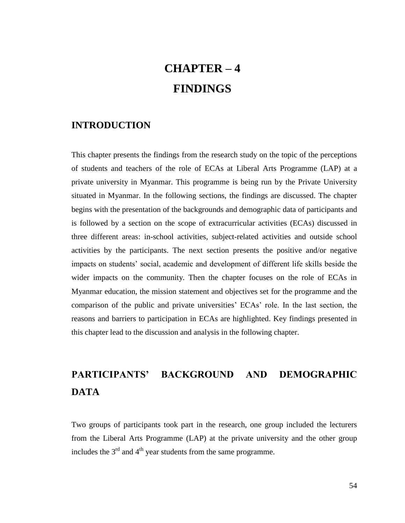# **CHAPTER – 4 FINDINGS**

### **INTRODUCTION**

This chapter presents the findings from the research study on the topic of the perceptions of students and teachers of the role of ECAs at Liberal Arts Programme (LAP) at a private university in Myanmar. This programme is being run by the Private University situated in Myanmar. In the following sections, the findings are discussed. The chapter begins with the presentation of the backgrounds and demographic data of participants and is followed by a section on the scope of extracurricular activities (ECAs) discussed in three different areas: in-school activities, subject-related activities and outside school activities by the participants. The next section presents the positive and/or negative impacts on students' social, academic and development of different life skills beside the wider impacts on the community. Then the chapter focuses on the role of ECAs in Myanmar education, the mission statement and objectives set for the programme and the comparison of the public and private universities' ECAs' role. In the last section, the reasons and barriers to participation in ECAs are highlighted. Key findings presented in this chapter lead to the discussion and analysis in the following chapter.

# **PARTICIPANTS' BACKGROUND AND DEMOGRAPHIC DATA**

Two groups of participants took part in the research, one group included the lecturers from the Liberal Arts Programme (LAP) at the private university and the other group includes the  $3<sup>rd</sup>$  and  $4<sup>th</sup>$  year students from the same programme.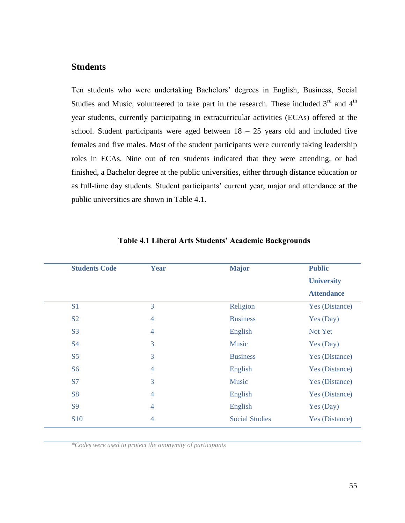### **Students**

Ten students who were undertaking Bachelors' degrees in English, Business, Social Studies and Music, volunteered to take part in the research. These included  $3<sup>rd</sup>$  and  $4<sup>th</sup>$ year students, currently participating in extracurricular activities (ECAs) offered at the school. Student participants were aged between  $18 - 25$  years old and included five females and five males. Most of the student participants were currently taking leadership roles in ECAs. Nine out of ten students indicated that they were attending, or had finished, a Bachelor degree at the public universities, either through distance education or as full-time day students. Student participants' current year, major and attendance at the public universities are shown in Table 4.1.

| <b>Students Code</b> | Year           | <b>Major</b>          | <b>Public</b>     |
|----------------------|----------------|-----------------------|-------------------|
|                      |                |                       | <b>University</b> |
|                      |                |                       | <b>Attendance</b> |
| S <sub>1</sub>       | 3              | Religion              | Yes (Distance)    |
| S <sub>2</sub>       | $\overline{4}$ | <b>Business</b>       | Yes (Day)         |
| S <sub>3</sub>       | $\overline{4}$ | English               | Not Yet           |
| <b>S4</b>            | 3              | <b>Music</b>          | Yes (Day)         |
| S <sub>5</sub>       | 3              | <b>Business</b>       | Yes (Distance)    |
| <b>S6</b>            | $\overline{4}$ | English               | Yes (Distance)    |
| <b>S7</b>            | 3              | <b>Music</b>          | Yes (Distance)    |
| <b>S8</b>            | $\overline{4}$ | English               | Yes (Distance)    |
| <b>S9</b>            | $\overline{4}$ | English               | Yes (Day)         |
| <b>S10</b>           | $\overline{4}$ | <b>Social Studies</b> | Yes (Distance)    |

### **Table 4.1 Liberal Arts Students' Academic Backgrounds**

*\*Codes were used to protect the anonymity of participants*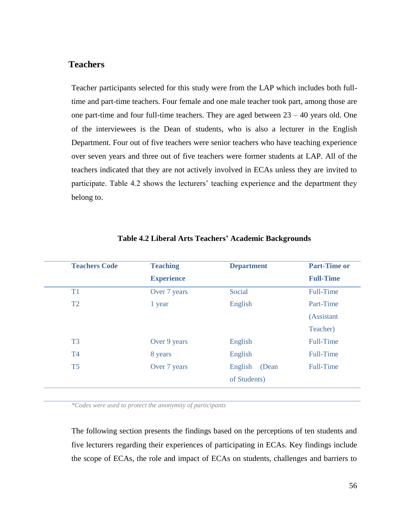### **Teachers**

Teacher participants selected for this study were from the LAP which includes both fulltime and part-time teachers. Four female and one male teacher took part, among those are one part-time and four full-time teachers. They are aged between 23 – 40 years old. One of the interviewees is the Dean of students, who is also a lecturer in the English Department. Four out of five teachers were senior teachers who have teaching experience over seven years and three out of five teachers were former students at LAP. All of the teachers indicated that they are not actively involved in ECAs unless they are invited to participate. Table 4.2 shows the lecturers' teaching experience and the department they belong to.

| <b>Teachers Code</b> | <b>Teaching</b>   | <b>Department</b> | <b>Part-Time or</b> |
|----------------------|-------------------|-------------------|---------------------|
|                      | <b>Experience</b> |                   | <b>Full-Time</b>    |
| T1                   | Over 7 years      | Social            | <b>Full-Time</b>    |
| T2                   | 1 year            | English           | Part-Time           |
|                      |                   |                   | (Assistant          |
|                      |                   |                   | Teacher)            |
| T <sub>3</sub>       | Over 9 years      | English           | <b>Full-Time</b>    |
| T <sub>4</sub>       | 8 years           | English           | <b>Full-Time</b>    |
| T <sub>5</sub>       | Over 7 years      | English<br>(Dean  | <b>Full-Time</b>    |
|                      |                   | of Students)      |                     |

#### **Table 4.2 Liberal Arts Teachers' Academic Backgrounds**

*\*Codes were used to protect the anonymity of participants*

The following section presents the findings based on the perceptions of ten students and five lecturers regarding their experiences of participating in ECAs. Key findings include the scope of ECAs, the role and impact of ECAs on students, challenges and barriers to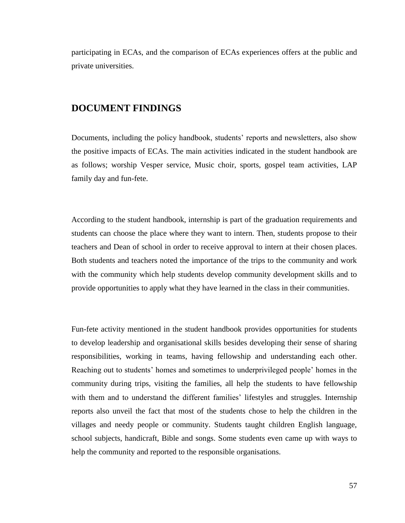participating in ECAs, and the comparison of ECAs experiences offers at the public and private universities.

### **DOCUMENT FINDINGS**

Documents, including the policy handbook, students' reports and newsletters, also show the positive impacts of ECAs. The main activities indicated in the student handbook are as follows; worship Vesper service, Music choir, sports, gospel team activities, LAP family day and fun-fete.

According to the student handbook, internship is part of the graduation requirements and students can choose the place where they want to intern. Then, students propose to their teachers and Dean of school in order to receive approval to intern at their chosen places. Both students and teachers noted the importance of the trips to the community and work with the community which help students develop community development skills and to provide opportunities to apply what they have learned in the class in their communities.

Fun-fete activity mentioned in the student handbook provides opportunities for students to develop leadership and organisational skills besides developing their sense of sharing responsibilities, working in teams, having fellowship and understanding each other. Reaching out to students' homes and sometimes to underprivileged people' homes in the community during trips, visiting the families, all help the students to have fellowship with them and to understand the different families' lifestyles and struggles. Internship reports also unveil the fact that most of the students chose to help the children in the villages and needy people or community. Students taught children English language, school subjects, handicraft, Bible and songs. Some students even came up with ways to help the community and reported to the responsible organisations.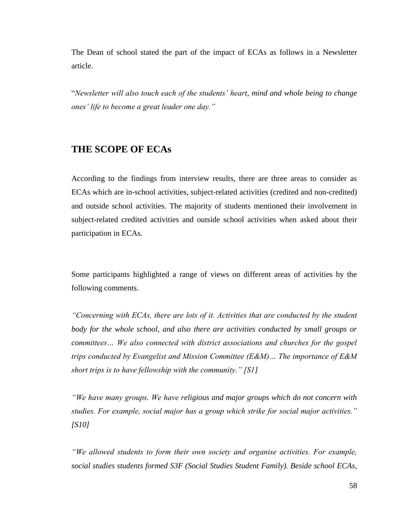The Dean of school stated the part of the impact of ECAs as follows in a Newsletter article.

"*Newsletter will also touch each of the students' heart, mind and whole being to change ones' life to become a great leader one day."*

### **THE SCOPE OF ECAs**

According to the findings from interview results, there are three areas to consider as ECAs which are in-school activities, subject-related activities (credited and non-credited) and outside school activities. The majority of students mentioned their involvement in subject-related credited activities and outside school activities when asked about their participation in ECAs.

Some participants highlighted a range of views on different areas of activities by the following comments.

*"Concerning with ECAs, there are lots of it. Activities that are conducted by the student*  body for the whole school, and also there are activities conducted by small groups or *committees… We also connected with district associations and churches for the gospel trips conducted by Evangelist and Mission Committee (E&M)… The importance of E&M short trips is to have fellowship with the community." [S1]*

*"We have many groups. We have religious and major groups which do not concern with studies. For example, social major has a group which strike for social major activities." [S10]*

*"We allowed students to form their own society and organise activities. For example, social studies students formed S3F (Social Studies Student Family). Beside school ECAs,*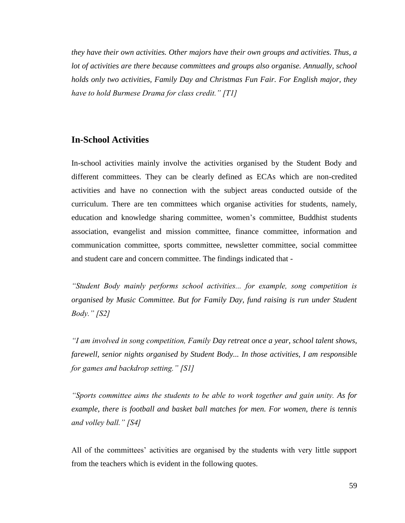*they have their own activities. Other majors have their own groups and activities. Thus, a lot of activities are there because committees and groups also organise. Annually, school holds only two activities, Family Day and Christmas Fun Fair. For English major, they have to hold Burmese Drama for class credit." [T1]*

### **In-School Activities**

In-school activities mainly involve the activities organised by the Student Body and different committees. They can be clearly defined as ECAs which are non-credited activities and have no connection with the subject areas conducted outside of the curriculum. There are ten committees which organise activities for students, namely, education and knowledge sharing committee, women's committee, Buddhist students association, evangelist and mission committee, finance committee, information and communication committee, sports committee, newsletter committee, social committee and student care and concern committee. The findings indicated that -

*"Student Body mainly performs school activities... for example, song competition is organised by Music Committee. But for Family Day, fund raising is run under Student Body." [S2]*

*"I am involved in song competition, Family Day retreat once a year, school talent shows, farewell, senior nights organised by Student Body... In those activities, I am responsible for games and backdrop setting." [S1]* 

*"Sports committee aims the students to be able to work together and gain unity. As for example, there is football and basket ball matches for men. For women, there is tennis and volley ball." [S4]* 

All of the committees' activities are organised by the students with very little support from the teachers which is evident in the following quotes.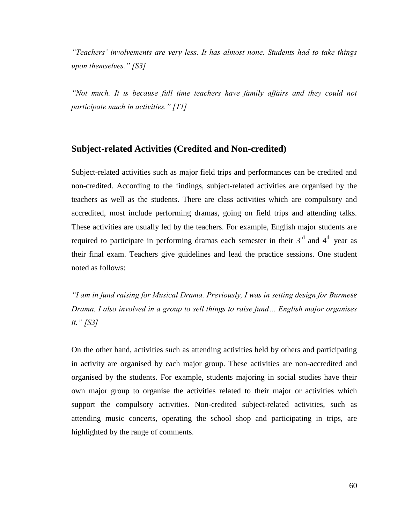*"Teachers' involvements are very less. It has almost none. Students had to take things upon themselves." [S3]*

*"Not much. It is because full time teachers have family affairs and they could not participate much in activities." [T1]*

### **Subject-related Activities (Credited and Non-credited)**

Subject-related activities such as major field trips and performances can be credited and non-credited. According to the findings, subject-related activities are organised by the teachers as well as the students. There are class activities which are compulsory and accredited, most include performing dramas, going on field trips and attending talks. These activities are usually led by the teachers. For example, English major students are required to participate in performing dramas each semester in their  $3<sup>rd</sup>$  and  $4<sup>th</sup>$  year as their final exam. Teachers give guidelines and lead the practice sessions. One student noted as follows:

*"I am in fund raising for Musical Drama. Previously, I was in setting design for Burmese Drama. I also involved in a group to sell things to raise fund… English major organises it." [S3]*

On the other hand, activities such as attending activities held by others and participating in activity are organised by each major group. These activities are non-accredited and organised by the students. For example, students majoring in social studies have their own major group to organise the activities related to their major or activities which support the compulsory activities. Non-credited subject-related activities, such as attending music concerts, operating the school shop and participating in trips, are highlighted by the range of comments.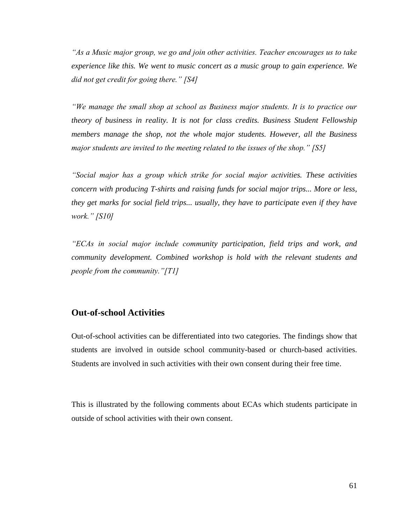*"As a Music major group, we go and join other activities. Teacher encourages us to take experience like this. We went to music concert as a music group to gain experience. We did not get credit for going there." [S4]*

*"We manage the small shop at school as Business major students. It is to practice our theory of business in reality. It is not for class credits. Business Student Fellowship members manage the shop, not the whole major students. However, all the Business major students are invited to the meeting related to the issues of the shop." [S5]*

*"Social major has a group which strike for social major activities. These activities concern with producing T-shirts and raising funds for social major trips... More or less, they get marks for social field trips... usually, they have to participate even if they have work." [S10]*

*"ECAs in social major include community participation, field trips and work, and community development. Combined workshop is hold with the relevant students and people from the community."[T1]* 

### **Out-of-school Activities**

Out-of-school activities can be differentiated into two categories. The findings show that students are involved in outside school community-based or church-based activities. Students are involved in such activities with their own consent during their free time.

This is illustrated by the following comments about ECAs which students participate in outside of school activities with their own consent.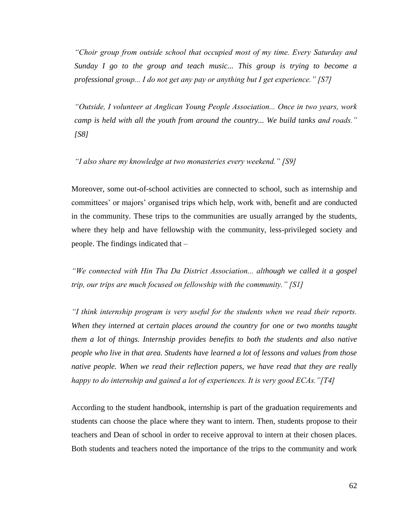*"Choir group from outside school that occupied most of my time. Every Saturday and Sunday I go to the group and teach music... This group is trying to become a professional group... I do not get any pay or anything but I get experience." [S7]*

*"Outside, I volunteer at Anglican Young People Association... Once in two years, work camp is held with all the youth from around the country... We build tanks and roads." [S8]*

*"I also share my knowledge at two monasteries every weekend." [S9]* 

Moreover, some out-of-school activities are connected to school, such as internship and committees' or majors' organised trips which help, work with, benefit and are conducted in the community. These trips to the communities are usually arranged by the students, where they help and have fellowship with the community, less-privileged society and people. The findings indicated that –

*"We connected with Hin Tha Da District Association... although we called it a gospel trip, our trips are much focused on fellowship with the community." [S1]*

*"I think internship program is very useful for the students when we read their reports. When they interned at certain places around the country for one or two months taught them a lot of things. Internship provides benefits to both the students and also native people who live in that area. Students have learned a lot of lessons and values from those native people. When we read their reflection papers, we have read that they are really happy to do internship and gained a lot of experiences. It is very good ECAs."[T4]* 

According to the student handbook, internship is part of the graduation requirements and students can choose the place where they want to intern. Then, students propose to their teachers and Dean of school in order to receive approval to intern at their chosen places. Both students and teachers noted the importance of the trips to the community and work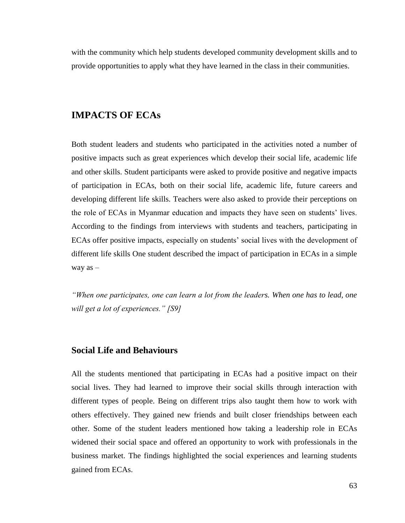with the community which help students developed community development skills and to provide opportunities to apply what they have learned in the class in their communities.

## **IMPACTS OF ECAs**

Both student leaders and students who participated in the activities noted a number of positive impacts such as great experiences which develop their social life, academic life and other skills. Student participants were asked to provide positive and negative impacts of participation in ECAs, both on their social life, academic life, future careers and developing different life skills. Teachers were also asked to provide their perceptions on the role of ECAs in Myanmar education and impacts they have seen on students' lives. According to the findings from interviews with students and teachers, participating in ECAs offer positive impacts, especially on students' social lives with the development of different life skills One student described the impact of participation in ECAs in a simple way as –

*"When one participates, one can learn a lot from the leaders. When one has to lead, one will get a lot of experiences." [S9]* 

### **Social Life and Behaviours**

All the students mentioned that participating in ECAs had a positive impact on their social lives. They had learned to improve their social skills through interaction with different types of people. Being on different trips also taught them how to work with others effectively. They gained new friends and built closer friendships between each other. Some of the student leaders mentioned how taking a leadership role in ECAs widened their social space and offered an opportunity to work with professionals in the business market. The findings highlighted the social experiences and learning students gained from ECAs.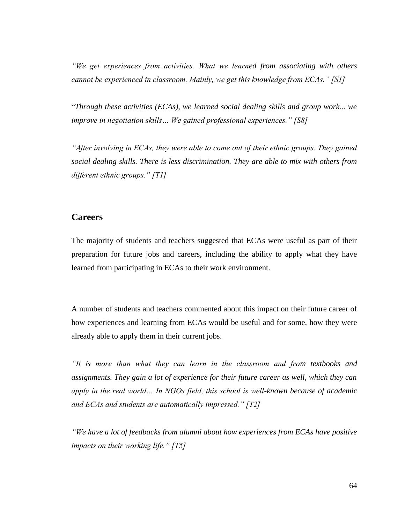*"We get experiences from activities. What we learned from associating with others cannot be experienced in classroom. Mainly, we get this knowledge from ECAs." [S1]*

"*Through these activities (ECAs), we learned social dealing skills and group work... we improve in negotiation skills… We gained professional experiences." [S8]*

*"After involving in ECAs, they were able to come out of their ethnic groups. They gained social dealing skills. There is less discrimination. They are able to mix with others from different ethnic groups." [T1]*

## **Careers**

The majority of students and teachers suggested that ECAs were useful as part of their preparation for future jobs and careers, including the ability to apply what they have learned from participating in ECAs to their work environment.

A number of students and teachers commented about this impact on their future career of how experiences and learning from ECAs would be useful and for some, how they were already able to apply them in their current jobs.

*"It is more than what they can learn in the classroom and from textbooks and assignments. They gain a lot of experience for their future career as well, which they can apply in the real world… In NGOs field, this school is well-known because of academic and ECAs and students are automatically impressed." [T2]*

*"We have a lot of feedbacks from alumni about how experiences from ECAs have positive impacts on their working life." [T5]*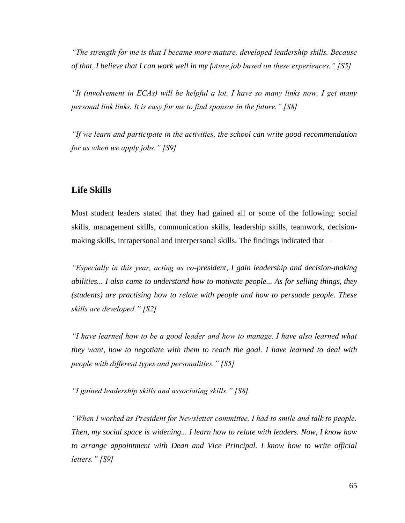*"The strength for me is that I became more mature, developed leadership skills. Because of that, I believe that I can work well in my future job based on these experiences." [S5]*

*"It (involvement in ECAs) will be helpful a lot. I have so many links now. I get many personal link links. It is easy for me to find sponsor in the future." [S8]*

*"If we learn and participate in the activities, the school can write good recommendation for us when we apply jobs." [S9]*

## **Life Skills**

Most student leaders stated that they had gained all or some of the following: social skills, management skills, communication skills, leadership skills, teamwork, decisionmaking skills, intrapersonal and interpersonal skills. The findings indicated that –

*"Especially in this year, acting as co-president, I gain leadership and decision-making abilities... I also came to understand how to motivate people... As for selling things, they (students) are practising how to relate with people and how to persuade people. These skills are developed." [S2]*

*"I have learned how to be a good leader and how to manage. I have also learned what they want, how to negotiate with them to reach the goal. I have learned to deal with people with different types and personalities." [S5]*

*"I gained leadership skills and associating skills." [S8]*

*"When I worked as President for Newsletter committee, I had to smile and talk to people. Then, my social space is widening... I learn how to relate with leaders. Now, I know how*  to arrange appointment with Dean and Vice Principal. I know how to write official *letters." [S9]*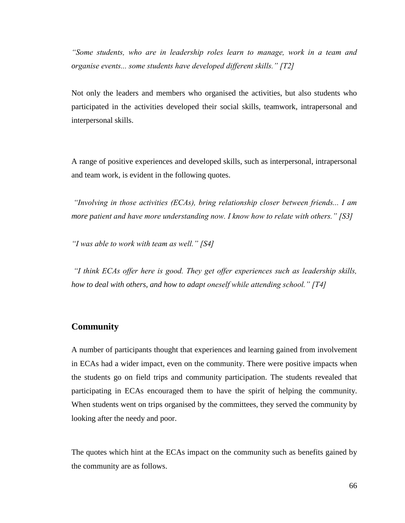*"Some students, who are in leadership roles learn to manage, work in a team and organise events... some students have developed different skills." [T2]*

Not only the leaders and members who organised the activities, but also students who participated in the activities developed their social skills, teamwork, intrapersonal and interpersonal skills.

A range of positive experiences and developed skills, such as interpersonal, intrapersonal and team work, is evident in the following quotes.

*"Involving in those activities (ECAs), bring relationship closer between friends... I am more patient and have more understanding now. I know how to relate with others." [S3]*

*"I was able to work with team as well." [S4]*

*"I think ECAs offer here is good. They get offer experiences such as leadership skills, how to deal with others, and how to adapt oneself while attending school." [T4]*

## **Community**

A number of participants thought that experiences and learning gained from involvement in ECAs had a wider impact, even on the community. There were positive impacts when the students go on field trips and community participation. The students revealed that participating in ECAs encouraged them to have the spirit of helping the community. When students went on trips organised by the committees, they served the community by looking after the needy and poor.

The quotes which hint at the ECAs impact on the community such as benefits gained by the community are as follows.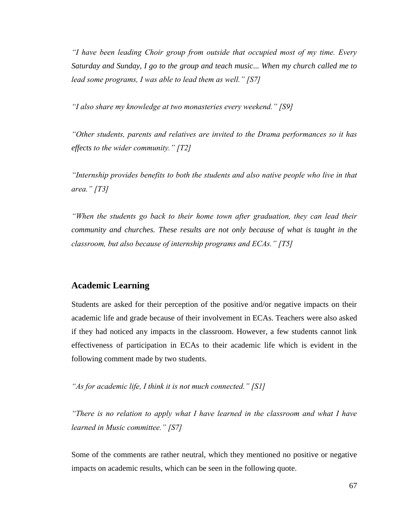*"I have been leading Choir group from outside that occupied most of my time. Every Saturday and Sunday, I go to the group and teach music... When my church called me to lead some programs, I was able to lead them as well." [S7]*

*"I also share my knowledge at two monasteries every weekend." [S9]* 

*"Other students, parents and relatives are invited to the Drama performances so it has effects to the wider community." [T2]*

*"Internship provides benefits to both the students and also native people who live in that area." [T3]*

*"When the students go back to their home town after graduation, they can lead their community and churches. These results are not only because of what is taught in the classroom, but also because of internship programs and ECAs." [T5]*

## **Academic Learning**

Students are asked for their perception of the positive and/or negative impacts on their academic life and grade because of their involvement in ECAs. Teachers were also asked if they had noticed any impacts in the classroom. However, a few students cannot link effectiveness of participation in ECAs to their academic life which is evident in the following comment made by two students.

*"As for academic life, I think it is not much connected." [S1]*

*"There is no relation to apply what I have learned in the classroom and what I have learned in Music committee." [S7]*

Some of the comments are rather neutral, which they mentioned no positive or negative impacts on academic results, which can be seen in the following quote.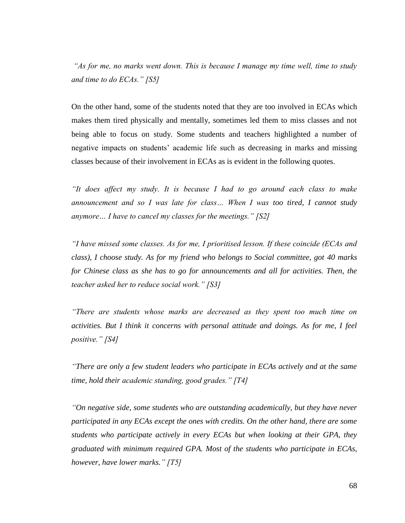*"As for me, no marks went down. This is because I manage my time well, time to study and time to do ECAs." [S5]*

On the other hand, some of the students noted that they are too involved in ECAs which makes them tired physically and mentally, sometimes led them to miss classes and not being able to focus on study. Some students and teachers highlighted a number of negative impacts on students' academic life such as decreasing in marks and missing classes because of their involvement in ECAs as is evident in the following quotes.

*"It does affect my study. It is because I had to go around each class to make announcement and so I was late for class… When I was too tired, I cannot study anymore… I have to cancel my classes for the meetings." [S2]*

*"I have missed some classes. As for me, I prioritised lesson. If these coincide (ECAs and class), I choose study. As for my friend who belongs to Social committee, got 40 marks for Chinese class as she has to go for announcements and all for activities. Then, the teacher asked her to reduce social work." [S3]*

*"There are students whose marks are decreased as they spent too much time on activities. But I think it concerns with personal attitude and doings. As for me, I feel positive." [S4]*

*"There are only a few student leaders who participate in ECAs actively and at the same time, hold their academic standing, good grades." [T4]*

*"On negative side, some students who are outstanding academically, but they have never participated in any ECAs except the ones with credits. On the other hand, there are some students who participate actively in every ECAs but when looking at their GPA, they graduated with minimum required GPA. Most of the students who participate in ECAs, however, have lower marks." [T5]*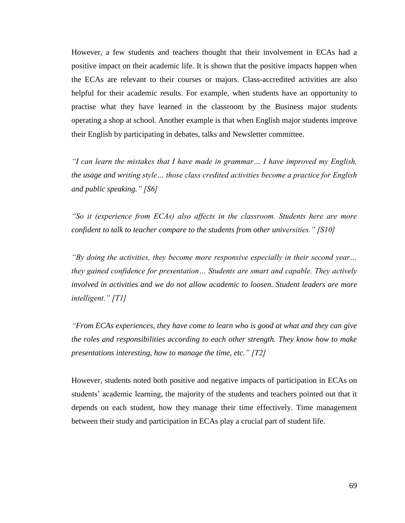However, a few students and teachers thought that their involvement in ECAs had a positive impact on their academic life. It is shown that the positive impacts happen when the ECAs are relevant to their courses or majors. Class-accredited activities are also helpful for their academic results. For example, when students have an opportunity to practise what they have learned in the classroom by the Business major students operating a shop at school. Another example is that when English major students improve their English by participating in debates, talks and Newsletter committee.

*"I can learn the mistakes that I have made in grammar… I have improved my English, the usage and writing style… those class credited activities become a practice for English and public speaking." [S6]*

*"So it (experience from ECAs) also affects in the classroom. Students here are more confident to talk to teacher compare to the students from other universities." [S10]*

*"By doing the activities, they become more responsive especially in their second year… they gained confidence for presentation… Students are smart and capable. They actively involved in activities and we do not allow academic to loosen. Student leaders are more intelligent." [T1]*

*"From ECAs experiences, they have come to learn who is good at what and they can give the roles and responsibilities according to each other strength. They know how to make presentations interesting, how to manage the time, etc." [T2]*

However, students noted both positive and negative impacts of participation in ECAs on students' academic learning, the majority of the students and teachers pointed out that it depends on each student, how they manage their time effectively. Time management between their study and participation in ECAs play a crucial part of student life.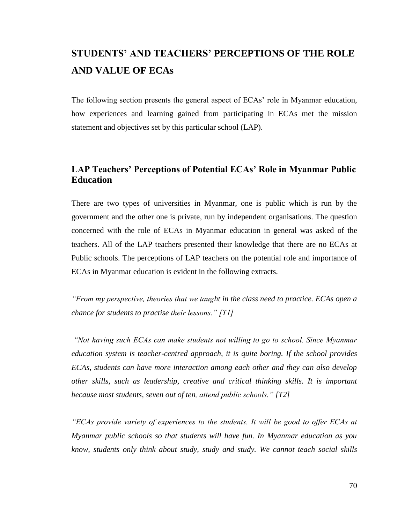## **STUDENTS' AND TEACHERS' PERCEPTIONS OF THE ROLE AND VALUE OF ECAs**

The following section presents the general aspect of ECAs' role in Myanmar education, how experiences and learning gained from participating in ECAs met the mission statement and objectives set by this particular school (LAP).

## **LAP Teachers' Perceptions of Potential ECAs' Role in Myanmar Public Education**

There are two types of universities in Myanmar, one is public which is run by the government and the other one is private, run by independent organisations. The question concerned with the role of ECAs in Myanmar education in general was asked of the teachers. All of the LAP teachers presented their knowledge that there are no ECAs at Public schools. The perceptions of LAP teachers on the potential role and importance of ECAs in Myanmar education is evident in the following extracts.

*"From my perspective, theories that we taught in the class need to practice. ECAs open a chance for students to practise their lessons." [T1]* 

*"Not having such ECAs can make students not willing to go to school. Since Myanmar education system is teacher-centred approach, it is quite boring. If the school provides ECAs, students can have more interaction among each other and they can also develop other skills, such as leadership, creative and critical thinking skills. It is important because most students, seven out of ten, attend public schools." [T2]*

*"ECAs provide variety of experiences to the students. It will be good to offer ECAs at Myanmar public schools so that students will have fun. In Myanmar education as you know, students only think about study, study and study. We cannot teach social skills*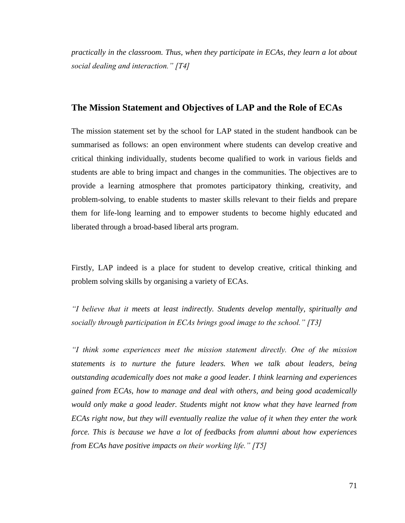*practically in the classroom. Thus, when they participate in ECAs, they learn a lot about social dealing and interaction." [T4]* 

#### **The Mission Statement and Objectives of LAP and the Role of ECAs**

The mission statement set by the school for LAP stated in the student handbook can be summarised as follows: an open environment where students can develop creative and critical thinking individually, students become qualified to work in various fields and students are able to bring impact and changes in the communities. The objectives are to provide a learning atmosphere that promotes participatory thinking, creativity, and problem-solving, to enable students to master skills relevant to their fields and prepare them for life-long learning and to empower students to become highly educated and liberated through a broad-based liberal arts program.

Firstly, LAP indeed is a place for student to develop creative, critical thinking and problem solving skills by organising a variety of ECAs.

*"I believe that it meets at least indirectly. Students develop mentally, spiritually and socially through participation in ECAs brings good image to the school." [T3]*

*"I think some experiences meet the mission statement directly. One of the mission statements is to nurture the future leaders. When we talk about leaders, being outstanding academically does not make a good leader. I think learning and experiences gained from ECAs, how to manage and deal with others, and being good academically would only make a good leader. Students might not know what they have learned from ECAs right now, but they will eventually realize the value of it when they enter the work force. This is because we have a lot of feedbacks from alumni about how experiences from ECAs have positive impacts on their working life." [T5]*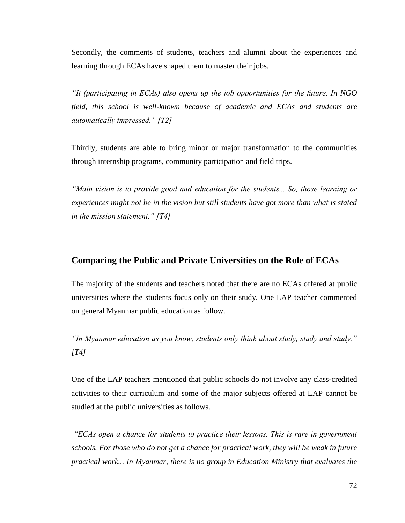Secondly, the comments of students, teachers and alumni about the experiences and learning through ECAs have shaped them to master their jobs.

*"It (participating in ECAs) also opens up the job opportunities for the future. In NGO field, this school is well-known because of academic and ECAs and students are automatically impressed." [T2]*

Thirdly, students are able to bring minor or major transformation to the communities through internship programs, community participation and field trips.

*"Main vision is to provide good and education for the students... So, those learning or experiences might not be in the vision but still students have got more than what is stated in the mission statement." [T4]*

## **Comparing the Public and Private Universities on the Role of ECAs**

The majority of the students and teachers noted that there are no ECAs offered at public universities where the students focus only on their study. One LAP teacher commented on general Myanmar public education as follow.

*"In Myanmar education as you know, students only think about study, study and study." [T4]*

One of the LAP teachers mentioned that public schools do not involve any class-credited activities to their curriculum and some of the major subjects offered at LAP cannot be studied at the public universities as follows.

*"ECAs open a chance for students to practice their lessons. This is rare in government schools. For those who do not get a chance for practical work, they will be weak in future practical work... In Myanmar, there is no group in Education Ministry that evaluates the*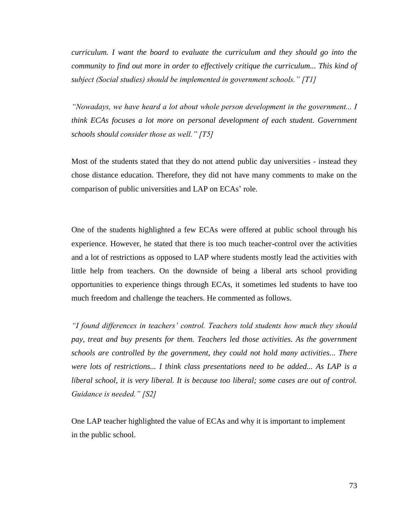*curriculum. I want the board to evaluate the curriculum and they should go into the community to find out more in order to effectively critique the curriculum... This kind of subject (Social studies) should be implemented in government schools." [T1]*

*"Nowadays, we have heard a lot about whole person development in the government... I think ECAs focuses a lot more on personal development of each student. Government schools should consider those as well." [T5]*

Most of the students stated that they do not attend public day universities - instead they chose distance education. Therefore, they did not have many comments to make on the comparison of public universities and LAP on ECAs' role.

One of the students highlighted a few ECAs were offered at public school through his experience. However, he stated that there is too much teacher-control over the activities and a lot of restrictions as opposed to LAP where students mostly lead the activities with little help from teachers. On the downside of being a liberal arts school providing opportunities to experience things through ECAs, it sometimes led students to have too much freedom and challenge the teachers. He commented as follows.

*"I found differences in teachers' control. Teachers told students how much they should pay, treat and buy presents for them. Teachers led those activities. As the government schools are controlled by the government, they could not hold many activities... There were lots of restrictions... I think class presentations need to be added... As LAP is a liberal school, it is very liberal. It is because too liberal; some cases are out of control. Guidance is needed." [S2]*

One LAP teacher highlighted the value of ECAs and why it is important to implement in the public school.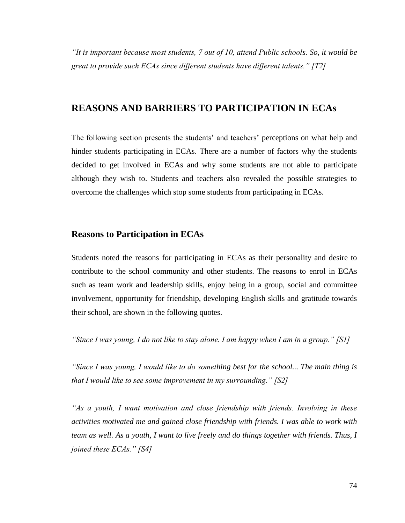*"It is important because most students, 7 out of 10, attend Public schools. So, it would be great to provide such ECAs since different students have different talents." [T2]*

## **REASONS AND BARRIERS TO PARTICIPATION IN ECAs**

The following section presents the students' and teachers' perceptions on what help and hinder students participating in ECAs. There are a number of factors why the students decided to get involved in ECAs and why some students are not able to participate although they wish to. Students and teachers also revealed the possible strategies to overcome the challenges which stop some students from participating in ECAs.

## **Reasons to Participation in ECAs**

Students noted the reasons for participating in ECAs as their personality and desire to contribute to the school community and other students. The reasons to enrol in ECAs such as team work and leadership skills, enjoy being in a group, social and committee involvement, opportunity for friendship, developing English skills and gratitude towards their school, are shown in the following quotes.

*"Since I was young, I do not like to stay alone. I am happy when I am in a group." [S1]*

*"Since I was young, I would like to do something best for the school... The main thing is that I would like to see some improvement in my surrounding." [S2]*

*"As a youth, I want motivation and close friendship with friends. Involving in these activities motivated me and gained close friendship with friends. I was able to work with team as well. As a youth, I want to live freely and do things together with friends. Thus, I joined these ECAs." [S4]*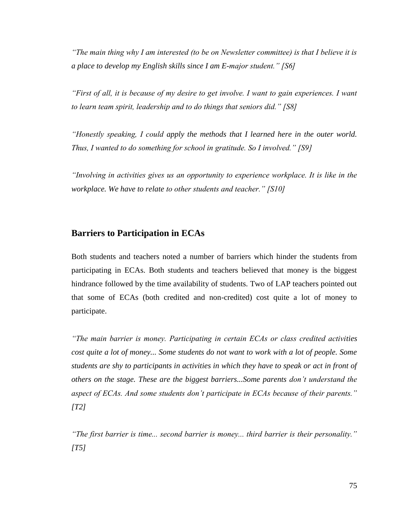*"The main thing why I am interested (to be on Newsletter committee) is that I believe it is a place to develop my English skills since I am E-major student." [S6]*

*"First of all, it is because of my desire to get involve. I want to gain experiences. I want to learn team spirit, leadership and to do things that seniors did." [S8]*

*"Honestly speaking, I could apply the methods that I learned here in the outer world. Thus, I wanted to do something for school in gratitude. So I involved." [S9]*

*"Involving in activities gives us an opportunity to experience workplace. It is like in the workplace. We have to relate to other students and teacher." [S10]*

## **Barriers to Participation in ECAs**

Both students and teachers noted a number of barriers which hinder the students from participating in ECAs. Both students and teachers believed that money is the biggest hindrance followed by the time availability of students. Two of LAP teachers pointed out that some of ECAs (both credited and non-credited) cost quite a lot of money to participate.

*"The main barrier is money. Participating in certain ECAs or class credited activities cost quite a lot of money... Some students do not want to work with a lot of people. Some students are shy to participants in activities in which they have to speak or act in front of others on the stage. These are the biggest barriers...Some parents don't understand the aspect of ECAs. And some students don't participate in ECAs because of their parents." [T2]*

*"The first barrier is time... second barrier is money... third barrier is their personality." [T5]*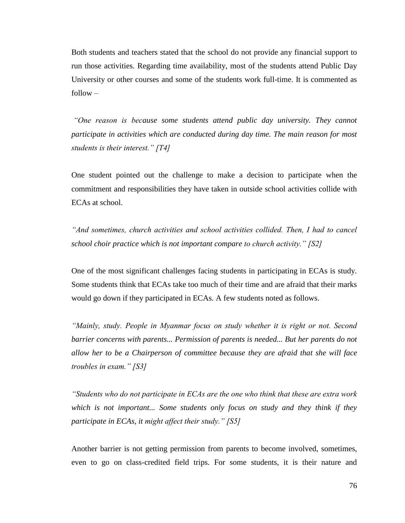Both students and teachers stated that the school do not provide any financial support to run those activities. Regarding time availability, most of the students attend Public Day University or other courses and some of the students work full-time. It is commented as follow –

*"One reason is because some students attend public day university. They cannot participate in activities which are conducted during day time. The main reason for most students is their interest." [T4]*

One student pointed out the challenge to make a decision to participate when the commitment and responsibilities they have taken in outside school activities collide with ECAs at school.

*"And sometimes, church activities and school activities collided. Then, I had to cancel school choir practice which is not important compare to church activity." [S2]*

One of the most significant challenges facing students in participating in ECAs is study. Some students think that ECAs take too much of their time and are afraid that their marks would go down if they participated in ECAs. A few students noted as follows.

*"Mainly, study. People in Myanmar focus on study whether it is right or not. Second barrier concerns with parents... Permission of parents is needed... But her parents do not allow her to be a Chairperson of committee because they are afraid that she will face troubles in exam." [S3]*

*"Students who do not participate in ECAs are the one who think that these are extra work which is not important... Some students only focus on study and they think if they participate in ECAs, it might affect their study." [S5]*

Another barrier is not getting permission from parents to become involved, sometimes, even to go on class-credited field trips. For some students, it is their nature and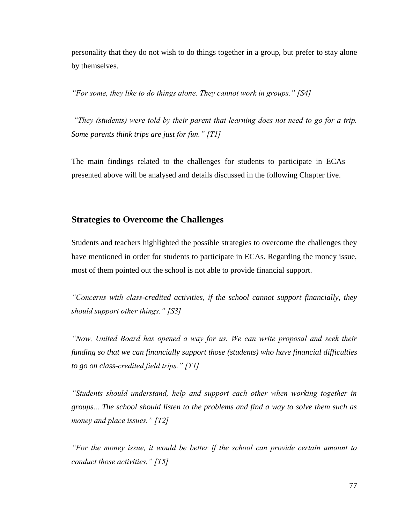personality that they do not wish to do things together in a group, but prefer to stay alone by themselves.

*"For some, they like to do things alone. They cannot work in groups." [S4]*

*"They (students) were told by their parent that learning does not need to go for a trip. Some parents think trips are just for fun." [T1]*

The main findings related to the challenges for students to participate in ECAs presented above will be analysed and details discussed in the following Chapter five.

## **Strategies to Overcome the Challenges**

Students and teachers highlighted the possible strategies to overcome the challenges they have mentioned in order for students to participate in ECAs. Regarding the money issue, most of them pointed out the school is not able to provide financial support.

*"Concerns with class-credited activities, if the school cannot support financially, they should support other things." [S3]*

*"Now, United Board has opened a way for us. We can write proposal and seek their funding so that we can financially support those (students) who have financial difficulties to go on class-credited field trips." [T1]*

*"Students should understand, help and support each other when working together in groups... The school should listen to the problems and find a way to solve them such as money and place issues." [T2]*

*"For the money issue, it would be better if the school can provide certain amount to conduct those activities." [T5]*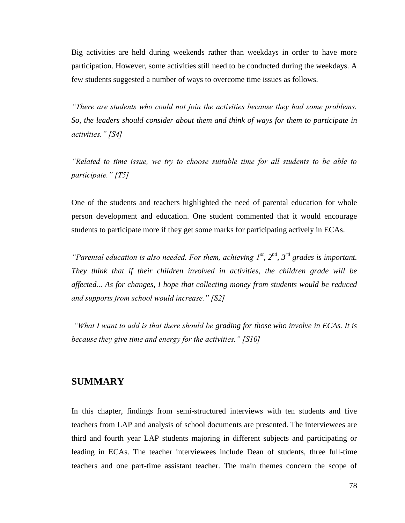Big activities are held during weekends rather than weekdays in order to have more participation. However, some activities still need to be conducted during the weekdays. A few students suggested a number of ways to overcome time issues as follows.

*"There are students who could not join the activities because they had some problems. So, the leaders should consider about them and think of ways for them to participate in activities." [S4]*

*"Related to time issue, we try to choose suitable time for all students to be able to participate." [T5]*

One of the students and teachers highlighted the need of parental education for whole person development and education. One student commented that it would encourage students to participate more if they get some marks for participating actively in ECAs.

*"Parental education is also needed. For them, achieving 1st, 2nd, 3rd grades is important. They think that if their children involved in activities, the children grade will be affected... As for changes, I hope that collecting money from students would be reduced and supports from school would increase." [S2]*

*"What I want to add is that there should be grading for those who involve in ECAs. It is because they give time and energy for the activities." [S10]*

## **SUMMARY**

In this chapter, findings from semi-structured interviews with ten students and five teachers from LAP and analysis of school documents are presented. The interviewees are third and fourth year LAP students majoring in different subjects and participating or leading in ECAs. The teacher interviewees include Dean of students, three full-time teachers and one part-time assistant teacher. The main themes concern the scope of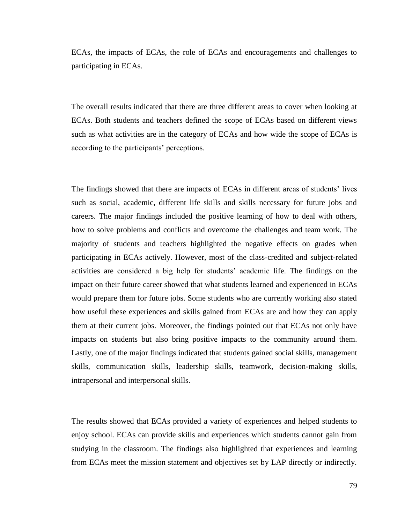ECAs, the impacts of ECAs, the role of ECAs and encouragements and challenges to participating in ECAs.

The overall results indicated that there are three different areas to cover when looking at ECAs. Both students and teachers defined the scope of ECAs based on different views such as what activities are in the category of ECAs and how wide the scope of ECAs is according to the participants' perceptions.

The findings showed that there are impacts of ECAs in different areas of students' lives such as social, academic, different life skills and skills necessary for future jobs and careers. The major findings included the positive learning of how to deal with others, how to solve problems and conflicts and overcome the challenges and team work. The majority of students and teachers highlighted the negative effects on grades when participating in ECAs actively. However, most of the class-credited and subject-related activities are considered a big help for students' academic life. The findings on the impact on their future career showed that what students learned and experienced in ECAs would prepare them for future jobs. Some students who are currently working also stated how useful these experiences and skills gained from ECAs are and how they can apply them at their current jobs. Moreover, the findings pointed out that ECAs not only have impacts on students but also bring positive impacts to the community around them. Lastly, one of the major findings indicated that students gained social skills, management skills, communication skills, leadership skills, teamwork, decision-making skills, intrapersonal and interpersonal skills.

The results showed that ECAs provided a variety of experiences and helped students to enjoy school. ECAs can provide skills and experiences which students cannot gain from studying in the classroom. The findings also highlighted that experiences and learning from ECAs meet the mission statement and objectives set by LAP directly or indirectly.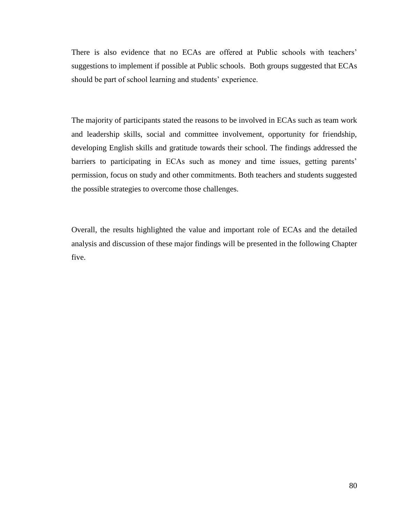There is also evidence that no ECAs are offered at Public schools with teachers' suggestions to implement if possible at Public schools. Both groups suggested that ECAs should be part of school learning and students' experience.

The majority of participants stated the reasons to be involved in ECAs such as team work and leadership skills, social and committee involvement, opportunity for friendship, developing English skills and gratitude towards their school. The findings addressed the barriers to participating in ECAs such as money and time issues, getting parents' permission, focus on study and other commitments. Both teachers and students suggested the possible strategies to overcome those challenges.

Overall, the results highlighted the value and important role of ECAs and the detailed analysis and discussion of these major findings will be presented in the following Chapter five.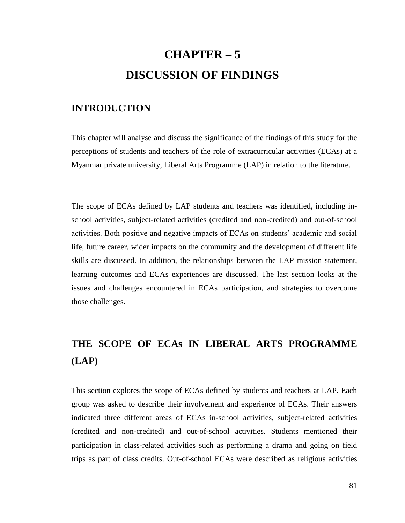# **CHAPTER – 5 DISCUSSION OF FINDINGS**

## **INTRODUCTION**

This chapter will analyse and discuss the significance of the findings of this study for the perceptions of students and teachers of the role of extracurricular activities (ECAs) at a Myanmar private university, Liberal Arts Programme (LAP) in relation to the literature.

The scope of ECAs defined by LAP students and teachers was identified, including inschool activities, subject-related activities (credited and non-credited) and out-of-school activities. Both positive and negative impacts of ECAs on students' academic and social life, future career, wider impacts on the community and the development of different life skills are discussed. In addition, the relationships between the LAP mission statement, learning outcomes and ECAs experiences are discussed. The last section looks at the issues and challenges encountered in ECAs participation, and strategies to overcome those challenges.

## **THE SCOPE OF ECAs IN LIBERAL ARTS PROGRAMME (LAP)**

This section explores the scope of ECAs defined by students and teachers at LAP. Each group was asked to describe their involvement and experience of ECAs. Their answers indicated three different areas of ECAs in-school activities, subject-related activities (credited and non-credited) and out-of-school activities. Students mentioned their participation in class-related activities such as performing a drama and going on field trips as part of class credits. Out-of-school ECAs were described as religious activities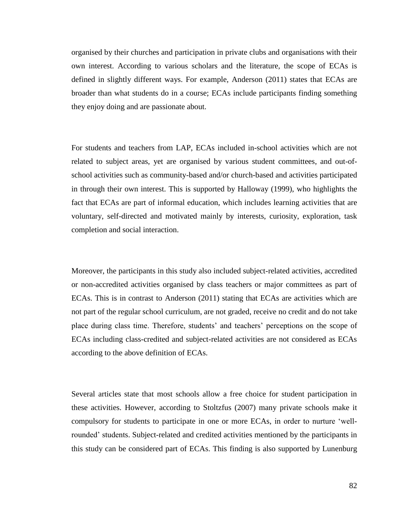organised by their churches and participation in private clubs and organisations with their own interest. According to various scholars and the literature, the scope of ECAs is defined in slightly different ways. For example, Anderson (2011) states that ECAs are broader than what students do in a course; ECAs include participants finding something they enjoy doing and are passionate about.

For students and teachers from LAP, ECAs included in-school activities which are not related to subject areas, yet are organised by various student committees, and out-ofschool activities such as community-based and/or church-based and activities participated in through their own interest. This is supported by Halloway (1999), who highlights the fact that ECAs are part of informal education, which includes learning activities that are voluntary, self-directed and motivated mainly by interests, curiosity, exploration, task completion and social interaction.

Moreover, the participants in this study also included subject-related activities, accredited or non-accredited activities organised by class teachers or major committees as part of ECAs. This is in contrast to Anderson (2011) stating that ECAs are activities which are not part of the regular school curriculum, are not graded, receive no credit and do not take place during class time. Therefore, students' and teachers' perceptions on the scope of ECAs including class-credited and subject-related activities are not considered as ECAs according to the above definition of ECAs.

Several articles state that most schools allow a free choice for student participation in these activities. However, according to Stoltzfus (2007) many private schools make it compulsory for students to participate in one or more ECAs, in order to nurture 'wellrounded' students. Subject-related and credited activities mentioned by the participants in this study can be considered part of ECAs. This finding is also supported by Lunenburg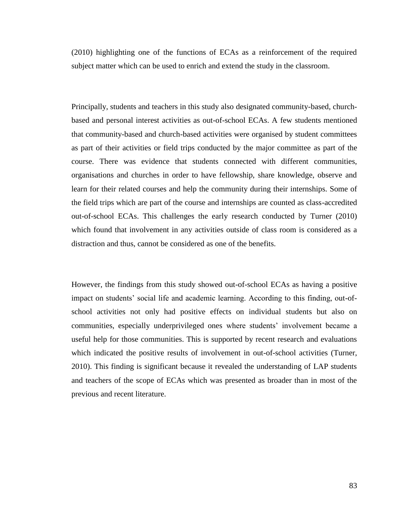(2010) highlighting one of the functions of ECAs as a reinforcement of the required subject matter which can be used to enrich and extend the study in the classroom.

Principally, students and teachers in this study also designated community-based, churchbased and personal interest activities as out-of-school ECAs. A few students mentioned that community-based and church-based activities were organised by student committees as part of their activities or field trips conducted by the major committee as part of the course. There was evidence that students connected with different communities, organisations and churches in order to have fellowship, share knowledge, observe and learn for their related courses and help the community during their internships. Some of the field trips which are part of the course and internships are counted as class-accredited out-of-school ECAs. This challenges the early research conducted by Turner (2010) which found that involvement in any activities outside of class room is considered as a distraction and thus, cannot be considered as one of the benefits.

However, the findings from this study showed out-of-school ECAs as having a positive impact on students' social life and academic learning. According to this finding, out-ofschool activities not only had positive effects on individual students but also on communities, especially underprivileged ones where students' involvement became a useful help for those communities. This is supported by recent research and evaluations which indicated the positive results of involvement in out-of-school activities (Turner, 2010). This finding is significant because it revealed the understanding of LAP students and teachers of the scope of ECAs which was presented as broader than in most of the previous and recent literature.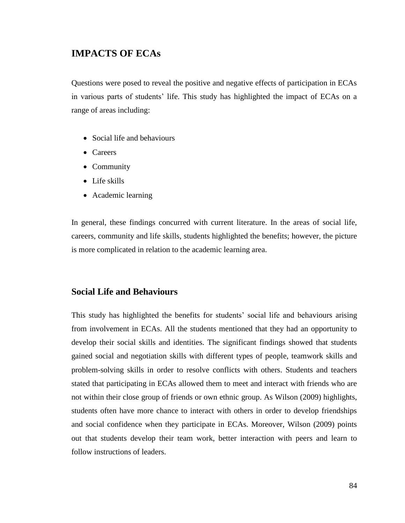## **IMPACTS OF ECAs**

Questions were posed to reveal the positive and negative effects of participation in ECAs in various parts of students' life. This study has highlighted the impact of ECAs on a range of areas including:

- Social life and behaviours
- Careers
- Community
- Life skills
- Academic learning

In general, these findings concurred with current literature. In the areas of social life, careers, community and life skills, students highlighted the benefits; however, the picture is more complicated in relation to the academic learning area.

### **Social Life and Behaviours**

This study has highlighted the benefits for students' social life and behaviours arising from involvement in ECAs. All the students mentioned that they had an opportunity to develop their social skills and identities. The significant findings showed that students gained social and negotiation skills with different types of people, teamwork skills and problem-solving skills in order to resolve conflicts with others. Students and teachers stated that participating in ECAs allowed them to meet and interact with friends who are not within their close group of friends or own ethnic group. As Wilson (2009) highlights, students often have more chance to interact with others in order to develop friendships and social confidence when they participate in ECAs. Moreover, Wilson (2009) points out that students develop their team work, better interaction with peers and learn to follow instructions of leaders.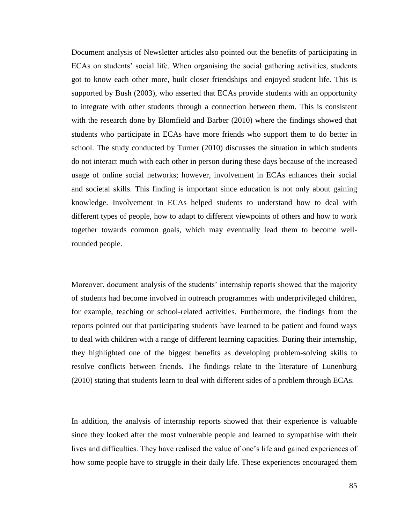Document analysis of Newsletter articles also pointed out the benefits of participating in ECAs on students' social life. When organising the social gathering activities, students got to know each other more, built closer friendships and enjoyed student life. This is supported by Bush (2003), who asserted that ECAs provide students with an opportunity to integrate with other students through a connection between them. This is consistent with the research done by Blomfield and Barber (2010) where the findings showed that students who participate in ECAs have more friends who support them to do better in school. The study conducted by Turner (2010) discusses the situation in which students do not interact much with each other in person during these days because of the increased usage of online social networks; however, involvement in ECAs enhances their social and societal skills. This finding is important since education is not only about gaining knowledge. Involvement in ECAs helped students to understand how to deal with different types of people, how to adapt to different viewpoints of others and how to work together towards common goals, which may eventually lead them to become wellrounded people.

Moreover, document analysis of the students' internship reports showed that the majority of students had become involved in outreach programmes with underprivileged children, for example, teaching or school-related activities. Furthermore, the findings from the reports pointed out that participating students have learned to be patient and found ways to deal with children with a range of different learning capacities. During their internship, they highlighted one of the biggest benefits as developing problem-solving skills to resolve conflicts between friends. The findings relate to the literature of Lunenburg (2010) stating that students learn to deal with different sides of a problem through ECAs.

In addition, the analysis of internship reports showed that their experience is valuable since they looked after the most vulnerable people and learned to sympathise with their lives and difficulties. They have realised the value of one's life and gained experiences of how some people have to struggle in their daily life. These experiences encouraged them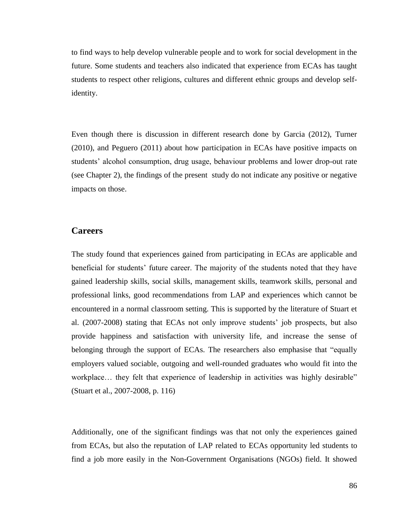to find ways to help develop vulnerable people and to work for social development in the future. Some students and teachers also indicated that experience from ECAs has taught students to respect other religions, cultures and different ethnic groups and develop selfidentity.

Even though there is discussion in different research done by Garcia (2012), Turner (2010), and Peguero (2011) about how participation in ECAs have positive impacts on students' alcohol consumption, drug usage, behaviour problems and lower drop-out rate (see Chapter 2), the findings of the present study do not indicate any positive or negative impacts on those.

#### **Careers**

The study found that experiences gained from participating in ECAs are applicable and beneficial for students' future career. The majority of the students noted that they have gained leadership skills, social skills, management skills, teamwork skills, personal and professional links, good recommendations from LAP and experiences which cannot be encountered in a normal classroom setting. This is supported by the literature of Stuart et al. (2007-2008) stating that ECAs not only improve students' job prospects, but also provide happiness and satisfaction with university life, and increase the sense of belonging through the support of ECAs. The researchers also emphasise that "equally employers valued sociable, outgoing and well-rounded graduates who would fit into the workplace... they felt that experience of leadership in activities was highly desirable" (Stuart et al., 2007-2008, p. 116)

Additionally, one of the significant findings was that not only the experiences gained from ECAs, but also the reputation of LAP related to ECAs opportunity led students to find a job more easily in the Non-Government Organisations (NGOs) field. It showed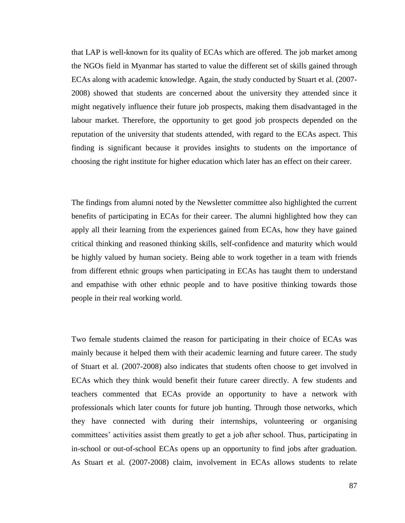that LAP is well-known for its quality of ECAs which are offered. The job market among the NGOs field in Myanmar has started to value the different set of skills gained through ECAs along with academic knowledge. Again, the study conducted by Stuart et al. (2007- 2008) showed that students are concerned about the university they attended since it might negatively influence their future job prospects, making them disadvantaged in the labour market. Therefore, the opportunity to get good job prospects depended on the reputation of the university that students attended, with regard to the ECAs aspect. This finding is significant because it provides insights to students on the importance of choosing the right institute for higher education which later has an effect on their career.

The findings from alumni noted by the Newsletter committee also highlighted the current benefits of participating in ECAs for their career. The alumni highlighted how they can apply all their learning from the experiences gained from ECAs, how they have gained critical thinking and reasoned thinking skills, self-confidence and maturity which would be highly valued by human society. Being able to work together in a team with friends from different ethnic groups when participating in ECAs has taught them to understand and empathise with other ethnic people and to have positive thinking towards those people in their real working world.

Two female students claimed the reason for participating in their choice of ECAs was mainly because it helped them with their academic learning and future career. The study of Stuart et al. (2007-2008) also indicates that students often choose to get involved in ECAs which they think would benefit their future career directly. A few students and teachers commented that ECAs provide an opportunity to have a network with professionals which later counts for future job hunting. Through those networks, which they have connected with during their internships, volunteering or organising committees' activities assist them greatly to get a job after school. Thus, participating in in-school or out-of-school ECAs opens up an opportunity to find jobs after graduation. As Stuart et al. (2007-2008) claim, involvement in ECAs allows students to relate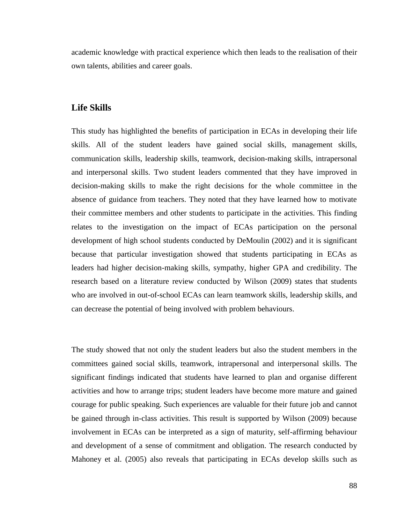academic knowledge with practical experience which then leads to the realisation of their own talents, abilities and career goals.

## **Life Skills**

This study has highlighted the benefits of participation in ECAs in developing their life skills. All of the student leaders have gained social skills, management skills, communication skills, leadership skills, teamwork, decision-making skills, intrapersonal and interpersonal skills. Two student leaders commented that they have improved in decision-making skills to make the right decisions for the whole committee in the absence of guidance from teachers. They noted that they have learned how to motivate their committee members and other students to participate in the activities. This finding relates to the investigation on the impact of ECAs participation on the personal development of high school students conducted by DeMoulin (2002) and it is significant because that particular investigation showed that students participating in ECAs as leaders had higher decision-making skills, sympathy, higher GPA and credibility. The research based on a literature review conducted by Wilson (2009) states that students who are involved in out-of-school ECAs can learn teamwork skills, leadership skills, and can decrease the potential of being involved with problem behaviours.

The study showed that not only the student leaders but also the student members in the committees gained social skills, teamwork, intrapersonal and interpersonal skills. The significant findings indicated that students have learned to plan and organise different activities and how to arrange trips; student leaders have become more mature and gained courage for public speaking. Such experiences are valuable for their future job and cannot be gained through in-class activities. This result is supported by Wilson (2009) because involvement in ECAs can be interpreted as a sign of maturity, self-affirming behaviour and development of a sense of commitment and obligation. The research conducted by Mahoney et al. (2005) also reveals that participating in ECAs develop skills such as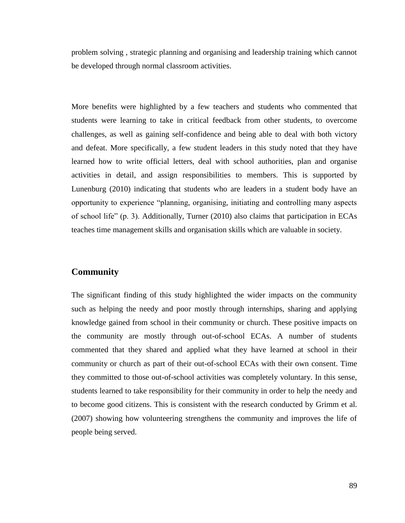problem solving , strategic planning and organising and leadership training which cannot be developed through normal classroom activities.

More benefits were highlighted by a few teachers and students who commented that students were learning to take in critical feedback from other students, to overcome challenges, as well as gaining self-confidence and being able to deal with both victory and defeat. More specifically, a few student leaders in this study noted that they have learned how to write official letters, deal with school authorities, plan and organise activities in detail, and assign responsibilities to members. This is supported by Lunenburg (2010) indicating that students who are leaders in a student body have an opportunity to experience "planning, organising, initiating and controlling many aspects of school life" (p. 3). Additionally, Turner (2010) also claims that participation in ECAs teaches time management skills and organisation skills which are valuable in society.

## **Community**

The significant finding of this study highlighted the wider impacts on the community such as helping the needy and poor mostly through internships, sharing and applying knowledge gained from school in their community or church. These positive impacts on the community are mostly through out-of-school ECAs. A number of students commented that they shared and applied what they have learned at school in their community or church as part of their out-of-school ECAs with their own consent. Time they committed to those out-of-school activities was completely voluntary. In this sense, students learned to take responsibility for their community in order to help the needy and to become good citizens. This is consistent with the research conducted by Grimm et al. (2007) showing how volunteering strengthens the community and improves the life of people being served.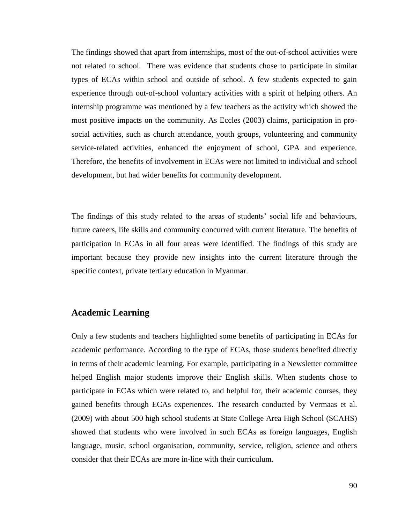The findings showed that apart from internships, most of the out-of-school activities were not related to school. There was evidence that students chose to participate in similar types of ECAs within school and outside of school. A few students expected to gain experience through out-of-school voluntary activities with a spirit of helping others. An internship programme was mentioned by a few teachers as the activity which showed the most positive impacts on the community. As Eccles (2003) claims, participation in prosocial activities, such as church attendance, youth groups, volunteering and community service-related activities, enhanced the enjoyment of school, GPA and experience. Therefore, the benefits of involvement in ECAs were not limited to individual and school development, but had wider benefits for community development.

The findings of this study related to the areas of students' social life and behaviours, future careers, life skills and community concurred with current literature. The benefits of participation in ECAs in all four areas were identified. The findings of this study are important because they provide new insights into the current literature through the specific context, private tertiary education in Myanmar.

#### **Academic Learning**

Only a few students and teachers highlighted some benefits of participating in ECAs for academic performance. According to the type of ECAs, those students benefited directly in terms of their academic learning. For example, participating in a Newsletter committee helped English major students improve their English skills. When students chose to participate in ECAs which were related to, and helpful for, their academic courses, they gained benefits through ECAs experiences. The research conducted by Vermaas et al. (2009) with about 500 high school students at State College Area High School (SCAHS) showed that students who were involved in such ECAs as foreign languages, English language, music, school organisation, community, service, religion, science and others consider that their ECAs are more in-line with their curriculum.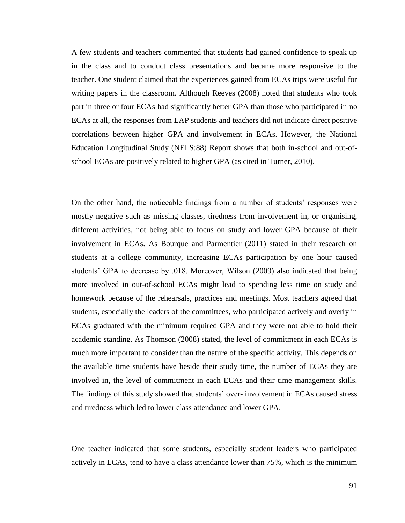A few students and teachers commented that students had gained confidence to speak up in the class and to conduct class presentations and became more responsive to the teacher. One student claimed that the experiences gained from ECAs trips were useful for writing papers in the classroom. Although Reeves (2008) noted that students who took part in three or four ECAs had significantly better GPA than those who participated in no ECAs at all, the responses from LAP students and teachers did not indicate direct positive correlations between higher GPA and involvement in ECAs. However, the National Education Longitudinal Study (NELS:88) Report shows that both in-school and out-ofschool ECAs are positively related to higher GPA (as cited in Turner, 2010).

On the other hand, the noticeable findings from a number of students' responses were mostly negative such as missing classes, tiredness from involvement in, or organising, different activities, not being able to focus on study and lower GPA because of their involvement in ECAs. As Bourque and Parmentier (2011) stated in their research on students at a college community, increasing ECAs participation by one hour caused students' GPA to decrease by .018. Moreover, Wilson (2009) also indicated that being more involved in out-of-school ECAs might lead to spending less time on study and homework because of the rehearsals, practices and meetings. Most teachers agreed that students, especially the leaders of the committees, who participated actively and overly in ECAs graduated with the minimum required GPA and they were not able to hold their academic standing. As Thomson (2008) stated, the level of commitment in each ECAs is much more important to consider than the nature of the specific activity. This depends on the available time students have beside their study time, the number of ECAs they are involved in, the level of commitment in each ECAs and their time management skills. The findings of this study showed that students' over- involvement in ECAs caused stress and tiredness which led to lower class attendance and lower GPA.

One teacher indicated that some students, especially student leaders who participated actively in ECAs, tend to have a class attendance lower than 75%, which is the minimum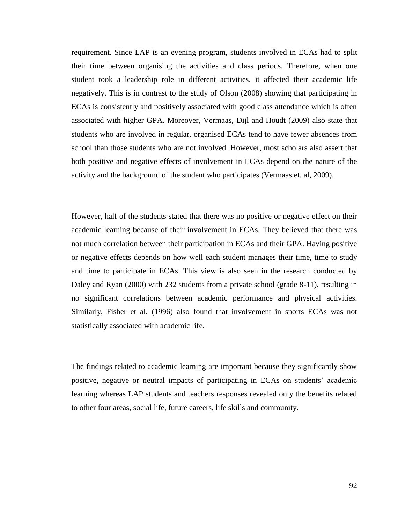requirement. Since LAP is an evening program, students involved in ECAs had to split their time between organising the activities and class periods. Therefore, when one student took a leadership role in different activities, it affected their academic life negatively. This is in contrast to the study of Olson (2008) showing that participating in ECAs is consistently and positively associated with good class attendance which is often associated with higher GPA. Moreover, Vermaas, Dijl and Houdt (2009) also state that students who are involved in regular, organised ECAs tend to have fewer absences from school than those students who are not involved. However, most scholars also assert that both positive and negative effects of involvement in ECAs depend on the nature of the activity and the background of the student who participates (Vermaas et. al, 2009).

However, half of the students stated that there was no positive or negative effect on their academic learning because of their involvement in ECAs. They believed that there was not much correlation between their participation in ECAs and their GPA. Having positive or negative effects depends on how well each student manages their time, time to study and time to participate in ECAs. This view is also seen in the research conducted by Daley and Ryan (2000) with 232 students from a private school (grade 8-11), resulting in no significant correlations between academic performance and physical activities. Similarly, Fisher et al. (1996) also found that involvement in sports ECAs was not statistically associated with academic life.

The findings related to academic learning are important because they significantly show positive, negative or neutral impacts of participating in ECAs on students' academic learning whereas LAP students and teachers responses revealed only the benefits related to other four areas, social life, future careers, life skills and community.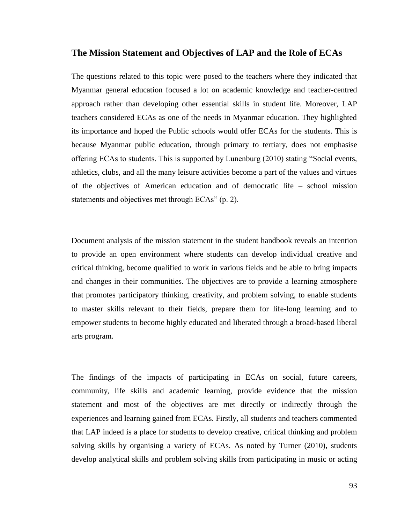#### **The Mission Statement and Objectives of LAP and the Role of ECAs**

The questions related to this topic were posed to the teachers where they indicated that Myanmar general education focused a lot on academic knowledge and teacher-centred approach rather than developing other essential skills in student life. Moreover, LAP teachers considered ECAs as one of the needs in Myanmar education. They highlighted its importance and hoped the Public schools would offer ECAs for the students. This is because Myanmar public education, through primary to tertiary, does not emphasise offering ECAs to students. This is supported by Lunenburg (2010) stating "Social events, athletics, clubs, and all the many leisure activities become a part of the values and virtues of the objectives of American education and of democratic life – school mission statements and objectives met through ECAs" (p. 2).

Document analysis of the mission statement in the student handbook reveals an intention to provide an open environment where students can develop individual creative and critical thinking, become qualified to work in various fields and be able to bring impacts and changes in their communities. The objectives are to provide a learning atmosphere that promotes participatory thinking, creativity, and problem solving, to enable students to master skills relevant to their fields, prepare them for life-long learning and to empower students to become highly educated and liberated through a broad-based liberal arts program.

The findings of the impacts of participating in ECAs on social, future careers, community, life skills and academic learning, provide evidence that the mission statement and most of the objectives are met directly or indirectly through the experiences and learning gained from ECAs. Firstly, all students and teachers commented that LAP indeed is a place for students to develop creative, critical thinking and problem solving skills by organising a variety of ECAs. As noted by Turner (2010), students develop analytical skills and problem solving skills from participating in music or acting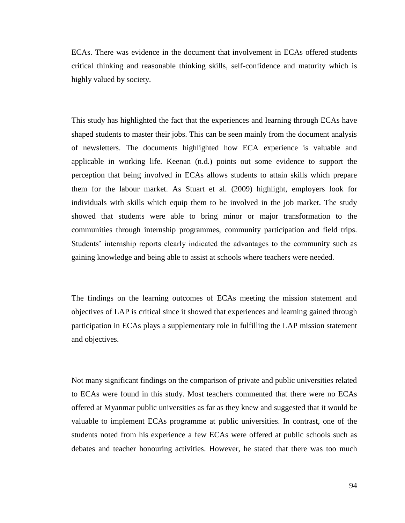ECAs. There was evidence in the document that involvement in ECAs offered students critical thinking and reasonable thinking skills, self-confidence and maturity which is highly valued by society.

This study has highlighted the fact that the experiences and learning through ECAs have shaped students to master their jobs. This can be seen mainly from the document analysis of newsletters. The documents highlighted how ECA experience is valuable and applicable in working life. Keenan (n.d.) points out some evidence to support the perception that being involved in ECAs allows students to attain skills which prepare them for the labour market. As Stuart et al. (2009) highlight, employers look for individuals with skills which equip them to be involved in the job market. The study showed that students were able to bring minor or major transformation to the communities through internship programmes, community participation and field trips. Students' internship reports clearly indicated the advantages to the community such as gaining knowledge and being able to assist at schools where teachers were needed.

The findings on the learning outcomes of ECAs meeting the mission statement and objectives of LAP is critical since it showed that experiences and learning gained through participation in ECAs plays a supplementary role in fulfilling the LAP mission statement and objectives.

Not many significant findings on the comparison of private and public universities related to ECAs were found in this study. Most teachers commented that there were no ECAs offered at Myanmar public universities as far as they knew and suggested that it would be valuable to implement ECAs programme at public universities. In contrast, one of the students noted from his experience a few ECAs were offered at public schools such as debates and teacher honouring activities. However, he stated that there was too much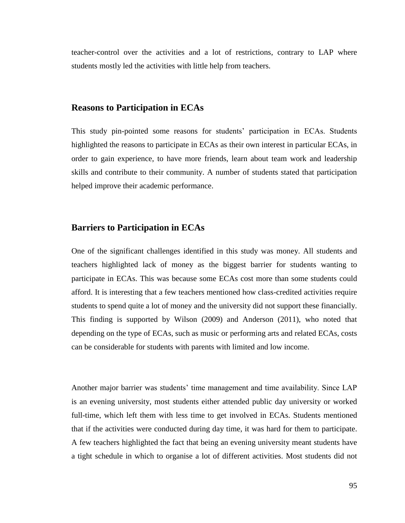teacher-control over the activities and a lot of restrictions, contrary to LAP where students mostly led the activities with little help from teachers.

#### **Reasons to Participation in ECAs**

This study pin-pointed some reasons for students' participation in ECAs. Students highlighted the reasons to participate in ECAs as their own interest in particular ECAs, in order to gain experience, to have more friends, learn about team work and leadership skills and contribute to their community. A number of students stated that participation helped improve their academic performance.

## **Barriers to Participation in ECAs**

One of the significant challenges identified in this study was money. All students and teachers highlighted lack of money as the biggest barrier for students wanting to participate in ECAs. This was because some ECAs cost more than some students could afford. It is interesting that a few teachers mentioned how class-credited activities require students to spend quite a lot of money and the university did not support these financially. This finding is supported by Wilson (2009) and Anderson (2011), who noted that depending on the type of ECAs, such as music or performing arts and related ECAs, costs can be considerable for students with parents with limited and low income.

Another major barrier was students' time management and time availability. Since LAP is an evening university, most students either attended public day university or worked full-time, which left them with less time to get involved in ECAs. Students mentioned that if the activities were conducted during day time, it was hard for them to participate. A few teachers highlighted the fact that being an evening university meant students have a tight schedule in which to organise a lot of different activities. Most students did not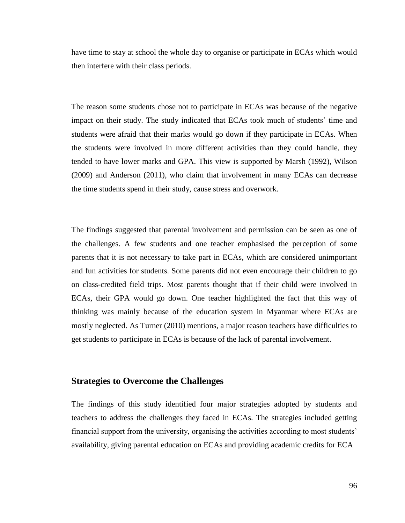have time to stay at school the whole day to organise or participate in ECAs which would then interfere with their class periods.

The reason some students chose not to participate in ECAs was because of the negative impact on their study. The study indicated that ECAs took much of students' time and students were afraid that their marks would go down if they participate in ECAs. When the students were involved in more different activities than they could handle, they tended to have lower marks and GPA. This view is supported by Marsh (1992), Wilson (2009) and Anderson (2011), who claim that involvement in many ECAs can decrease the time students spend in their study, cause stress and overwork.

The findings suggested that parental involvement and permission can be seen as one of the challenges. A few students and one teacher emphasised the perception of some parents that it is not necessary to take part in ECAs, which are considered unimportant and fun activities for students. Some parents did not even encourage their children to go on class-credited field trips. Most parents thought that if their child were involved in ECAs, their GPA would go down. One teacher highlighted the fact that this way of thinking was mainly because of the education system in Myanmar where ECAs are mostly neglected. As Turner (2010) mentions, a major reason teachers have difficulties to get students to participate in ECAs is because of the lack of parental involvement.

#### **Strategies to Overcome the Challenges**

The findings of this study identified four major strategies adopted by students and teachers to address the challenges they faced in ECAs. The strategies included getting financial support from the university, organising the activities according to most students' availability, giving parental education on ECAs and providing academic credits for ECA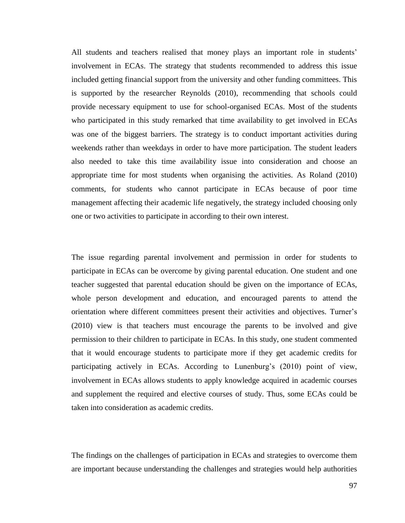All students and teachers realised that money plays an important role in students' involvement in ECAs. The strategy that students recommended to address this issue included getting financial support from the university and other funding committees. This is supported by the researcher Reynolds (2010), recommending that schools could provide necessary equipment to use for school-organised ECAs. Most of the students who participated in this study remarked that time availability to get involved in ECAs was one of the biggest barriers. The strategy is to conduct important activities during weekends rather than weekdays in order to have more participation. The student leaders also needed to take this time availability issue into consideration and choose an appropriate time for most students when organising the activities. As Roland (2010) comments, for students who cannot participate in ECAs because of poor time management affecting their academic life negatively, the strategy included choosing only one or two activities to participate in according to their own interest.

The issue regarding parental involvement and permission in order for students to participate in ECAs can be overcome by giving parental education. One student and one teacher suggested that parental education should be given on the importance of ECAs, whole person development and education, and encouraged parents to attend the orientation where different committees present their activities and objectives. Turner's (2010) view is that teachers must encourage the parents to be involved and give permission to their children to participate in ECAs. In this study, one student commented that it would encourage students to participate more if they get academic credits for participating actively in ECAs. According to Lunenburg's (2010) point of view, involvement in ECAs allows students to apply knowledge acquired in academic courses and supplement the required and elective courses of study. Thus, some ECAs could be taken into consideration as academic credits.

The findings on the challenges of participation in ECAs and strategies to overcome them are important because understanding the challenges and strategies would help authorities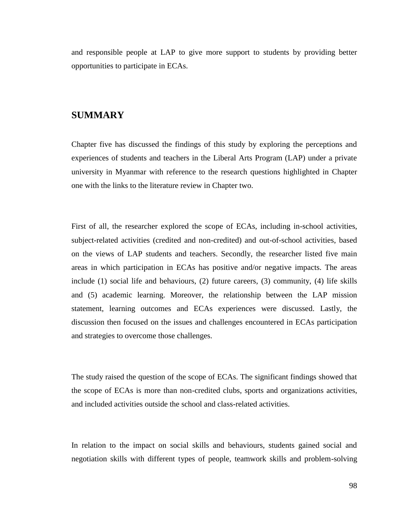and responsible people at LAP to give more support to students by providing better opportunities to participate in ECAs.

## **SUMMARY**

Chapter five has discussed the findings of this study by exploring the perceptions and experiences of students and teachers in the Liberal Arts Program (LAP) under a private university in Myanmar with reference to the research questions highlighted in Chapter one with the links to the literature review in Chapter two.

First of all, the researcher explored the scope of ECAs, including in-school activities, subject-related activities (credited and non-credited) and out-of-school activities, based on the views of LAP students and teachers. Secondly, the researcher listed five main areas in which participation in ECAs has positive and/or negative impacts. The areas include (1) social life and behaviours, (2) future careers, (3) community, (4) life skills and (5) academic learning. Moreover, the relationship between the LAP mission statement, learning outcomes and ECAs experiences were discussed. Lastly, the discussion then focused on the issues and challenges encountered in ECAs participation and strategies to overcome those challenges.

The study raised the question of the scope of ECAs. The significant findings showed that the scope of ECAs is more than non-credited clubs, sports and organizations activities, and included activities outside the school and class-related activities.

In relation to the impact on social skills and behaviours, students gained social and negotiation skills with different types of people, teamwork skills and problem-solving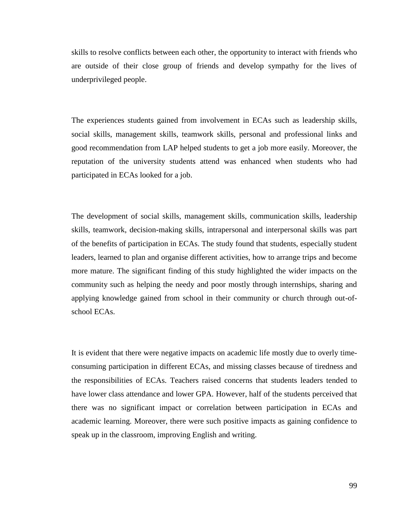skills to resolve conflicts between each other, the opportunity to interact with friends who are outside of their close group of friends and develop sympathy for the lives of underprivileged people.

The experiences students gained from involvement in ECAs such as leadership skills, social skills, management skills, teamwork skills, personal and professional links and good recommendation from LAP helped students to get a job more easily. Moreover, the reputation of the university students attend was enhanced when students who had participated in ECAs looked for a job.

The development of social skills, management skills, communication skills, leadership skills, teamwork, decision-making skills, intrapersonal and interpersonal skills was part of the benefits of participation in ECAs. The study found that students, especially student leaders, learned to plan and organise different activities, how to arrange trips and become more mature. The significant finding of this study highlighted the wider impacts on the community such as helping the needy and poor mostly through internships, sharing and applying knowledge gained from school in their community or church through out-ofschool ECAs.

It is evident that there were negative impacts on academic life mostly due to overly timeconsuming participation in different ECAs, and missing classes because of tiredness and the responsibilities of ECAs. Teachers raised concerns that students leaders tended to have lower class attendance and lower GPA. However, half of the students perceived that there was no significant impact or correlation between participation in ECAs and academic learning. Moreover, there were such positive impacts as gaining confidence to speak up in the classroom, improving English and writing.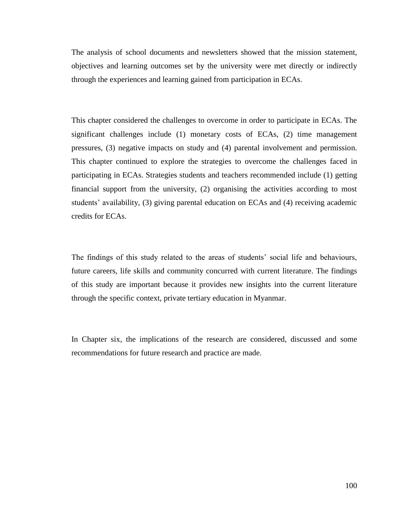The analysis of school documents and newsletters showed that the mission statement, objectives and learning outcomes set by the university were met directly or indirectly through the experiences and learning gained from participation in ECAs.

This chapter considered the challenges to overcome in order to participate in ECAs. The significant challenges include (1) monetary costs of ECAs, (2) time management pressures, (3) negative impacts on study and (4) parental involvement and permission. This chapter continued to explore the strategies to overcome the challenges faced in participating in ECAs. Strategies students and teachers recommended include (1) getting financial support from the university, (2) organising the activities according to most students' availability, (3) giving parental education on ECAs and (4) receiving academic credits for ECAs.

The findings of this study related to the areas of students' social life and behaviours, future careers, life skills and community concurred with current literature. The findings of this study are important because it provides new insights into the current literature through the specific context, private tertiary education in Myanmar.

In Chapter six, the implications of the research are considered, discussed and some recommendations for future research and practice are made.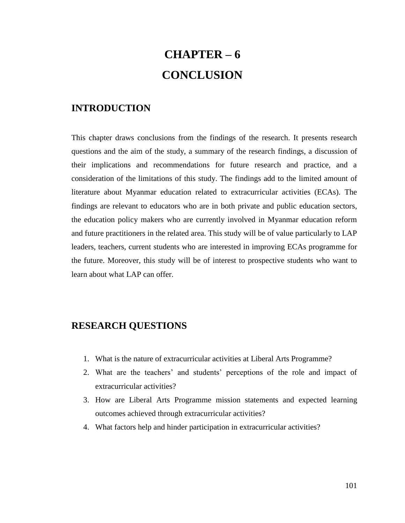# **CHAPTER – 6 CONCLUSION**

### **INTRODUCTION**

This chapter draws conclusions from the findings of the research. It presents research questions and the aim of the study, a summary of the research findings, a discussion of their implications and recommendations for future research and practice, and a consideration of the limitations of this study. The findings add to the limited amount of literature about Myanmar education related to extracurricular activities (ECAs). The findings are relevant to educators who are in both private and public education sectors, the education policy makers who are currently involved in Myanmar education reform and future practitioners in the related area. This study will be of value particularly to LAP leaders, teachers, current students who are interested in improving ECAs programme for the future. Moreover, this study will be of interest to prospective students who want to learn about what LAP can offer.

### **RESEARCH QUESTIONS**

- 1. What is the nature of extracurricular activities at Liberal Arts Programme?
- 2. What are the teachers' and students' perceptions of the role and impact of extracurricular activities?
- 3. How are Liberal Arts Programme mission statements and expected learning outcomes achieved through extracurricular activities?
- 4. What factors help and hinder participation in extracurricular activities?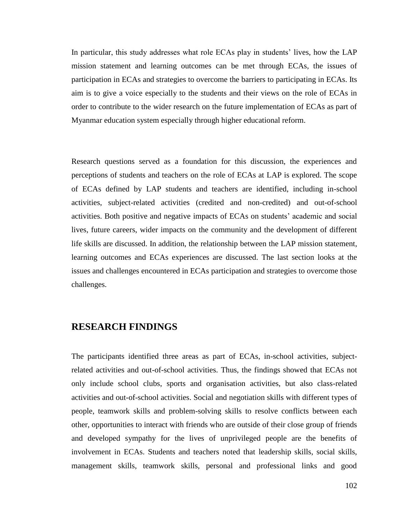In particular, this study addresses what role ECAs play in students' lives, how the LAP mission statement and learning outcomes can be met through ECAs, the issues of participation in ECAs and strategies to overcome the barriers to participating in ECAs. Its aim is to give a voice especially to the students and their views on the role of ECAs in order to contribute to the wider research on the future implementation of ECAs as part of Myanmar education system especially through higher educational reform.

Research questions served as a foundation for this discussion, the experiences and perceptions of students and teachers on the role of ECAs at LAP is explored. The scope of ECAs defined by LAP students and teachers are identified, including in-school activities, subject-related activities (credited and non-credited) and out-of-school activities. Both positive and negative impacts of ECAs on students' academic and social lives, future careers, wider impacts on the community and the development of different life skills are discussed. In addition, the relationship between the LAP mission statement, learning outcomes and ECAs experiences are discussed. The last section looks at the issues and challenges encountered in ECAs participation and strategies to overcome those challenges.

### **RESEARCH FINDINGS**

The participants identified three areas as part of ECAs, in-school activities, subjectrelated activities and out-of-school activities. Thus, the findings showed that ECAs not only include school clubs, sports and organisation activities, but also class-related activities and out-of-school activities. Social and negotiation skills with different types of people, teamwork skills and problem-solving skills to resolve conflicts between each other, opportunities to interact with friends who are outside of their close group of friends and developed sympathy for the lives of unprivileged people are the benefits of involvement in ECAs. Students and teachers noted that leadership skills, social skills, management skills, teamwork skills, personal and professional links and good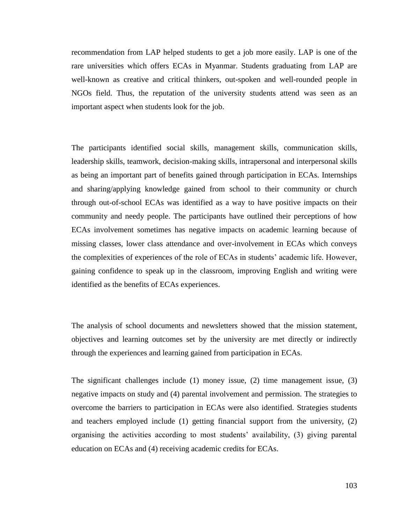recommendation from LAP helped students to get a job more easily. LAP is one of the rare universities which offers ECAs in Myanmar. Students graduating from LAP are well-known as creative and critical thinkers, out-spoken and well-rounded people in NGOs field. Thus, the reputation of the university students attend was seen as an important aspect when students look for the job.

The participants identified social skills, management skills, communication skills, leadership skills, teamwork, decision-making skills, intrapersonal and interpersonal skills as being an important part of benefits gained through participation in ECAs. Internships and sharing/applying knowledge gained from school to their community or church through out-of-school ECAs was identified as a way to have positive impacts on their community and needy people. The participants have outlined their perceptions of how ECAs involvement sometimes has negative impacts on academic learning because of missing classes, lower class attendance and over-involvement in ECAs which conveys the complexities of experiences of the role of ECAs in students' academic life. However, gaining confidence to speak up in the classroom, improving English and writing were identified as the benefits of ECAs experiences.

The analysis of school documents and newsletters showed that the mission statement, objectives and learning outcomes set by the university are met directly or indirectly through the experiences and learning gained from participation in ECAs.

The significant challenges include (1) money issue, (2) time management issue, (3) negative impacts on study and (4) parental involvement and permission. The strategies to overcome the barriers to participation in ECAs were also identified. Strategies students and teachers employed include (1) getting financial support from the university, (2) organising the activities according to most students' availability, (3) giving parental education on ECAs and (4) receiving academic credits for ECAs.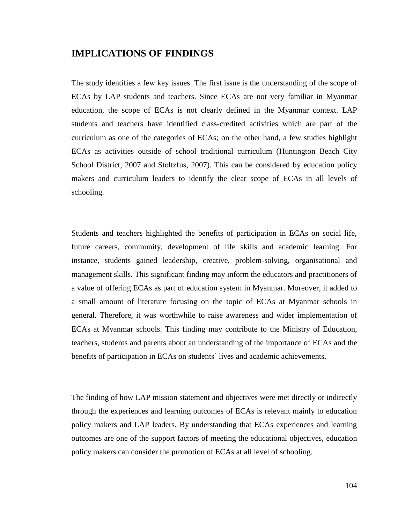### **IMPLICATIONS OF FINDINGS**

The study identifies a few key issues. The first issue is the understanding of the scope of ECAs by LAP students and teachers. Since ECAs are not very familiar in Myanmar education, the scope of ECAs is not clearly defined in the Myanmar context. LAP students and teachers have identified class-credited activities which are part of the curriculum as one of the categories of ECAs; on the other hand, a few studies highlight ECAs as activities outside of school traditional curriculum (Huntington Beach City School District, 2007 and Stoltzfus, 2007). This can be considered by education policy makers and curriculum leaders to identify the clear scope of ECAs in all levels of schooling.

Students and teachers highlighted the benefits of participation in ECAs on social life, future careers, community, development of life skills and academic learning. For instance, students gained leadership, creative, problem-solving, organisational and management skills. This significant finding may inform the educators and practitioners of a value of offering ECAs as part of education system in Myanmar. Moreover, it added to a small amount of literature focusing on the topic of ECAs at Myanmar schools in general. Therefore, it was worthwhile to raise awareness and wider implementation of ECAs at Myanmar schools. This finding may contribute to the Ministry of Education, teachers, students and parents about an understanding of the importance of ECAs and the benefits of participation in ECAs on students' lives and academic achievements.

The finding of how LAP mission statement and objectives were met directly or indirectly through the experiences and learning outcomes of ECAs is relevant mainly to education policy makers and LAP leaders. By understanding that ECAs experiences and learning outcomes are one of the support factors of meeting the educational objectives, education policy makers can consider the promotion of ECAs at all level of schooling.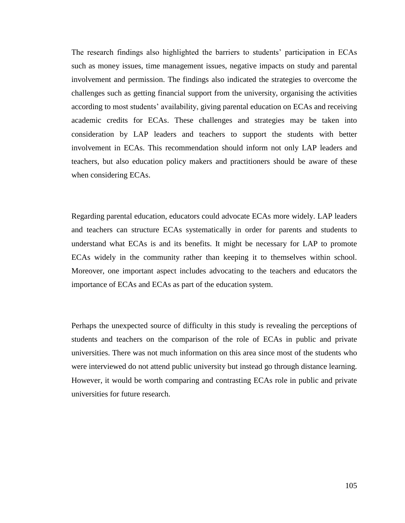The research findings also highlighted the barriers to students' participation in ECAs such as money issues, time management issues, negative impacts on study and parental involvement and permission. The findings also indicated the strategies to overcome the challenges such as getting financial support from the university, organising the activities according to most students' availability, giving parental education on ECAs and receiving academic credits for ECAs. These challenges and strategies may be taken into consideration by LAP leaders and teachers to support the students with better involvement in ECAs. This recommendation should inform not only LAP leaders and teachers, but also education policy makers and practitioners should be aware of these when considering ECAs.

Regarding parental education, educators could advocate ECAs more widely. LAP leaders and teachers can structure ECAs systematically in order for parents and students to understand what ECAs is and its benefits. It might be necessary for LAP to promote ECAs widely in the community rather than keeping it to themselves within school. Moreover, one important aspect includes advocating to the teachers and educators the importance of ECAs and ECAs as part of the education system.

Perhaps the unexpected source of difficulty in this study is revealing the perceptions of students and teachers on the comparison of the role of ECAs in public and private universities. There was not much information on this area since most of the students who were interviewed do not attend public university but instead go through distance learning. However, it would be worth comparing and contrasting ECAs role in public and private universities for future research.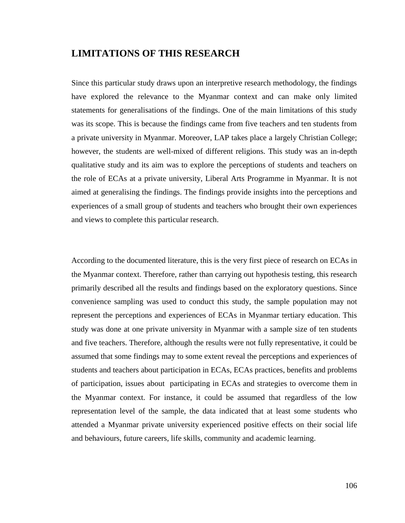#### **LIMITATIONS OF THIS RESEARCH**

Since this particular study draws upon an interpretive research methodology, the findings have explored the relevance to the Myanmar context and can make only limited statements for generalisations of the findings. One of the main limitations of this study was its scope. This is because the findings came from five teachers and ten students from a private university in Myanmar. Moreover, LAP takes place a largely Christian College; however, the students are well-mixed of different religions. This study was an in-depth qualitative study and its aim was to explore the perceptions of students and teachers on the role of ECAs at a private university, Liberal Arts Programme in Myanmar. It is not aimed at generalising the findings. The findings provide insights into the perceptions and experiences of a small group of students and teachers who brought their own experiences and views to complete this particular research.

According to the documented literature, this is the very first piece of research on ECAs in the Myanmar context. Therefore, rather than carrying out hypothesis testing, this research primarily described all the results and findings based on the exploratory questions. Since convenience sampling was used to conduct this study, the sample population may not represent the perceptions and experiences of ECAs in Myanmar tertiary education. This study was done at one private university in Myanmar with a sample size of ten students and five teachers. Therefore, although the results were not fully representative, it could be assumed that some findings may to some extent reveal the perceptions and experiences of students and teachers about participation in ECAs, ECAs practices, benefits and problems of participation, issues about participating in ECAs and strategies to overcome them in the Myanmar context. For instance, it could be assumed that regardless of the low representation level of the sample, the data indicated that at least some students who attended a Myanmar private university experienced positive effects on their social life and behaviours, future careers, life skills, community and academic learning.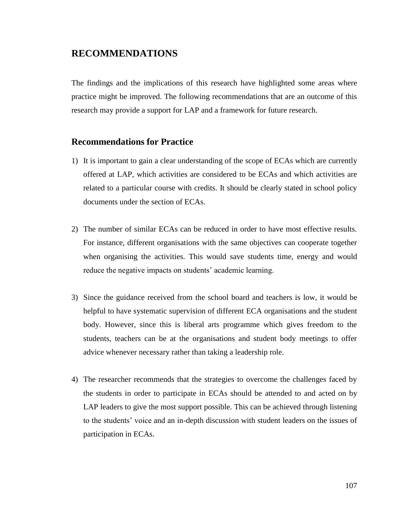### **RECOMMENDATIONS**

The findings and the implications of this research have highlighted some areas where practice might be improved. The following recommendations that are an outcome of this research may provide a support for LAP and a framework for future research.

#### **Recommendations for Practice**

- 1) It is important to gain a clear understanding of the scope of ECAs which are currently offered at LAP, which activities are considered to be ECAs and which activities are related to a particular course with credits. It should be clearly stated in school policy documents under the section of ECAs.
- 2) The number of similar ECAs can be reduced in order to have most effective results. For instance, different organisations with the same objectives can cooperate together when organising the activities. This would save students time, energy and would reduce the negative impacts on students' academic learning.
- 3) Since the guidance received from the school board and teachers is low, it would be helpful to have systematic supervision of different ECA organisations and the student body. However, since this is liberal arts programme which gives freedom to the students, teachers can be at the organisations and student body meetings to offer advice whenever necessary rather than taking a leadership role.
- 4) The researcher recommends that the strategies to overcome the challenges faced by the students in order to participate in ECAs should be attended to and acted on by LAP leaders to give the most support possible. This can be achieved through listening to the students' voice and an in-depth discussion with student leaders on the issues of participation in ECAs.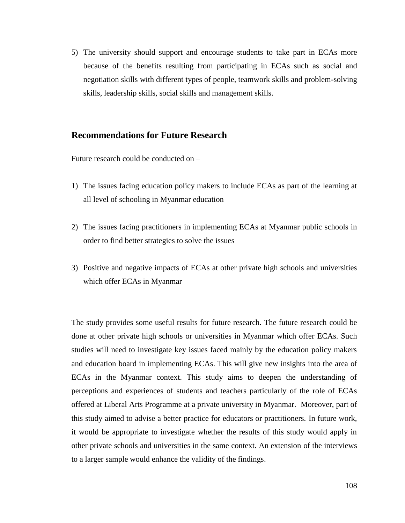5) The university should support and encourage students to take part in ECAs more because of the benefits resulting from participating in ECAs such as social and negotiation skills with different types of people, teamwork skills and problem-solving skills, leadership skills, social skills and management skills.

#### **Recommendations for Future Research**

Future research could be conducted on –

- 1) The issues facing education policy makers to include ECAs as part of the learning at all level of schooling in Myanmar education
- 2) The issues facing practitioners in implementing ECAs at Myanmar public schools in order to find better strategies to solve the issues
- 3) Positive and negative impacts of ECAs at other private high schools and universities which offer ECAs in Myanmar

The study provides some useful results for future research. The future research could be done at other private high schools or universities in Myanmar which offer ECAs. Such studies will need to investigate key issues faced mainly by the education policy makers and education board in implementing ECAs. This will give new insights into the area of ECAs in the Myanmar context. This study aims to deepen the understanding of perceptions and experiences of students and teachers particularly of the role of ECAs offered at Liberal Arts Programme at a private university in Myanmar. Moreover, part of this study aimed to advise a better practice for educators or practitioners. In future work, it would be appropriate to investigate whether the results of this study would apply in other private schools and universities in the same context. An extension of the interviews to a larger sample would enhance the validity of the findings.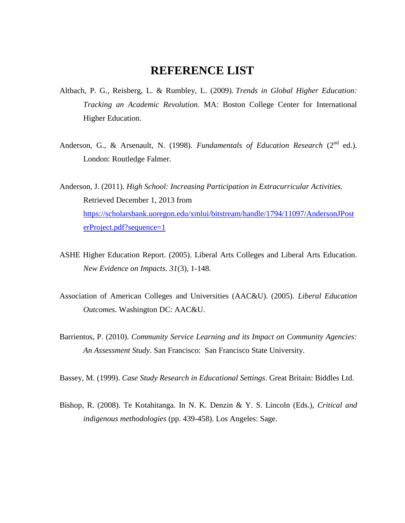### **REFERENCE LIST**

- Altbach, P. G., Reisberg, L. & Rumbley, L. (2009). *Trends in Global Higher Education: Tracking an Academic Revolution.* MA: Boston College Center for International Higher Education.
- Anderson, G., & Arsenault, N. (1998). *Fundamentals of Education Research* (2<sup>nd</sup> ed.). London: Routledge Falmer.
- Anderson, J. (2011). *High School: Increasing Participation in Extracurricular Activities.* Retrieved December 1, 2013 from [https://scholarsbank.uoregon.edu/xmlui/bitstream/handle/1794/11097/AndersonJPost](https://scholarsbank.uoregon.edu/xmlui/bitstream/handle/1794/11097/AndersonJPosterProject.pdf?sequence=1) [erProject.pdf?sequence=1](https://scholarsbank.uoregon.edu/xmlui/bitstream/handle/1794/11097/AndersonJPosterProject.pdf?sequence=1)
- ASHE Higher Education Report. (2005). Liberal Arts Colleges and Liberal Arts Education. *New Evidence on Impacts. 31*(3), 1-148.
- Association of American Colleges and Universities (AAC&U). (2005). *Liberal Education Outcomes.* Washington DC: AAC&U.
- Barrientos, P. (2010). *Community Service Learning and its Impact on Community Agencies: An Assessment Study*. San Francisco: San Francisco State University.

Bassey, M. (1999). *Case Study Research in Educational Settings*. Great Britain: Biddles Ltd.

Bishop, R. (2008). Te Kotahitanga*.* In N. K. Denzin & Y. S. Lincoln (Eds.), *Critical and indigenous methodologies* (pp. 439-458). Los Angeles: Sage.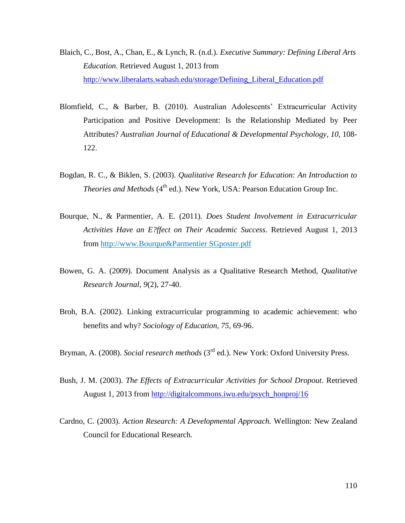- Blaich, C., Bost, A., Chan, E., & Lynch, R. (n.d.). *Executive Summary: Defining Liberal Arts Education.* Retrieved August 1, 2013 from [http://www.liberalarts.wabash.edu/storage/Defining\\_Liberal\\_Education.pdf](http://www.liberalarts.wabash.edu/storage/Defining_Liberal_Education.pdf)
- Blomfield, C., & Barber, B. (2010). Australian Adolescents' Extracurricular Activity Participation and Positive Development: Is the Relationship Mediated by Peer Attributes? *Australian Journal of Educational & Developmental Psychology, 10*, 108- 122.
- Bogdan, R. C., & Biklen, S. (2003). *Qualitative Research for Education: An Introduction to Theories and Methods* (4<sup>th</sup> ed.). New York, USA: Pearson Education Group Inc.
- Bourque, N., & Parmentier, A. E. (2011). *Does Student Involvement in Extracurricular Activities Have an E?ffect on Their Academic Success*. Retrieved August 1, 2013 from http://www.Bourque&Parmentier SGposter.pdf
- Bowen, G. A. (2009). Document Analysis as a Qualitative Research Method, *Qualitative Research Journal*, *9*(2), 27-40.
- Broh, B.A. (2002). Linking extracurricular programming to academic achievement: who benefits and why? *Sociology of Education, 75*, 69-96.
- Bryman, A. (2008). *Social research methods* (3<sup>rd</sup> ed.). New York: Oxford University Press.
- Bush, J. M. (2003). *The Effects of Extracurricular Activities for School Dropout*. Retrieved August 1, 2013 from [http://digitalcommons.iwu.edu/psych\\_honproj/16](http://digitalcommons.iwu.edu/psych_honproj/16)
- Cardno, C. (2003). *Action Research: A Developmental Approach.* Wellington: New Zealand Council for Educational Research.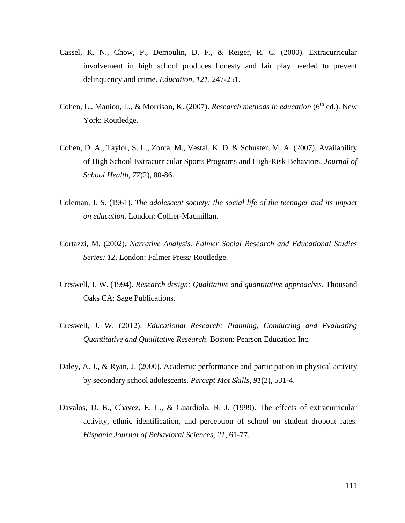- Cassel, R. N., Chow, P., Demoulin, D. F., & Reiger, R. C. (2000). Extracurricular involvement in high school produces honesty and fair play needed to prevent delinquency and crime. *Education, 121*, 247-251.
- Cohen, L., Manion, L., & Morrison, K. (2007). *Research methods in education* (6<sup>th</sup> ed.). New York: Routledge.
- Cohen, D. A., Taylor, S. L., Zonta, M., Vestal, K. D. & Schuster, M. A. (2007). Availability of High School Extracurricular Sports Programs and High-Risk Behaviors. *Journal of School Health, 77*(2), 80-86.
- Coleman, J. S. (1961). *The adolescent society: the social life of the teenager and its impact on education*. London: Collier-Macmillan.
- Cortazzi, M. (2002). *Narrative Analysis. Falmer Social Research and Educational Studies Series: 12*. London: Falmer Press/ Routledge.
- Creswell, J. W. (1994). *Research design: Qualitative and quantitative approaches*. Thousand Oaks CA: Sage Publications.
- Creswell, J. W. (2012). *Educational Research: Planning, Conducting and Evaluating Quantitative and Qualitative Research*. Boston: Pearson Education Inc.
- Daley, A. J., & Ryan, J. (2000). Academic performance and participation in physical activity by secondary school adolescents. *Percept Mot Skills, 91*(2), 531-4.
- Davalos, D. B., Chavez, E. L., & Guardiola, R. J. (1999). The effects of extracurricular activity, ethnic identification, and perception of school on student dropout rates. *Hispanic Journal of Behavioral Sciences, 21,* 61-77.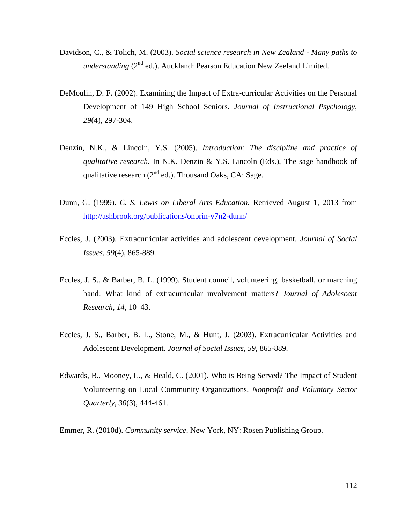- Davidson, C., & Tolich, M. (2003). *Social science research in New Zealand - Many paths to*  understanding (2<sup>nd</sup> ed.). Auckland: Pearson Education New Zeeland Limited.
- DeMoulin, D. F. (2002). Examining the Impact of Extra-curricular Activities on the Personal Development of 149 High School Seniors. *Journal of Instructional Psychology, 29*(4), 297-304.
- Denzin, N.K., & Lincoln, Y.S. (2005). *Introduction: The discipline and practice of qualitative research.* In N.K. Denzin & Y.S. Lincoln (Eds.), The sage handbook of qualitative research  $(2^{nd}$  ed.). Thousand Oaks, CA: Sage.
- Dunn, G. (1999). *C. S. Lewis on Liberal Arts Education.* Retrieved August 1, 2013 from <http://ashbrook.org/publications/onprin-v7n2-dunn/>
- Eccles, J. (2003). Extracurricular activities and adolescent development. *Journal of Social Issues, 59*(4), 865-889.
- Eccles, J. S., & Barber, B. L. (1999). Student council, volunteering, basketball, or marching band: What kind of extracurricular involvement matters? *Journal of Adolescent Research, 14*, 10–43.
- Eccles, J. S., Barber, B. L., Stone, M., & Hunt, J. (2003). Extracurricular Activities and Adolescent Development. *Journal of Social Issues, 59,* 865-889.
- Edwards, B., Mooney, L., & Heald, C. (2001). Who is Being Served? The Impact of Student Volunteering on Local Community Organizations. *Nonprofit and Voluntary Sector Quarterly, 30*(3), 444-461.

Emmer, R. (2010d). *Community service*. New York, NY: Rosen Publishing Group.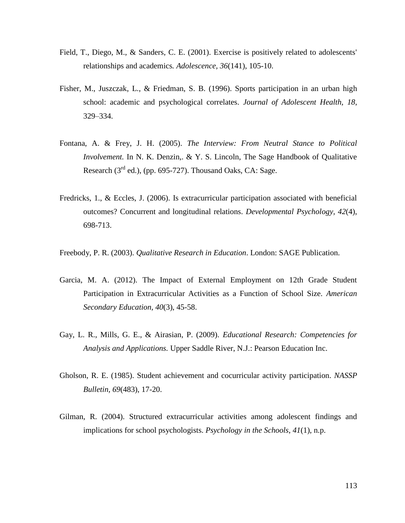- Field, T., Diego, M., & Sanders, C. E. (2001). Exercise is positively related to adolescents' relationships and academics*. Adolescence, 36*(141), 105-10.
- Fisher, M., Juszczak, L., & Friedman, S. B. (1996). Sports participation in an urban high school: academic and psychological correlates. *Journal of Adolescent Health, 18*, 329–334.
- Fontana, A. & Frey, J. H. (2005). *The Interview: From Neutral Stance to Political Involvement.* In N. K. Denzin,. & Y. S. Lincoln, The Sage Handbook of Qualitative Research  $(3<sup>rd</sup>$  ed.), (pp. 695-727). Thousand Oaks, CA: Sage.
- Fredricks, 1., & Eccles, J. (2006). Is extracurricular participation associated with beneficial outcomes? Concurrent and longitudinal relations. *Developmental Psychology, 42*(4), 698-713.
- Freebody, P. R. (2003). *Qualitative Research in Education*. London: SAGE Publication.
- Garcia, M. A. (2012). The Impact of External Employment on 12th Grade Student Participation in Extracurricular Activities as a Function of School Size. *American Secondary Education, 40*(3), 45-58.
- Gay, L. R., Mills, G. E., & Airasian, P. (2009). *Educational Research: Competencies for Analysis and Applications.* Upper Saddle River, N.J.: Pearson Education Inc.
- Gholson, R. E. (1985). Student achievement and cocurricular activity participation. *NASSP Bulletin, 69*(483), 17-20.
- Gilman, R. (2004). Structured extracurricular activities among adolescent findings and implications for school psychologists. *Psychology in the Schools*, *41*(1), n.p.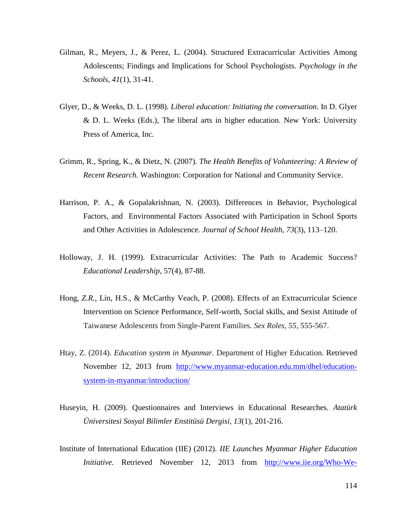- Gilman, R., Meyers, J., & Perez, L. (2004). Structured Extracurricular Activities Among Adolescents; Findings and Implications for School Psychologists. *Psychology in the Schools, 41*(1), 31-41.
- Glyer, D., & Weeks, D. L. (1998). *Liberal education: Initiating the conversation*. In D. Glyer & D. L. Weeks (Eds.), The liberal arts in higher education. New York: University Press of America, Inc.
- Grimm, R., Spring, K., & Dietz, N. (2007). *The Health Benefits of Volunteering: A Review of Recent Research.* Washington: Corporation for National and Community Service.
- Harrison, P. A., & Gopalakrishnan, N. (2003). Differences in Behavior, Psychological Factors, and Environmental Factors Associated with Participation in School Sports and Other Activities in Adolescence. *Journal of School Health, 73*(3), 113–120.
- Holloway, J. H. (1999). Extracurricular Activities: The Path to Academic Success? *Educational Leadership*, 57(4), 87-88.
- Hong*, Z.R.,* Lin*,* H.S., & McCarthy Veach, P. (2008). Effects of an Extracurricular Science Intervention on Science Performance, Self-worth, Social skills, and Sexist Attitude of Taiwanese Adolescents from Single-Parent Families. *Sex Roles, 55*, 555-567.
- Htay, Z. (2014). *Education system in Myanmar*. Department of Higher Education. Retrieved November 12, 2013 from [http://www.myanmar-education.edu.mm/dhel/education](http://www.myanmar-education.edu.mm/dhel/education-system-in-myanmar/introduction/)[system-in-myanmar/introduction/](http://www.myanmar-education.edu.mm/dhel/education-system-in-myanmar/introduction/)
- Huseyin, H. (2009). Questionnaires and Interviews in Educational Researches. *Atatürk Üniversitesi Sosyal Bilimler Enstitüsü Dergisi, 13*(1), 201-216.
- Institute of International Education (IIE) (2012). *IIE Launches Myanmar Higher Education Initiative.* Retrieved November 12, 2013 from [http://www.iie.org/Who-We-](http://www.iie.org/Who-We-Are/News-and-Events/Press-Center/Press-Releases/2012/2012-11-20-IIE-Launches-Myanmar-Higher-Education-Initiative)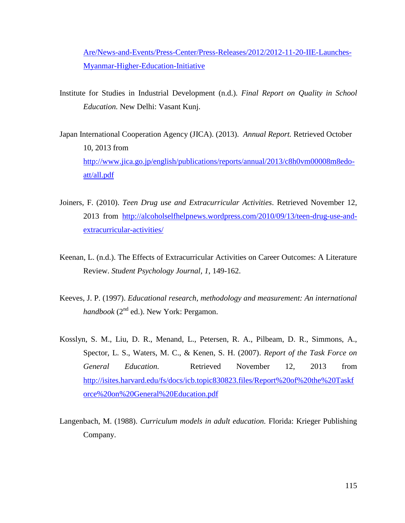[Are/News-and-Events/Press-Center/Press-Releases/2012/2012-11-20-IIE-Launches-](http://www.iie.org/Who-We-Are/News-and-Events/Press-Center/Press-Releases/2012/2012-11-20-IIE-Launches-Myanmar-Higher-Education-Initiative)[Myanmar-Higher-Education-Initiative](http://www.iie.org/Who-We-Are/News-and-Events/Press-Center/Press-Releases/2012/2012-11-20-IIE-Launches-Myanmar-Higher-Education-Initiative)

- Institute for Studies in Industrial Development (n.d.). *Final Report on Quality in School Education.* New Delhi: Vasant Kunj.
- Japan International Cooperation Agency (JICA). (2013). *Annual Report.* Retrieved October 10, 2013 from [http://www.jica.go.jp/english/publications/reports/annual/2013/c8h0vm00008m8edo](http://www.jica.go.jp/english/publications/reports/annual/2013/c8h0vm00008m8edo-att/all.pdf)[att/all.pdf](http://www.jica.go.jp/english/publications/reports/annual/2013/c8h0vm00008m8edo-att/all.pdf)
- Joiners, F. (2010). *Teen Drug use and Extracurricular Activities*. Retrieved November 12, 2013 from [http://alcoholselfhelpnews.wordpress.com/2010/09/13/teen-drug-use-and](http://alcoholselfhelpnews.wordpress.com/2010/09/13/teen-drug-use-and-extracurricular-activities/)[extracurricular-activities/](http://alcoholselfhelpnews.wordpress.com/2010/09/13/teen-drug-use-and-extracurricular-activities/)
- Keenan, L. (n.d.). The Effects of Extracurricular Activities on Career Outcomes: A Literature Review. *Student Psychology Journal, 1*, 149-162.
- Keeves, J. P. (1997). *Educational research, methodology and measurement: An international handbook* ( $2^{nd}$  ed.). New York: Pergamon.
- Kosslyn, S. M., Liu, D. R., Menand, L., Petersen, R. A., Pilbeam, D. R., Simmons, A., Spector, L. S., Waters, M. C., & Kenen, S. H. (2007). *Report of the Task Force on General Education.* Retrieved November 12, 2013 from [http://isites.harvard.edu/fs/docs/icb.topic830823.files/Report%20of%20the%20Taskf](http://isites.harvard.edu/fs/docs/icb.topic830823.files/Report%20of%20the%20Taskforce%20on%20General%20Education.pdf) [orce%20on%20General%20Education.pdf](http://isites.harvard.edu/fs/docs/icb.topic830823.files/Report%20of%20the%20Taskforce%20on%20General%20Education.pdf)
- Langenbach, M. (1988). *Curriculum models in adult education.* Florida: Krieger Publishing Company.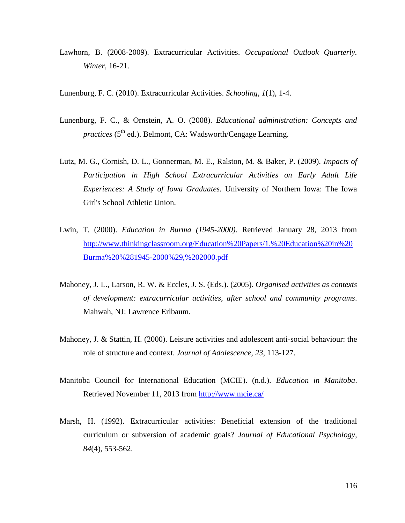- Lawhorn, B. (2008-2009). Extracurricular Activities. *Occupational Outlook Quarterly. Winter,* 16-21.
- Lunenburg, F. C. (2010). Extracurricular Activities. *Schooling, 1*(1), 1-4.
- Lunenburg, F. C., & Ornstein, A. O. (2008). *Educational administration: Concepts and practices* (5<sup>th</sup> ed.). Belmont, CA: Wadsworth/Cengage Learning.
- Lutz, M. G., Cornish, D. L., Gonnerman, M. E., Ralston, M. & Baker, P. (2009). *Impacts of Participation in High School Extracurricular Activities on Early Adult Life Experiences: A Study of Iowa Graduates.* University of Northern Iowa: The Iowa Girl's School Athletic Union.
- Lwin, T. (2000). *Education in Burma (1945-2000)*. Retrieved January 28, 2013 from [http://www.thinkingclassroom.org/Education%20Papers/1.%20Education%20in%20](http://www.thinkingclassroom.org/Education%20Papers/1.%20Education%20in%20Burma%20%281945-2000%29,%202000.pdf) [Burma%20%281945-2000%29,%202000.pdf](http://www.thinkingclassroom.org/Education%20Papers/1.%20Education%20in%20Burma%20%281945-2000%29,%202000.pdf)
- Mahoney, J. L., Larson, R. W. & Eccles, J. S. (Eds.). (2005). *Organised activities as contexts of development: extracurricular activities, after school and community programs*. Mahwah, NJ: Lawrence Erlbaum.
- Mahoney, J. & Stattin, H. (2000). Leisure activities and adolescent anti-social behaviour: the role of structure and context. *Journal of Adolescence, 23*, 113-127.
- Manitoba Council for International Education (MCIE). (n.d.). *Education in Manitoba*. Retrieved November 11, 2013 from<http://www.mcie.ca/>
- Marsh, H. (1992). Extracurricular activities: Beneficial extension of the traditional curriculum or subversion of academic goals? *Journal of Educational Psychology, 84*(4), 553-562.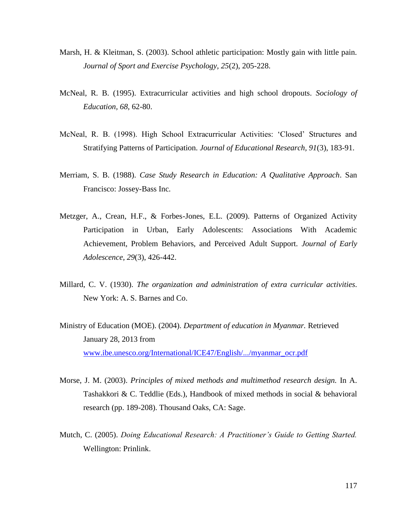- Marsh, H. & Kleitman, S. (2003). School athletic participation: Mostly gain with little pain. *Journal of Sport and Exercise Psychology, 25*(2), 205-228.
- McNeal, R. B. (1995). Extracurricular activities and high school dropouts. *Sociology of Education, 68*, 62-80.
- McNeal, R. B. (1998). High School Extracurricular Activities: 'Closed' Structures and Stratifying Patterns of Participation. *Journal of Educational Research, 91*(3), 183-91.
- Merriam, S. B. (1988). *Case Study Research in Education: A Qualitative Approach*. San Francisco: Jossey-Bass Inc.
- Metzger, A., Crean, H.F., & Forbes-Jones, E.L. (2009). Patterns of Organized Activity Participation in Urban, Early Adolescents: Associations With Academic Achievement, Problem Behaviors, and Perceived Adult Support. *Journal of Early Adolescence, 29*(3), 426-442.
- Millard, C. V. (1930). *The organization and administration of extra curricular activities*. New York: A. S. Barnes and Co.
- Ministry of Education (MOE). (2004). *Department of education in Myanmar.* Retrieved January 28, 2013 from [www.ibe.unesco.org/International/ICE47/English/.../myanmar\\_ocr.pdf](http://www.ibe.unesco.org/International/ICE47/English/.../myanmar_ocr.pdf)
- Morse, J. M. (2003). *Principles of mixed methods and multimethod research design.* In A. Tashakkori & C. Teddlie (Eds.), Handbook of mixed methods in social & behavioral research (pp. 189-208). Thousand Oaks, CA: Sage.
- Mutch, C. (2005). *Doing Educational Research: A Practitioner's Guide to Getting Started.* Wellington: Prinlink.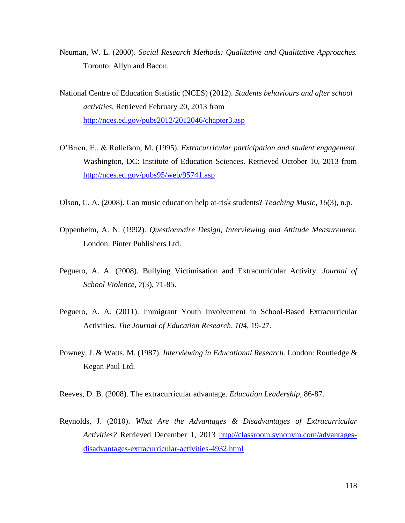- Neuman, W. L. (2000). *Social Research Methods: Qualitative and Qualitative Approaches.* Toronto: Allyn and Bacon.
- National Centre of Education Statistic (NCES) (2012). *Students behaviours and after school activities.* Retrieved February 20, 2013 from <http://nces.ed.gov/pubs2012/2012046/chapter3.asp>
- O'Brien, E., & Rollefson, M. (1995). *Extracurricular participation and student engagement*. Washington, DC: Institute of Education Sciences. Retrieved October 10, 2013 from <http://nces.ed.gov/pubs95/web/95741.asp>
- Olson, C. A. (2008). Can music education help at-risk students? *Teaching Music, 16*(3), n.p.
- Oppenheim, A. N. (1992). *Questionnaire Design, Interviewing and Attitude Measurement.* London: Pinter Publishers Ltd.
- Peguero, A. A. (2008). Bullying Victimisation and Extracurricular Activity. *Journal of School Violence, 7*(3), 71-85.
- Peguero, A. A. (2011). Immigrant Youth Involvement in School-Based Extracurricular Activities. *The Journal of Education Research, 104*, 19-27.
- Powney, J. & Watts, M. (1987). *Interviewing in Educational Research.* London: Routledge & Kegan Paul Ltd.
- Reeves, D. B. (2008). The extracurricular advantage. *Education Leadership*, 86-87.
- Reynolds, J. (2010). *What Are the Advantages & Disadvantages of Extracurricular Activities?* Retrieved December 1, 2013 [http://classroom.synonym.com/advantages](http://classroom.synonym.com/advantages-disadvantages-extracurricular-activities-4932.html)[disadvantages-extracurricular-activities-4932.html](http://classroom.synonym.com/advantages-disadvantages-extracurricular-activities-4932.html)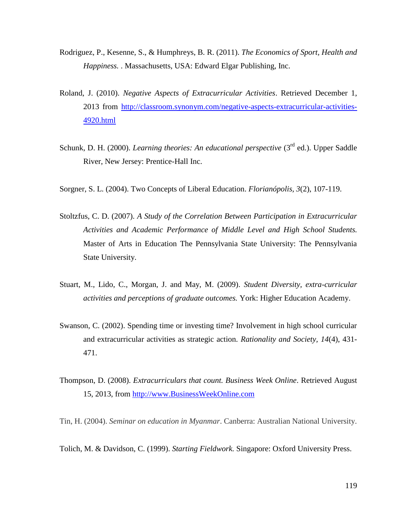- Rodriguez, P., Kesenne, S., & Humphreys, B. R. (2011). *The Economics of Sport, Health and Happiness.* . Massachusetts, USA: Edward Elgar Publishing, Inc.
- Roland, J. (2010). *Negative Aspects of Extracurricular Activities*. Retrieved December 1, 2013 from [http://classroom.synonym.com/negative-aspects-extracurricular-activities-](http://classroom.synonym.com/negative-aspects-extracurricular-activities-4920.html)[4920.html](http://classroom.synonym.com/negative-aspects-extracurricular-activities-4920.html)
- Schunk, D. H. (2000). *Learning theories: An educational perspective* (3<sup>rd</sup> ed.). Upper Saddle River, New Jersey: Prentice-Hall Inc.
- Sorgner, S. L. (2004). Two Concepts of Liberal Education. *Florianópolis, 3*(2), 107-119.
- Stoltzfus, C. D. (2007). *A Study of the Correlation Between Participation in Extracurricular Activities and Academic Performance of Middle Level and High School Students.* Master of Arts in Education The Pennsylvania State University: The Pennsylvania State University.
- Stuart, M., Lido, C., Morgan, J. and May, M. (2009). *Student Diversity, extra-curricular activities and perceptions of graduate outcomes.* York: Higher Education Academy.
- Swanson, C. (2002). Spending time or investing time? Involvement in high school curricular and extracurricular activities as strategic action. *Rationality and Society, 14*(4), 431- 471.
- Thompson, D. (2008). *Extracurriculars that count. Business Week Online*. Retrieved August 15, 2013, from [http://www.BusinessWeekOnline.com](http://www.businessweekonline.com/)

Tin, H. (2004). *Seminar on education in Myanmar*. Canberra: Australian National University.

Tolich, M. & Davidson, C. (1999). *Starting Fieldwork.* Singapore: Oxford University Press.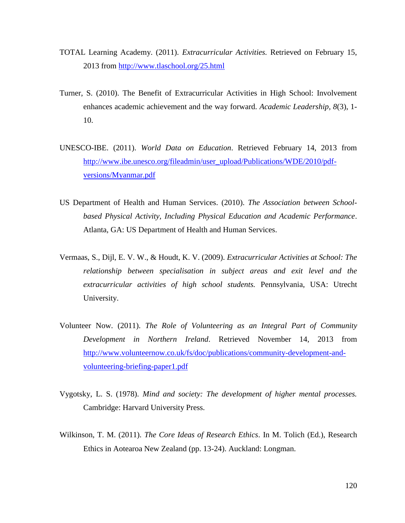- TOTAL Learning Academy. (2011). *Extracurricular Activities.* Retrieved on February 15, 2013 from<http://www.tlaschool.org/25.html>
- Turner, S. (2010). The Benefit of Extracurricular Activities in High School: Involvement enhances academic achievement and the way forward. *Academic Leadership, 8*(3), 1- 10.
- UNESCO-IBE. (2011). *World Data on Education*. Retrieved February 14, 2013 from [http://www.ibe.unesco.org/fileadmin/user\\_upload/Publications/WDE/2010/pdf](http://www.ibe.unesco.org/fileadmin/user_upload/Publications/WDE/2010/pdf-versions/Myanmar.pdf)[versions/Myanmar.pdf](http://www.ibe.unesco.org/fileadmin/user_upload/Publications/WDE/2010/pdf-versions/Myanmar.pdf)
- US Department of Health and Human Services. (2010). *The Association between Schoolbased Physical Activity, Including Physical Education and Academic Performance*. Atlanta, GA: US Department of Health and Human Services.
- Vermaas, S., Dijl, E. V. W., & Houdt, K. V. (2009). *Extracurricular Activities at School: The relationship between specialisation in subject areas and exit level and the extracurricular activities of high school students.* Pennsylvania, USA: Utrecht University.
- Volunteer Now. (2011). *The Role of Volunteering as an Integral Part of Community Development in Northern Ireland*. Retrieved November 14, 2013 from [http://www.volunteernow.co.uk/fs/doc/publications/community-development-and](http://www.volunteernow.co.uk/fs/doc/publications/community-development-and-volunteering-briefing-paper1.pdf)[volunteering-briefing-paper1.pdf](http://www.volunteernow.co.uk/fs/doc/publications/community-development-and-volunteering-briefing-paper1.pdf)
- Vygotsky, L. S. (1978). *Mind and society: The development of higher mental processes.*  Cambridge: Harvard University Press.
- Wilkinson, T. M. (2011). *The Core Ideas of Research Ethics*. In M. Tolich (Ed.), Research Ethics in Aotearoa New Zealand (pp. 13-24). Auckland: Longman.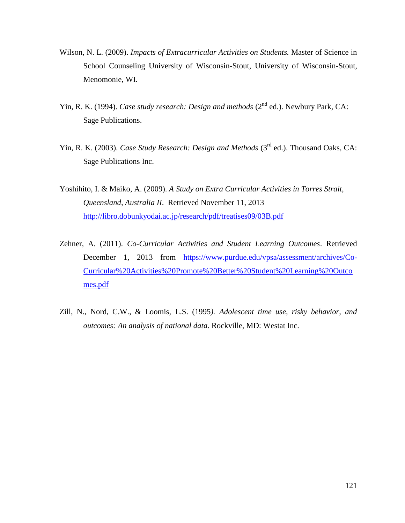- Wilson, N. L. (2009). *Impacts of Extracurricular Activities on Students.* Master of Science in School Counseling University of Wisconsin-Stout, University of Wisconsin-Stout, Menomonie, WI.
- Yin, R. K. (1994). *Case study research: Design and methods* (2<sup>nd</sup> ed.). Newbury Park, CA: Sage Publications.
- Yin, R. K. (2003). *Case Study Research: Design and Methods* (3<sup>rd</sup> ed.). Thousand Oaks, CA: Sage Publications Inc.
- Yoshihito, I. & Maiko, A. (2009). *A Study on Extra Curricular Activities in Torres Strait, Queensland, Australia II*. Retrieved November 11, 2013 <http://libro.dobunkyodai.ac.jp/research/pdf/treatises09/03B.pdf>
- Zehner, A. (2011). *Co-Curricular Activities and Student Learning Outcomes*. Retrieved December 1, 2013 from [https://www.purdue.edu/vpsa/assessment/archives/Co-](https://www.purdue.edu/vpsa/assessment/archives/Co-Curricular%20Activities%20Promote%20Better%20Student%20Learning%20Outcomes.pdf)[Curricular%20Activities%20Promote%20Better%20Student%20Learning%20Outco](https://www.purdue.edu/vpsa/assessment/archives/Co-Curricular%20Activities%20Promote%20Better%20Student%20Learning%20Outcomes.pdf) [mes.pdf](https://www.purdue.edu/vpsa/assessment/archives/Co-Curricular%20Activities%20Promote%20Better%20Student%20Learning%20Outcomes.pdf)
- Zill, N., Nord, C.W., & Loomis, L.S. (1995*). Adolescent time use, risky behavior, and outcomes: An analysis of national data*. Rockville, MD: Westat Inc.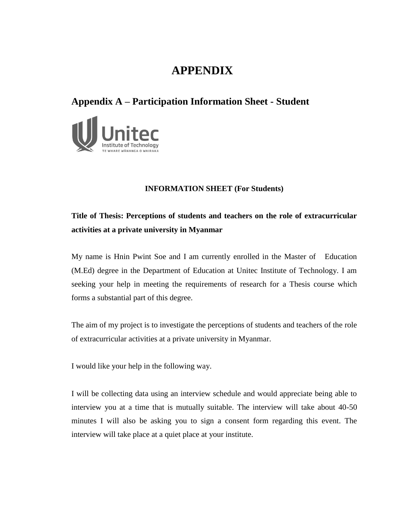# **APPENDIX**

### **Appendix A – Participation Information Sheet - Student**



#### **INFORMATION SHEET (For Students)**

## **Title of Thesis: Perceptions of students and teachers on the role of extracurricular activities at a private university in Myanmar**

My name is Hnin Pwint Soe and I am currently enrolled in the Master of Education (M.Ed) degree in the Department of Education at Unitec Institute of Technology. I am seeking your help in meeting the requirements of research for a Thesis course which forms a substantial part of this degree.

The aim of my project is to investigate the perceptions of students and teachers of the role of extracurricular activities at a private university in Myanmar.

I would like your help in the following way.

I will be collecting data using an interview schedule and would appreciate being able to interview you at a time that is mutually suitable. The interview will take about 40-50 minutes I will also be asking you to sign a consent form regarding this event. The interview will take place at a quiet place at your institute.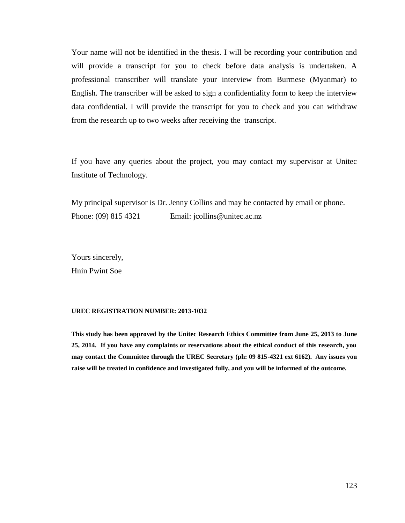Your name will not be identified in the thesis. I will be recording your contribution and will provide a transcript for you to check before data analysis is undertaken. A professional transcriber will translate your interview from Burmese (Myanmar) to English. The transcriber will be asked to sign a confidentiality form to keep the interview data confidential. I will provide the transcript for you to check and you can withdraw from the research up to two weeks after receiving the transcript.

If you have any queries about the project, you may contact my supervisor at Unitec Institute of Technology.

My principal supervisor is Dr. Jenny Collins and may be contacted by email or phone. Phone: (09) 815 4321 Email: jcollins@unitec.ac.nz

Yours sincerely, Hnin Pwint Soe

#### **UREC REGISTRATION NUMBER: 2013-1032**

**This study has been approved by the Unitec Research Ethics Committee from June 25, 2013 to June 25, 2014. If you have any complaints or reservations about the ethical conduct of this research, you may contact the Committee through the UREC Secretary (ph: 09 815-4321 ext 6162). Any issues you raise will be treated in confidence and investigated fully, and you will be informed of the outcome.**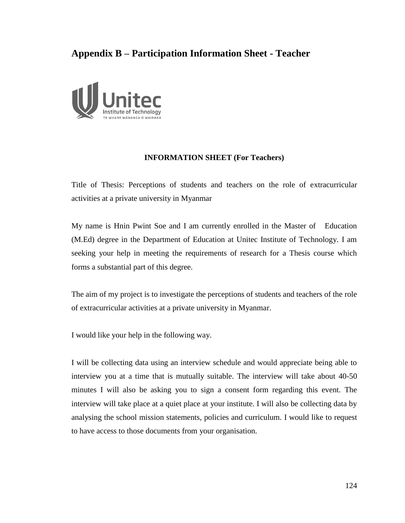## **Appendix B – Participation Information Sheet - Teacher**



#### **INFORMATION SHEET (For Teachers)**

Title of Thesis: Perceptions of students and teachers on the role of extracurricular activities at a private university in Myanmar

My name is Hnin Pwint Soe and I am currently enrolled in the Master of Education (M.Ed) degree in the Department of Education at Unitec Institute of Technology. I am seeking your help in meeting the requirements of research for a Thesis course which forms a substantial part of this degree.

The aim of my project is to investigate the perceptions of students and teachers of the role of extracurricular activities at a private university in Myanmar.

I would like your help in the following way.

I will be collecting data using an interview schedule and would appreciate being able to interview you at a time that is mutually suitable. The interview will take about 40-50 minutes I will also be asking you to sign a consent form regarding this event. The interview will take place at a quiet place at your institute. I will also be collecting data by analysing the school mission statements, policies and curriculum. I would like to request to have access to those documents from your organisation.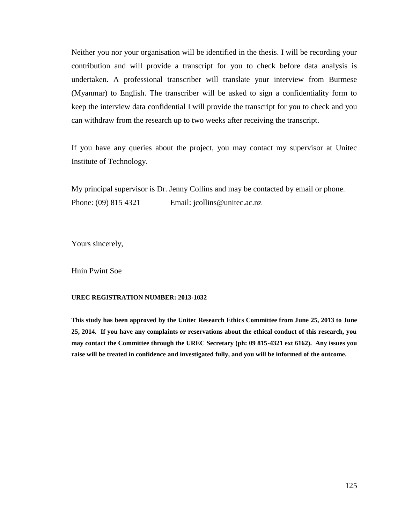Neither you nor your organisation will be identified in the thesis. I will be recording your contribution and will provide a transcript for you to check before data analysis is undertaken. A professional transcriber will translate your interview from Burmese (Myanmar) to English. The transcriber will be asked to sign a confidentiality form to keep the interview data confidential I will provide the transcript for you to check and you can withdraw from the research up to two weeks after receiving the transcript.

If you have any queries about the project, you may contact my supervisor at Unitec Institute of Technology.

My principal supervisor is Dr. Jenny Collins and may be contacted by email or phone. Phone: (09) 815 4321 Email: jcollins@unitec.ac.nz

Yours sincerely,

Hnin Pwint Soe

#### **UREC REGISTRATION NUMBER: 2013-1032**

**This study has been approved by the Unitec Research Ethics Committee from June 25, 2013 to June 25, 2014. If you have any complaints or reservations about the ethical conduct of this research, you may contact the Committee through the UREC Secretary (ph: 09 815-4321 ext 6162). Any issues you raise will be treated in confidence and investigated fully, and you will be informed of the outcome.**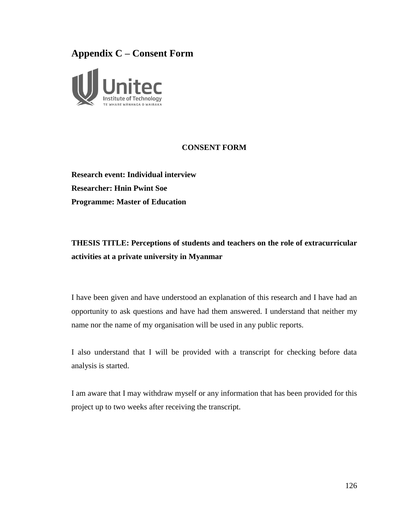### **Appendix C – Consent Form**



#### **CONSENT FORM**

**Research event: Individual interview Researcher: Hnin Pwint Soe Programme: Master of Education**

## **THESIS TITLE: Perceptions of students and teachers on the role of extracurricular activities at a private university in Myanmar**

I have been given and have understood an explanation of this research and I have had an opportunity to ask questions and have had them answered. I understand that neither my name nor the name of my organisation will be used in any public reports.

I also understand that I will be provided with a transcript for checking before data analysis is started.

I am aware that I may withdraw myself or any information that has been provided for this project up to two weeks after receiving the transcript.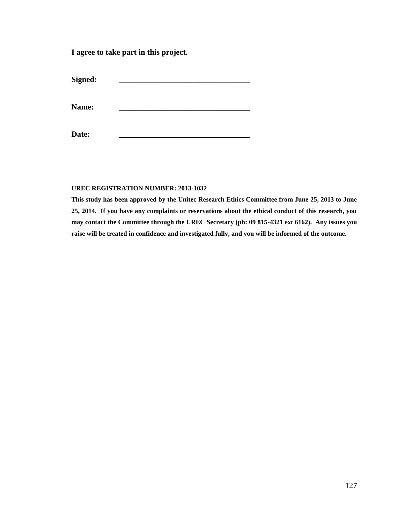**I agree to take part in this project.**

 $Signed:$ 

Name:

**Date: \_\_\_\_\_\_\_\_\_\_\_\_\_\_\_\_\_\_\_\_\_\_\_\_\_\_\_\_\_\_\_\_\_**

#### **UREC REGISTRATION NUMBER: 2013-1032**

**This study has been approved by the Unitec Research Ethics Committee from June 25, 2013 to June 25, 2014. If you have any complaints or reservations about the ethical conduct of this research, you may contact the Committee through the UREC Secretary (ph: 09 815-4321 ext 6162). Any issues you raise will be treated in confidence and investigated fully, and you will be informed of the outcome.**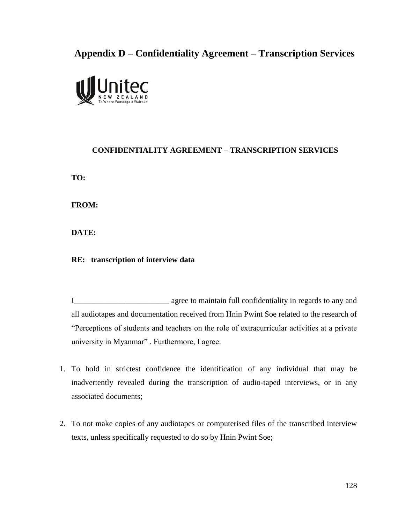# **Appendix D – Confidentiality Agreement – Transcription Services**



#### **CONFIDENTIALITY AGREEMENT – TRANSCRIPTION SERVICES**

**TO:**

**FROM:**

**DATE:**

**RE: transcription of interview data**

I\_\_\_\_\_\_\_\_\_\_\_\_\_\_\_\_\_\_\_\_\_\_\_\_ agree to maintain full confidentiality in regards to any and all audiotapes and documentation received from Hnin Pwint Soe related to the research of "Perceptions of students and teachers on the role of extracurricular activities at a private university in Myanmar" . Furthermore, I agree:

- 1. To hold in strictest confidence the identification of any individual that may be inadvertently revealed during the transcription of audio-taped interviews, or in any associated documents;
- 2. To not make copies of any audiotapes or computerised files of the transcribed interview texts, unless specifically requested to do so by Hnin Pwint Soe;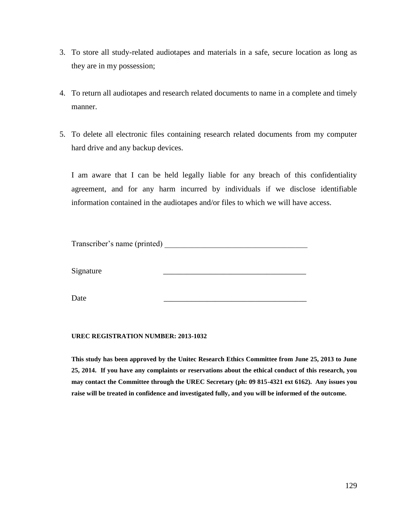- 3. To store all study-related audiotapes and materials in a safe, secure location as long as they are in my possession;
- 4. To return all audiotapes and research related documents to name in a complete and timely manner.
- 5. To delete all electronic files containing research related documents from my computer hard drive and any backup devices.

I am aware that I can be held legally liable for any breach of this confidentiality agreement, and for any harm incurred by individuals if we disclose identifiable information contained in the audiotapes and/or files to which we will have access.

Transcriber's name (printed)

Signature

Date \_\_\_\_\_\_\_\_\_\_\_\_\_\_\_\_\_\_\_\_\_\_\_\_\_\_\_\_\_\_\_\_\_\_\_\_

#### **UREC REGISTRATION NUMBER: 2013-1032**

**This study has been approved by the Unitec Research Ethics Committee from June 25, 2013 to June 25, 2014. If you have any complaints or reservations about the ethical conduct of this research, you may contact the Committee through the UREC Secretary (ph: 09 815-4321 ext 6162). Any issues you raise will be treated in confidence and investigated fully, and you will be informed of the outcome.**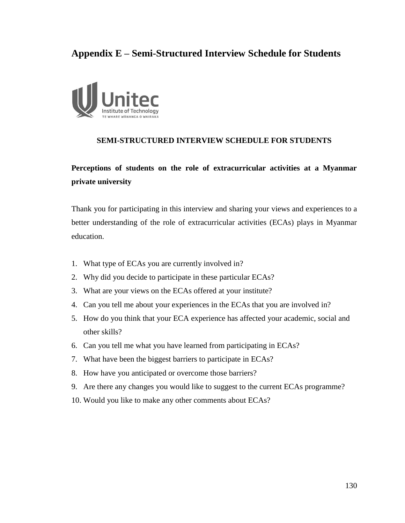## **Appendix E – Semi-Structured Interview Schedule for Students**



#### **SEMI-STRUCTURED INTERVIEW SCHEDULE FOR STUDENTS**

### **Perceptions of students on the role of extracurricular activities at a Myanmar private university**

Thank you for participating in this interview and sharing your views and experiences to a better understanding of the role of extracurricular activities (ECAs) plays in Myanmar education.

- 1. What type of ECAs you are currently involved in?
- 2. Why did you decide to participate in these particular ECAs?
- 3. What are your views on the ECAs offered at your institute?
- 4. Can you tell me about your experiences in the ECAs that you are involved in?
- 5. How do you think that your ECA experience has affected your academic, social and other skills?
- 6. Can you tell me what you have learned from participating in ECAs?
- 7. What have been the biggest barriers to participate in ECAs?
- 8. How have you anticipated or overcome those barriers?
- 9. Are there any changes you would like to suggest to the current ECAs programme?
- 10. Would you like to make any other comments about ECAs?